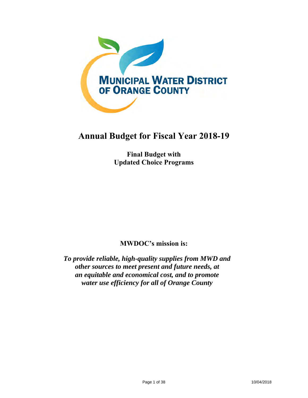

# **Annual Budget for Fiscal Year 2018-19**

**Final Budget with Updated Choice Programs** 

**MWDOC's mission is:** 

*To provide reliable, high-quality supplies from MWD and other sources to meet present and future needs, at an equitable and economical cost, and to promote water use efficiency for all of Orange County*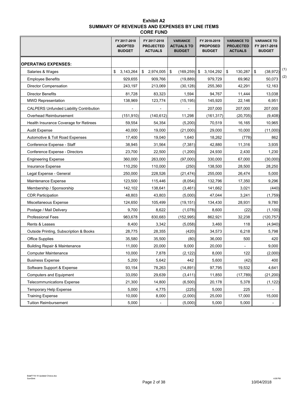## **Exhibit A2 SUMMARY OF REVENUES AND EXPENSES BY LINE ITEMS CORE FUND**

|                                                | FY 2017-2018<br><b>ADOPTED</b><br><b>BUDGET</b> | FY 2017-2018<br><b>PROJECTED</b><br><b>ACTUALS</b> | <b>VARIANCE</b><br><b>ACTUALS TO</b><br><b>BUDGET</b> | FY 2018-2019<br><b>PROPOSED</b><br><b>BUDGET</b> | <b>VARIANCE TO</b><br><b>PROJECTED</b><br><b>ACTUALS</b> | <b>VARIANCE TO</b><br>FY 2017-2018<br><b>BUDGET</b> |
|------------------------------------------------|-------------------------------------------------|----------------------------------------------------|-------------------------------------------------------|--------------------------------------------------|----------------------------------------------------------|-----------------------------------------------------|
| <b>  OPERATING EXPENSES:</b>                   |                                                 |                                                    |                                                       |                                                  |                                                          |                                                     |
| Salaries & Wages                               | \$<br>3,143,264                                 | \$2,974,005                                        | \$<br>$(169, 259)$ \$                                 | 3,104,292                                        | \$<br>130,287                                            | (1)<br>\$<br>(38, 972)                              |
| <b>Employee Benefits</b>                       | 929,655                                         | 909,766                                            | (19, 889)                                             | 979,729                                          | 69,962                                                   | (2)<br>50,073                                       |
| Director Compensation                          | 243,197                                         | 213,069                                            | (30, 128)                                             | 255,360                                          | 42,291                                                   | 12,163                                              |
| Director Benefits                              | 81,728                                          | 83,323                                             | 1,594                                                 | 94,767                                           | 11,444                                                   | 13,038                                              |
| <b>MWD Representation</b>                      | 138,969                                         | 123,774                                            | (15, 195)                                             | 145,920                                          | 22.146                                                   | 6,951                                               |
| <b>CALPERS Unfunded Liability Contribution</b> |                                                 |                                                    |                                                       | 207,000                                          | 207,000                                                  | 207,000                                             |
| Overhead Reimbursement                         | (151, 910)                                      | (140, 612)                                         | 11,298                                                | (161, 317)                                       | (20, 705)                                                | (9,408)                                             |
| Health Insurance Coverage for Retirees         | 59,554                                          | 54,354                                             | (5,200)                                               | 70,519                                           | 16,165                                                   | 10,965                                              |
| <b>Audit Expense</b>                           | 40,000                                          | 19,000                                             | (21,000)                                              | 29,000                                           | 10,000                                                   | (11,000)                                            |
| Automotive & Toll Road Expenses                | 17.400                                          | 19,040                                             | 1,640                                                 | 18,262                                           | (778)                                                    | 862                                                 |
| Conference Expense - Staff                     | 38,945                                          | 31,564                                             | (7, 381)                                              | 42,880                                           | 11,316                                                   | 3,935                                               |
| Conference Expense - Directors                 | 23,700                                          | 22,500                                             | (1,200)                                               | 24,930                                           | 2,430                                                    | 1,230                                               |
| <b>Engineering Expense</b>                     | 360,000                                         | 263,000                                            | (97,000)                                              | 330,000                                          | 67,000                                                   | (30,000)                                            |
| Insurance Expense                              | 110,250                                         | 110,000                                            | (250)                                                 | 138,500                                          | 28,500                                                   | 28,250                                              |
| Legal Expense - General                        | 250,000                                         | 228,526                                            | (21, 474)                                             | 255,000                                          | 26,474                                                   | 5,000                                               |
| Maintenance Expense                            | 123,500                                         | 115,446                                            | (8,054)                                               | 132,796                                          | 17,350                                                   | 9,296                                               |
| Membership / Sponsorship                       | 142,102                                         | 138,641                                            | (3,461)                                               | 141,662                                          | 3,021                                                    | (440)                                               |
| <b>CDR Participation</b>                       | 48,803                                          | 43,803                                             | (5,000)                                               | 47,044                                           | 3,241                                                    | (1,759)                                             |
| Miscellaneous Expense                          | 124,650                                         | 105,499                                            | (19, 151)                                             | 134,430                                          | 28,931                                                   | 9,780                                               |
| Postage / Mail Delivery                        | 9,700                                           | 8,622                                              | (1,078)                                               | 8,600                                            | (22)                                                     | (1,100)                                             |
| <b>Professional Fees</b>                       | 983,678                                         | 830,683                                            | (152,995)                                             | 862,921                                          | 32,238                                                   | (120, 757)                                          |
| Rents & Leases                                 | 8,400                                           | 3,342                                              | (5,058)                                               | 3,460                                            | 118                                                      | (4,940)                                             |
| Outside Printing, Subscription & Books         | 28,775                                          | 28,355                                             | (420)                                                 | 34,573                                           | 6,218                                                    | 5,798                                               |
| <b>Office Supplies</b>                         | 35,580                                          | 35,500                                             | (80)                                                  | 36,000                                           | 500                                                      | 420                                                 |
| <b>Building Repair &amp; Maintenance</b>       | 11,000                                          | 20,000                                             | 9,000                                                 | 20,000                                           |                                                          | 9,000                                               |
| <b>Computer Maintenance</b>                    | 10,000                                          | 7,878                                              | (2, 122)                                              | 8,000                                            | 122                                                      | (2,000)                                             |
| <b>Business Expense</b>                        | 5,200                                           | 5,642                                              | 442                                                   | 5,600                                            | (42)                                                     | 400                                                 |
| Software Support & Expense                     | 93,154                                          | 78,263                                             | (14, 891)                                             | 97,795                                           | 19,532                                                   | 4,641                                               |
| <b>Computers and Equipment</b>                 | 33,050                                          | 29,639                                             | (3, 411)                                              | 11,850                                           | (17, 789)                                                | (21, 200)                                           |
| <b>Telecommunications Expense</b>              | 21,300                                          | 14,800                                             | (6,500)                                               | 20,178                                           | 5,378                                                    | (1, 122)                                            |
| Temporary Help Expense                         | 5,000                                           | 4,775                                              | (225)                                                 | 5,000                                            | 225                                                      |                                                     |
| <b>Training Expense</b>                        | 10,000                                          | 8,000                                              | (2,000)                                               | 25,000                                           | 17,000                                                   | 15,000                                              |
| <b>Tuition Reimbursement</b>                   | 5,000                                           | $\overline{\phantom{a}}$                           | (5,000)                                               | 5,000                                            | 5,000                                                    |                                                     |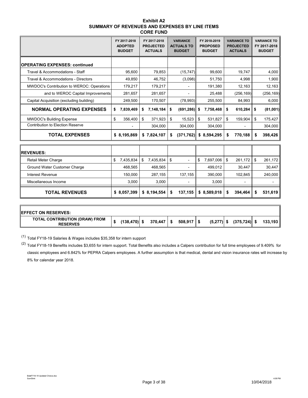| <b>Exhibit A2</b>                              |
|------------------------------------------------|
| SUMMARY OF REVENUES AND EXPENSES BY LINE ITEMS |
| <b>CORE FUND</b>                               |

|                                           | FY 2017-2018<br><b>ADOPTED</b><br><b>BUDGET</b> | FY 2017-2018<br><b>PROJECTED</b><br><b>ACTUALS</b> | <b>VARIANCE</b><br><b>ACTUALS TO</b><br><b>BUDGET</b> | FY 2018-2019<br><b>PROPOSED</b><br><b>BUDGET</b> | <b>VARIANCE TO</b><br><b>PROJECTED</b><br><b>ACTUALS</b> | <b>VARIANCE TO</b><br>FY 2017-2018<br><b>BUDGET</b> |
|-------------------------------------------|-------------------------------------------------|----------------------------------------------------|-------------------------------------------------------|--------------------------------------------------|----------------------------------------------------------|-----------------------------------------------------|
| OPERATING EXPENSES: continued             |                                                 |                                                    |                                                       |                                                  |                                                          |                                                     |
| Travel & Accommodations - Staff           | 95,600                                          | 79,853                                             | (15, 747)                                             | 99,600                                           | 19,747                                                   | 4,000                                               |
| Travel & Accommodations - Directors       | 49.850                                          | 46,752                                             | (3,098)                                               | 51,750                                           | 4,998                                                    | 1,900                                               |
| MWDOC's Contribution to WEROC: Operations | 179,217                                         | 179,217                                            | $\overline{a}$                                        | 191,380                                          | 12,163                                                   | 12,163                                              |
| and to WEROC Capital Improvements         | 281,657                                         | 281,657                                            | $\overline{a}$                                        | 25,488                                           | (256, 169)                                               | (256, 169)                                          |
| Capital Acquisition (excluding building)  | 249,500                                         | 170,507                                            | (78, 993)                                             | 255,500                                          | 84,993                                                   | 6,000                                               |
| <b>NORMAL OPERATING EXPENSES</b>          | 7,839,469<br>\$                                 | 7,148,184<br>\$                                    | (691, 286)<br>\$                                      | 7,758,468<br>\$                                  | 610,284<br>\$                                            | \$<br>(81,001)                                      |
| <b>MWDOC's Building Expense</b>           | \$<br>356,400                                   | \$<br>371,923                                      | \$<br>15,523                                          | 531,827<br>\$                                    | \$<br>159,904                                            | \$<br>175,427                                       |
| <b>Contribution to Election Reserve</b>   |                                                 | 304,000                                            | 304,000                                               | 304,000                                          |                                                          | 304,000                                             |
| <b>TOTAL EXPENSES</b>                     | \$8,195,869                                     | \$7,824,107                                        | \$<br>(371, 762)                                      | \$8,594,295                                      | 770,188<br>\$                                            | 398,426<br>S                                        |
| <b>IREVENUES:</b>                         |                                                 |                                                    |                                                       |                                                  |                                                          |                                                     |
| Retail Meter Charge                       | \$<br>7,435,834                                 | \$<br>7,435,834                                    | \$<br>$\overline{a}$                                  | \$<br>7,697,006                                  | \$<br>261,172                                            | \$<br>261,172                                       |
| Ground Water Customer Charge              | 468,565                                         | 468,565                                            |                                                       | 499,012                                          | 30,447                                                   | 30,447                                              |
| <b>Interest Revenue</b>                   | 150.000                                         | 287,155                                            | 137,155                                               | 390,000                                          | 102.845                                                  | 240.000                                             |
| Miscellaneous Income                      | 3,000                                           | 3,000                                              |                                                       | 3,000                                            |                                                          |                                                     |
| <b>TOTAL REVENUES</b>                     | \$8,057,399                                     | \$8,194,554                                        | \$<br>137,155                                         | \$8,589,018                                      | 394,464<br>\$                                            | 531,619<br>\$                                       |

| <b>IEFFECT ON RESERVES:</b>                       |                 |                         |                      |              |                 |         |
|---------------------------------------------------|-----------------|-------------------------|----------------------|--------------|-----------------|---------|
| TOTAL CONTRIBUTION (DRAW) FROM<br><b>RESERVES</b> | $(138, 470)$ \$ | $370,447$ $\frac{1}{5}$ | $508,917$ $\sqrt{5}$ | $(5,277)$ \$ | $(375, 724)$ \$ | 133,193 |

(1) Total FY18-19 Salaries & Wages includes \$35,358 for intern support

(2) Total FY18-19 Benefits includes \$3,655 for intern support. Total Benefits also includes a Calpers contribution for full time employees of 9.409% for classic employees and 6.842% for PEPRA Calpers employees. A further assumption is that medical, dental and vision insurance rates will increase by 8% for calendar year 2018.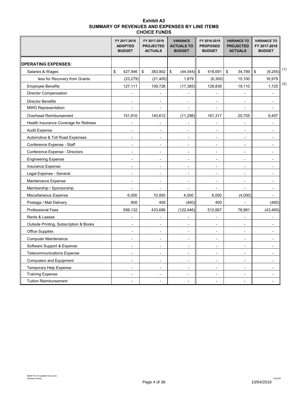| <b>Exhibit A3</b>                              |
|------------------------------------------------|
| SUMMARY OF REVENUES AND EXPENSES BY LINE ITEMS |
| <b>CHOICE FUNDS</b>                            |

|                                        |              | FY 2017-2018<br><b>ADOPTED</b><br><b>BUDGET</b> | FY 2017-2018<br><b>PROJECTED</b><br><b>ACTUALS</b> | <b>VARIANCE</b><br><b>ACTUALS TO</b><br><b>BUDGET</b> | FY 2018-2019<br><b>PROPOSED</b><br><b>BUDGET</b> |                          | <b>VARIANCE TO</b><br><b>PROJECTED</b><br><b>ACTUALS</b> |                          |                         | <b>VARIANCE TO</b><br>FY 2017-2018<br><b>BUDGET</b> |     |
|----------------------------------------|--------------|-------------------------------------------------|----------------------------------------------------|-------------------------------------------------------|--------------------------------------------------|--------------------------|----------------------------------------------------------|--------------------------|-------------------------|-----------------------------------------------------|-----|
| <b>OPERATING EXPENSES:</b>             |              |                                                 |                                                    |                                                       |                                                  |                          |                                                          |                          |                         |                                                     |     |
| Salaries & Wages                       | $\mathbb{S}$ | 427,946                                         | \$<br>383,902                                      | \$<br>$(44,044)$ \$                                   |                                                  | 418,691                  | \$                                                       | 34,789                   | $\sqrt[6]{\frac{1}{2}}$ | (9, 255)                                            | (1) |
| less for Recovery from Grants          |              | (23, 279)                                       | (21, 400)                                          | 1,879                                                 |                                                  | (6,300)                  |                                                          | 15,100                   |                         | 16,979                                              |     |
| <b>Employee Benefits</b>               |              | 127,111                                         | 109,726                                            | (17, 385)                                             |                                                  | 128,836                  |                                                          | 19,110                   |                         | 1,725                                               | (2) |
| <b>Director Compensation</b>           |              |                                                 |                                                    |                                                       |                                                  |                          |                                                          |                          |                         |                                                     |     |
| <b>Director Benefits</b>               |              |                                                 |                                                    |                                                       |                                                  |                          |                                                          |                          |                         | $\overline{a}$                                      |     |
| <b>MWD Representation</b>              |              |                                                 | $\overline{a}$                                     | $\overline{a}$                                        |                                                  | $\overline{a}$           |                                                          | $\overline{a}$           |                         | $\overline{a}$                                      |     |
| Overhead Reimbursement                 |              | 151,910                                         | 140,612                                            | (11, 298)                                             |                                                  | 161,317                  |                                                          | 20,705                   |                         | 9,407                                               |     |
| Health Insurance Coverage for Retirees |              |                                                 | $\overline{a}$                                     |                                                       |                                                  | L,                       |                                                          |                          |                         |                                                     |     |
| <b>Audit Expense</b>                   |              |                                                 | $\overline{a}$                                     |                                                       |                                                  | $\overline{a}$           |                                                          |                          |                         |                                                     |     |
| Automotive & Toll Road Expenses        |              | $\blacksquare$                                  | $\overline{\phantom{a}}$                           | $\blacksquare$                                        |                                                  | $\overline{\phantom{a}}$ |                                                          | $\blacksquare$           |                         | $\overline{a}$                                      |     |
| Conference Expense - Staff             |              | $\blacksquare$                                  | $\overline{a}$                                     | $\blacksquare$                                        |                                                  | $\blacksquare$           |                                                          | ÷,                       |                         | ÷,                                                  |     |
| Conference Expense - Directors         |              | $\overline{a}$                                  | $\overline{a}$                                     | $\overline{\phantom{a}}$                              |                                                  | $\overline{a}$           |                                                          |                          |                         |                                                     |     |
| <b>Engineering Expense</b>             |              | $\blacksquare$                                  | $\blacksquare$                                     | $\blacksquare$                                        |                                                  | $\blacksquare$           |                                                          | $\blacksquare$           |                         | ٠                                                   |     |
| Insurance Expense                      |              | $\overline{a}$                                  | $\overline{a}$                                     | $\overline{a}$                                        |                                                  | $\overline{a}$           |                                                          | $\overline{a}$           |                         | $\overline{a}$                                      |     |
| Legal Expense - General                |              | $\overline{a}$                                  | $\overline{\phantom{a}}$                           | $\overline{\phantom{a}}$                              |                                                  | $\overline{a}$           |                                                          | $\overline{a}$           |                         | $\overline{a}$                                      |     |
| Maintenance Expense                    |              | $\blacksquare$                                  | $\blacksquare$                                     | $\blacksquare$                                        |                                                  | $\blacksquare$           |                                                          | $\blacksquare$           |                         | $\blacksquare$                                      |     |
| Membership / Sponsorship               |              |                                                 |                                                    |                                                       |                                                  |                          |                                                          |                          |                         | ٠                                                   |     |
| Miscellaneous Expense                  |              | 6,000                                           | 10,000                                             | 4,000                                                 |                                                  | 6,000                    |                                                          | (4,000)                  |                         |                                                     |     |
| Postage / Mail Delivery                |              | 800                                             | 400                                                | (400)                                                 |                                                  | 400                      |                                                          | $\overline{a}$           |                         | (400)                                               |     |
| <b>Professional Fees</b>               |              | 556,132                                         | 433,686                                            | (122, 446)                                            |                                                  | 512,667                  |                                                          | 78,981                   |                         | (43, 465)                                           |     |
| Rents & Leases                         |              | $\overline{a}$                                  | ÷,                                                 | $\overline{\phantom{a}}$                              |                                                  | ÷,                       |                                                          | $\overline{a}$           |                         | $\blacksquare$                                      |     |
| Outside Printing, Subscription & Books |              |                                                 | $\overline{a}$                                     |                                                       |                                                  | $\overline{a}$           |                                                          | $\overline{a}$           |                         |                                                     |     |
| Office Supplies                        |              | $\overline{a}$                                  | $\overline{a}$                                     | $\overline{a}$                                        |                                                  | $\overline{a}$           |                                                          | $\overline{a}$           |                         | $\overline{a}$                                      |     |
| <b>Computer Maintenance</b>            |              | $\blacksquare$                                  | $\blacksquare$                                     | $\blacksquare$                                        |                                                  | $\blacksquare$           |                                                          | $\blacksquare$           |                         | $\blacksquare$                                      |     |
| Software Support & Expense             |              | $\blacksquare$                                  | $\blacksquare$                                     | $\blacksquare$                                        |                                                  | $\blacksquare$           |                                                          | $\overline{\phantom{a}}$ |                         |                                                     |     |
| <b>Telecommunications Expense</b>      |              | $\overline{a}$                                  | $\blacksquare$                                     | $\overline{a}$                                        |                                                  | $\overline{a}$           |                                                          | $\overline{a}$           |                         | ÷,                                                  |     |
| <b>Computers and Equipment</b>         |              | $\overline{\phantom{a}}$                        | $\overline{\phantom{a}}$                           | $\overline{\phantom{a}}$                              |                                                  | $\overline{\phantom{a}}$ |                                                          | $\overline{\phantom{a}}$ |                         | ٠                                                   |     |
| Temporary Help Expense                 |              |                                                 |                                                    |                                                       |                                                  | $\overline{a}$           |                                                          | $\overline{a}$           |                         |                                                     |     |
| <b>Training Expense</b>                |              | $\overline{\phantom{a}}$                        | $\blacksquare$                                     | $\blacksquare$                                        |                                                  | $\blacksquare$           |                                                          | $\overline{\phantom{a}}$ |                         | ٠                                                   |     |
| <b>Tuition Reimbursement</b>           |              |                                                 |                                                    |                                                       |                                                  |                          |                                                          |                          |                         |                                                     |     |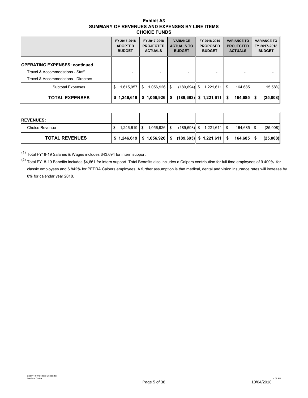### **Exhibit A3 SUMMARY OF REVENUES AND EXPENSES BY LINE ITEMS CHOICE FUNDS**

|                                      | FY 2017-2018<br><b>ADOPTED</b><br><b>BUDGET</b> | FY 2017-2018<br><b>PROJECTED</b><br><b>ACTUALS</b> | <b>VARIANCE</b><br><b>ACTUALS TO</b><br><b>BUDGET</b> | FY 2018-2019<br><b>PROPOSED</b><br><b>BUDGET</b> | <b>VARIANCE TO</b><br><b>PROJECTED</b><br><b>ACTUALS</b> | <b>VARIANCE TO</b><br>FY 2017-2018<br><b>BUDGET</b> |
|--------------------------------------|-------------------------------------------------|----------------------------------------------------|-------------------------------------------------------|--------------------------------------------------|----------------------------------------------------------|-----------------------------------------------------|
| <b>OPERATING EXPENSES: continued</b> |                                                 |                                                    |                                                       |                                                  |                                                          |                                                     |
| Travel & Accommodations - Staff      |                                                 | $\blacksquare$                                     | $\blacksquare$                                        |                                                  |                                                          |                                                     |
| Travel & Accommodations - Directors  |                                                 |                                                    |                                                       |                                                  |                                                          |                                                     |
| <b>Subtotal Expenses</b>             | 1,615,957<br>S                                  | 1,056,926<br>\$                                    | $(189, 694)$ \$<br>-S                                 | 1,221,611                                        | 164,685<br>\$                                            | 15.58%                                              |
| <b>TOTAL EXPENSES</b>                | \$1,246,619                                     | \$1,056,926                                        | \$                                                    | $(189,693)$ \$ 1,221,611                         | 164,685<br>S                                             | (25,008)<br>- \$                                    |

| <b>IREVENUES:</b>     |             |              |                                                                      |           |          |
|-----------------------|-------------|--------------|----------------------------------------------------------------------|-----------|----------|
| Choice Revenue        | 1.246.619 S | 1,056,926 \$ | $(189,693)$ \$ 1,221,611 \\$                                         | 164.685 S | (25,008) |
| <b>TOTAL REVENUES</b> |             |              | $$1,246,619 \mid $1,056,926 \mid $ (189,693) \mid $1,221,611 \mid $$ | 164.685 S | (25.008) |

(1) Total FY18-19 Salaries & Wages includes \$43,694 for intern support

 $(2)$  Total FY18-19 Benefits includes \$4,661 for intern support. Total Benefits also includes a Calpers contribution for full time employees of 9.409% for classic employees and 6.842% for PEPRA Calpers employees. A further assumption is that medical, dental and vision insurance rates will increase by 8% for calendar year 2018.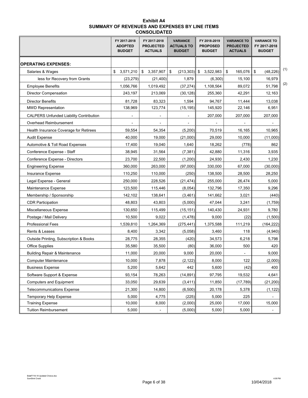| Exhibit A4                                     |
|------------------------------------------------|
| SUMMARY OF REVENUES AND EXPENSES BY LINE ITEMS |
| <b>CONSOLIDATED</b>                            |

|                                                | FY 2017-2018<br><b>ADOPTED</b><br><b>BUDGET</b> | FY 2017-2018<br><b>PROJECTED</b><br><b>ACTUALS</b> | <b>VARIANCE</b><br><b>ACTUALS TO</b><br><b>BUDGET</b> | FY 2018-2019<br><b>PROPOSED</b><br><b>BUDGET</b> | <b>VARIANCE TO</b><br><b>PROJECTED</b><br><b>ACTUALS</b> | <b>VARIANCE TO</b><br>FY 2017-2018<br><b>BUDGET</b> |
|------------------------------------------------|-------------------------------------------------|----------------------------------------------------|-------------------------------------------------------|--------------------------------------------------|----------------------------------------------------------|-----------------------------------------------------|
| <b>OPERATING EXPENSES:</b>                     |                                                 |                                                    |                                                       |                                                  |                                                          |                                                     |
| Salaries & Wages                               | 3,571,210<br>\$                                 | \$<br>3,357,907                                    | \$<br>$(213, 303)$ \$                                 | 3,522,983                                        | 165,076 \$<br>$\sqrt[6]{2}$                              | (1)<br>(48, 226)                                    |
| less for Recovery from Grants                  | (23, 279)                                       | (21, 400)                                          | 1,879                                                 | (6,300)                                          | 15,100                                                   | 16,979                                              |
| <b>Employee Benefits</b>                       | 1,056,766                                       | 1.019.492                                          | (37, 274)                                             | 1,108,564                                        | 89,072                                                   | (2)<br>51,798                                       |
| Director Compensation                          | 243,197                                         | 213,069                                            | (30, 128)                                             | 255,360                                          | 42,291                                                   | 12,163                                              |
| <b>Director Benefits</b>                       | 81,728                                          | 83,323                                             | 1,594                                                 | 94,767                                           | 11.444                                                   | 13,038                                              |
| <b>MWD Representation</b>                      | 138,969                                         | 123,774                                            | (15, 195)                                             | 145,920                                          | 22,146                                                   | 6,951                                               |
| <b>CALPERS Unfunded Liability Contribution</b> | $\overline{\phantom{a}}$                        | $\overline{\phantom{a}}$                           | $\overline{\phantom{a}}$                              | 207,000                                          | 207,000                                                  | 207,000                                             |
| Overhead Reimbursement                         |                                                 |                                                    |                                                       |                                                  |                                                          |                                                     |
| Health Insurance Coverage for Retirees         | 59,554                                          | 54,354                                             | (5,200)                                               | 70,519                                           | 16,165                                                   | 10,965                                              |
| <b>Audit Expense</b>                           | 40,000                                          | 19,000                                             | (21,000)                                              | 29,000                                           | 10,000                                                   | (11,000)                                            |
| Automotive & Toll Road Expenses                | 17,400                                          | 19,040                                             | 1,640                                                 | 18,262                                           | (778)                                                    | 862                                                 |
| Conference Expense - Staff                     | 38,945                                          | 31,564                                             | (7, 381)                                              | 42,880                                           | 11,316                                                   | 3,935                                               |
| Conference Expense - Directors                 | 23,700                                          | 22,500                                             | (1,200)                                               | 24,930                                           | 2,430                                                    | 1,230                                               |
| <b>Engineering Expense</b>                     | 360,000                                         | 263,000                                            | (97,000)                                              | 330,000                                          | 67,000                                                   | (30,000)                                            |
| Insurance Expense                              | 110,250                                         | 110,000                                            | (250)                                                 | 138,500                                          | 28,500                                                   | 28,250                                              |
| Legal Expense - General                        | 250,000                                         | 228,526                                            | (21, 474)                                             | 255,000                                          | 26,474                                                   | 5,000                                               |
| Maintenance Expense                            | 123,500                                         | 115,446                                            | (8,054)                                               | 132,796                                          | 17,350                                                   | 9,296                                               |
| Membership / Sponsorship                       | 142,102                                         | 138,641                                            | (3, 461)                                              | 141,662                                          | 3,021                                                    | (440)                                               |
| <b>CDR Participation</b>                       | 48,803                                          | 43,803                                             | (5,000)                                               | 47,044                                           | 3,241                                                    | (1,759)                                             |
| Miscellaneous Expense                          | 130,650                                         | 115,499                                            | (15, 151)                                             | 140,430                                          | 24,931                                                   | 9,780                                               |
| Postage / Mail Delivery                        | 10,500                                          | 9,022                                              | (1, 478)                                              | 9,000                                            | (22)                                                     | (1,500)                                             |
| <b>Professional Fees</b>                       | 1,539,810                                       | 1,264,369                                          | (275, 441)                                            | 1,375,588                                        | 111,219                                                  | (164, 222)                                          |
| Rents & Leases                                 | 8,400                                           | 3,342                                              | (5,058)                                               | 3,460                                            | 118                                                      | (4,940)                                             |
| Outside Printing, Subscription & Books         | 28,775                                          | 28,355                                             | (420)                                                 | 34,573                                           | 6,218                                                    | 5,798                                               |
| <b>Office Supplies</b>                         | 35,580                                          | 35.500                                             | (80)                                                  | 36,000                                           | 500                                                      | 420                                                 |
| <b>Building Repair &amp; Maintenance</b>       | 11,000                                          | 20,000                                             | 9,000                                                 | 20,000                                           |                                                          | 9,000                                               |
| <b>Computer Maintenance</b>                    | 10,000                                          | 7,878                                              | (2, 122)                                              | 8,000                                            | 122                                                      | (2,000)                                             |
| <b>Business Expense</b>                        | 5,200                                           | 5,642                                              | 442                                                   | 5,600                                            | (42)                                                     | 400                                                 |
| Software Support & Expense                     | 93,154                                          | 78,263                                             | (14, 891)                                             | 97,795                                           | 19,532                                                   | 4,641                                               |
| <b>Computers and Equipment</b>                 | 33,050                                          | 29,639                                             | (3, 411)                                              | 11,850                                           | (17, 789)                                                | (21, 200)                                           |
| <b>Telecommunications Expense</b>              | 21,300                                          | 14,800                                             | (6,500)                                               | 20,178                                           | 5,378                                                    | (1, 122)                                            |
| <b>Temporary Help Expense</b>                  | 5,000                                           | 4,775                                              | (225)                                                 | 5,000                                            | 225                                                      |                                                     |
| <b>Training Expense</b>                        | 10,000                                          | 8,000                                              | (2,000)                                               | 25,000                                           | 17,000                                                   | 15,000                                              |
| <b>Tuition Reimbursement</b>                   | 5,000                                           |                                                    | (5,000)                                               | 5,000                                            | 5,000                                                    |                                                     |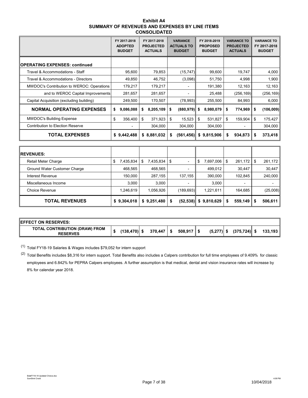| Exhibit A4                                     |
|------------------------------------------------|
| SUMMARY OF REVENUES AND EXPENSES BY LINE ITEMS |
| <b>CONSOLIDATED</b>                            |

|                                           |    | FY 2017-2018<br><b>ADOPTED</b><br><b>BUDGET</b> | FY 2017-2018<br><b>PROJECTED</b><br><b>ACTUALS</b> | <b>VARIANCE</b><br><b>ACTUALS TO</b><br><b>BUDGET</b> | FY 2018-2019<br><b>PROPOSED</b><br><b>BUDGET</b> | <b>VARIANCE TO</b><br><b>PROJECTED</b><br><b>ACTUALS</b> | <b>VARIANCE TO</b><br>FY 2017-2018<br><b>BUDGET</b> |
|-------------------------------------------|----|-------------------------------------------------|----------------------------------------------------|-------------------------------------------------------|--------------------------------------------------|----------------------------------------------------------|-----------------------------------------------------|
| <b>OPERATING EXPENSES: continued</b>      |    |                                                 |                                                    |                                                       |                                                  |                                                          |                                                     |
| Travel & Accommodations - Staff           |    | 95,600                                          | 79,853                                             | (15, 747)                                             | 99,600                                           | 19.747                                                   | 4,000                                               |
| Travel & Accommodations - Directors       |    | 49,850                                          | 46,752                                             | (3,098)                                               | 51,750                                           | 4,998                                                    | 1,900                                               |
| MWDOC's Contribution to WEROC: Operations |    | 179,217                                         | 179,217                                            |                                                       | 191,380                                          | 12,163                                                   | 12,163                                              |
| and to WEROC Capital Improvements         |    | 281,657                                         | 281,657                                            |                                                       | 25,488                                           | (256, 169)                                               | (256, 169)                                          |
| Capital Acquisition (excluding building)  |    | 249,500                                         | 170,507                                            | (78,993)                                              | 255,500                                          | 84,993                                                   | 6,000                                               |
| <b>NORMAL OPERATING EXPENSES</b>          | S  | 9,086,088                                       | \$<br>8,205,109                                    | \$<br>$(880, 979)$ \$                                 | 8,980,079                                        | \$<br>774,969                                            | \$<br>(106, 009)                                    |
| <b>MWDOC's Building Expense</b>           | \$ | 356,400                                         | \$<br>371,923                                      | \$<br>$15,523$ \$                                     | 531,827                                          | \$<br>159,904                                            | \$<br>175,427                                       |
| <b>Contribution to Election Reserve</b>   |    |                                                 | 304,000                                            | 304,000                                               | 304,000                                          |                                                          | 304,000                                             |
| <b>TOTAL EXPENSES</b>                     |    | \$9,442,488                                     | \$8,881,032                                        | \$                                                    | $(561, 456)$ \$ 9,815,906                        | \$<br>934,873                                            | \$<br>373,418                                       |
|                                           |    |                                                 |                                                    |                                                       |                                                  |                                                          |                                                     |
| <b>REVENUES:</b>                          |    |                                                 |                                                    |                                                       |                                                  |                                                          |                                                     |
| <b>Retail Meter Charge</b>                | \$ | 7,435,834                                       | \$<br>7,435,834                                    | \$<br>$\overline{a}$                                  | \$<br>7,697,006                                  | \$<br>261,172                                            | \$<br>261,172                                       |
| Ground Water Customer Charge              |    | 468,565                                         | 468,565                                            |                                                       | 499,012                                          | 30,447                                                   | 30,447                                              |
| <b>Interest Revenue</b>                   |    | 150,000                                         | 287,155                                            | 137,155                                               | 390,000                                          | 102,845                                                  | 240,000                                             |
| Miscellaneous Income                      |    | 3,000                                           | 3,000                                              |                                                       | 3,000                                            |                                                          |                                                     |
| Choice Revenue                            |    | 1 246 619                                       | 1 056 926                                          | (189693)                                              | 1 221 611                                        | 164 685                                                  | (25.008)                                            |

| Choice Revenue        | 1.246.619 | 1.056.926                           | (189, 693) | 1,221,611                  | 164.685              | (25,008) |
|-----------------------|-----------|-------------------------------------|------------|----------------------------|----------------------|----------|
| <b>TOTAL REVENUES</b> |           | $$9,304,018 \mid $9,251,480 \mid $$ |            | $(52,538)$ \$ 9,810,629 \$ | $559,149$ $\sqrt{5}$ | 506.611  |
|                       |           |                                     |            |                            |                      |          |

| <b>IEFFECT ON RESERVES:</b>                       |                 |                         |                          |              |                 |         |
|---------------------------------------------------|-----------------|-------------------------|--------------------------|--------------|-----------------|---------|
| TOTAL CONTRIBUTION (DRAW) FROM<br><b>RESERVES</b> | $(138, 470)$ \$ | $370.447$ $\frac{1}{5}$ | $508,917$ $\parallel$ \$ | $(5,277)$ \$ | $(375, 724)$ \$ | 133,193 |

(1) Total FY18-19 Salaries & Wages includes \$79,052 for intern support

 $(2)$  Total Benefits includes \$8,316 for intern support. Total Benefits also includes a Calpers contribution for full time employees of 9.409% for classic employees and 6.842% for PEPRA Calpers employees. A further assumption is that medical, dental and vision insurance rates will increase by 8% for calendar year 2018.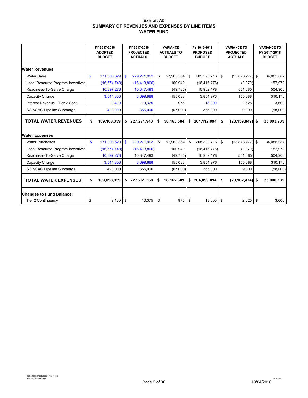#### **Exhibit A5 SUMMARY OF REVENUES AND EXPENSES BY LINE ITEMS WATER FUND**

|                                   |              | FY 2017-2018<br><b>ADOPTED</b><br><b>BUDGET</b> |     | FY 2017-2018<br><b>PROJECTED</b><br><b>ACTUALS</b> | <b>VARIANCE</b><br><b>ACTUALS TO</b><br><b>BUDGET</b> | FY 2018-2019<br><b>PROPOSED</b><br><b>BUDGET</b> | <b>VARIANCE TO</b><br><b>PROJECTED</b><br><b>ACTUALS</b> |            | <b>VARIANCE TO</b><br>FY 2017-2018<br><b>BUDGET</b> |
|-----------------------------------|--------------|-------------------------------------------------|-----|----------------------------------------------------|-------------------------------------------------------|--------------------------------------------------|----------------------------------------------------------|------------|-----------------------------------------------------|
| <b>Water Revenues</b>             |              |                                                 |     |                                                    |                                                       |                                                  |                                                          |            |                                                     |
| <b>Water Sales</b>                | \$           | 171,308,629                                     | -\$ | 229,271,993                                        | \$<br>57,963,364                                      | \$<br>205,393,716                                | \$<br>$(23,878,277)$ \$                                  |            | 34,085,087                                          |
| Local Resource Program Incentives |              | (16, 574, 748)                                  |     | (16, 413, 806)                                     | 160,942                                               | (16, 416, 776)                                   | (2,970)                                                  |            | 157,972                                             |
| Readiness-To-Serve Charge         |              | 10,397,278                                      |     | 10,347,493                                         | (49, 785)                                             | 10,902,178                                       | 554,685                                                  |            | 504,900                                             |
| Capacity Charge                   |              | 3,544,800                                       |     | 3,699,888                                          | 155,088                                               | 3,854,976                                        | 155,088                                                  |            | 310,176                                             |
| Interest Revenue - Tier 2 Cont.   |              | 9,400                                           |     | 10,375                                             | 975                                                   | 13,000                                           | 2,625                                                    |            | 3,600                                               |
| <b>SCP/SAC Pipeline Surcharge</b> |              | 423,000                                         |     | 356,000                                            | (67,000)                                              | 365,000                                          | 9,000                                                    |            | (58,000)                                            |
| <b>TOTAL WATER REVENUES</b>       | \$           | 169,108,359                                     | \$  | 227,271,943                                        | \$<br>58,163,584                                      | \$<br>204,112,094                                | \$<br>$(23, 159, 849)$ \$                                |            | 35,003,735                                          |
| <b>Water Expenses</b>             |              |                                                 |     |                                                    |                                                       |                                                  |                                                          |            |                                                     |
| <b>Water Purchases</b>            | $\mathbf{s}$ | 171,308,629                                     | \$  | 229,271,993                                        | \$<br>57,963,364                                      | \$<br>205,393,716                                | \$<br>$(23,878,277)$ \$                                  |            | 34,085,087                                          |
| Local Resource Program Incentives |              | (16, 574, 748)                                  |     | (16, 413, 806)                                     | 160,942                                               | (16, 416, 776)                                   | (2,970)                                                  |            | 157,972                                             |
| Readiness-To-Serve Charge         |              | 10,397,278                                      |     | 10,347,493                                         | (49, 785)                                             | 10,902,178                                       | 554,685                                                  |            | 504,900                                             |
| Capacity Charge                   |              | 3,544,800                                       |     | 3,699,888                                          | 155,088                                               | 3,854,976                                        | 155,088                                                  |            | 310,176                                             |
| <b>SCP/SAC Pipeline Surcharge</b> |              | 423,000                                         |     | 356,000                                            | (67,000)                                              | 365,000                                          | 9,000                                                    |            | (58,000)                                            |
| <b>TOTAL WATER EXPENSES</b>       | S.           | 169,098,959                                     | S   | 227,261,568                                        | \$<br>58,162,609                                      | \$<br>204,099,094                                | \$<br>$(23, 162, 474)$ \$                                |            | 35,000,135                                          |
| <b>Changes to Fund Balance:</b>   |              |                                                 |     |                                                    |                                                       |                                                  |                                                          |            |                                                     |
| <b>Tier 2 Contingency</b>         | \$           | 9,400                                           | \$  | 10,375                                             | \$<br>975                                             | \$<br>13,000                                     | \$<br>2,625                                              | $\sqrt{3}$ | 3,600                                               |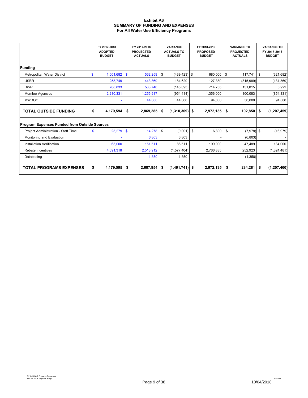#### **Exhibit A6 SUMMARY OF FUNDING AND EXPENSES For All Water Use Efficiency Programs**

|                                              | FY 2017-2018<br><b>ADOPTED</b><br><b>BUDGET</b> | FY 2017-2018<br><b>PROJECTED</b><br><b>ACTUALS</b> | <b>VARIANCE</b><br><b>ACTUALS TO</b><br><b>BUDGET</b> | FY 2018-2019<br><b>PROPOSED</b><br><b>BUDGET</b> | <b>VARIANCE TO</b><br><b>PROJECTED</b><br><b>ACTUALS</b> | <b>VARIANCE TO</b><br>FY 2017-2018<br><b>BUDGET</b> |
|----------------------------------------------|-------------------------------------------------|----------------------------------------------------|-------------------------------------------------------|--------------------------------------------------|----------------------------------------------------------|-----------------------------------------------------|
| Funding                                      |                                                 |                                                    |                                                       |                                                  |                                                          |                                                     |
| Metropolitan Water District                  | $\mathbf{s}$<br>1,001,682                       | $\mathbf{\$}$<br>562,259                           | \$<br>$(439, 423)$ \$                                 | 680,000                                          | \$<br>117,741                                            | $\sqrt{3}$<br>(321, 682)                            |
| <b>USBR</b>                                  | 258,749                                         | 443,369                                            | 184,620                                               | 127,380                                          | (315,989)                                                | (131, 369)                                          |
| <b>DWR</b>                                   | 708,833                                         | 563,740                                            | (145,093)                                             | 714,755                                          | 151,015                                                  | 5,922                                               |
| <b>Member Agencies</b>                       | 2,210,331                                       | 1,255,917                                          | (954, 414)                                            | 1,356,000                                        | 100,083                                                  | (854, 331)                                          |
| <b>MWDOC</b>                                 |                                                 | 44,000                                             | 44,000<br>94,000<br>50,000                            |                                                  | 94,000                                                   |                                                     |
| <b>TOTAL OUTSIDE FUNDING</b>                 | \$<br>4,179,594                                 | 2,869,285<br>\$                                    | (1,310,309)<br>\$                                     | 2,972,135<br>\$                                  | $102,850$ \$<br>\$                                       | (1, 207, 459)                                       |
| Program Expenses Funded from Outside Sources |                                                 |                                                    |                                                       |                                                  |                                                          |                                                     |
| Project Administration - Staff Time          | 23,279<br>\$                                    | $\mathbf{\$}$<br>14,278                            | \$<br>(9,001)                                         | \$<br>6,300                                      | \$<br>$(7,978)$ \$                                       | (16, 979)                                           |
| Monitoring and Evaluation                    |                                                 | 6,803                                              | 6,803                                                 |                                                  | (6,803)                                                  |                                                     |
| <b>Installation Verification</b>             | 65,000                                          | 151,511                                            | 86,511                                                | 199,000                                          | 47,489                                                   | 134,000                                             |
| Rebate Incentives                            | 4,091,316                                       | 2,513,912                                          | (1,577,404)                                           | 2,766,835                                        | 252,923                                                  | (1,324,481)                                         |
| Databasing                                   |                                                 | 1,350                                              | 1,350                                                 |                                                  | (1,350)                                                  |                                                     |
| <b>TOTAL PROGRAMS EXPENSES</b>               | \$<br>4,179,595                                 | 2,687,854<br>\$                                    | $(1,491,741)$ \$<br>S                                 | 2,972,135                                        | $284,281$ \$<br>\$                                       | (1, 207, 460)                                       |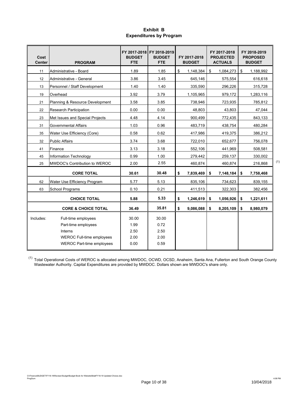## **Exhibit B Expenditures by Program**

| Cost<br><b>Center</b> | <b>PROGRAM</b>                             | <b>BUDGET</b><br><b>FTE</b> | FY 2017-2018 FY 2018-2019<br><b>BUDGET</b><br><b>FTE</b> | FY 2017-2018<br><b>BUDGET</b> | FY 2017-2018<br><b>PROJECTED</b><br><b>ACTUALS</b> | FY 2018-2019<br><b>PROPOSED</b><br><b>BUDGET</b> |     |
|-----------------------|--------------------------------------------|-----------------------------|----------------------------------------------------------|-------------------------------|----------------------------------------------------|--------------------------------------------------|-----|
| 11                    | Administrative - Board                     | 1.89                        | 1.85                                                     | \$<br>1,148,384               | 1,084,273<br>\$                                    | \$<br>1,188,992                                  |     |
| 12                    | Administrative - General                   | 3.86                        | 3.45                                                     | 645,146                       | 575,554                                            | 616,618                                          |     |
| 13                    | Personnel / Staff Development              | 1.40                        | 1.40                                                     | 335,590                       | 296,226                                            | 315,728                                          |     |
| 19                    | Overhead                                   | 3.92                        | 3.79                                                     | 1,105,965                     | 979,172                                            | 1,283,116                                        |     |
| 21                    | Planning & Resource Development            | 3.58                        | 3.85                                                     | 738,946                       | 723,935                                            | 785.812                                          |     |
| 22                    | <b>Research Participation</b>              | 0.00                        | 0.00                                                     | 48,803                        | 43,803                                             | 47,044                                           |     |
| 23                    | Met Issues and Special Projects            | 4.48                        | 4.14                                                     | 900,499                       | 772,435                                            | 843,133                                          |     |
| 31                    | <b>Governmental Affairs</b>                | 1.03                        | 0.96                                                     | 483,719                       | 438,754                                            | 480,284                                          |     |
| 35                    | Water Use Efficiency (Core)                | 0.58                        | 0.62                                                     | 417,986                       | 419,375                                            | 386,212                                          |     |
| 32                    | <b>Public Affairs</b>                      | 3.74                        | 3.68                                                     | 722,010                       | 652.677                                            | 756,078                                          |     |
| 41                    | Finance                                    | 3.13                        | 3.18                                                     | 552,106                       | 441,969                                            | 508,581                                          |     |
| 45                    | Information Technology                     | 0.99                        | 1.00                                                     | 279,442                       | 259,137                                            | 330.002                                          |     |
| 25                    | <b>IMWDOC's Contribution to WEROC</b>      | 2.00                        | 2.55                                                     | 460,874                       | 460,874                                            | 216,868                                          | (1) |
|                       | <b>CORE TOTAL</b>                          | 30.61                       | 30.48                                                    | \$<br>7,839,469               | \$<br>7,148,184                                    | \$<br>7,758,468                                  |     |
| 62                    | Water Use Efficiency Program               | 5.77                        | 5.13                                                     | 835,106                       | 734,623                                            | 839,155                                          |     |
| 63                    | <b>School Programs</b>                     | 0.10                        | 0.21                                                     | 411,513                       | 322,303                                            | 382,456                                          |     |
|                       | <b>CHOICE TOTAL</b>                        | 5.88                        | 5.33                                                     | \$<br>1,246,619               | \$<br>1,056,926                                    | \$<br>1,221,611                                  |     |
|                       | <b>CORE &amp; CHOICE TOTAL</b>             | 36.49                       | 35.81                                                    | \$<br>9,086,088               | 8,205,109<br>\$                                    | \$<br>8,980,079                                  |     |
| Includes:             | Full-time employees<br>Part-time employees | 30.00<br>1.99               | 30.00<br>0.72                                            |                               |                                                    |                                                  |     |
|                       | Interns                                    | 2.50                        | 2.50                                                     |                               |                                                    |                                                  |     |
|                       | <b>WEROC Full-time employees</b>           | 2.00                        | 2.00                                                     |                               |                                                    |                                                  |     |
|                       | <b>WEROC Part-time employees</b>           | 0.00                        | 0.59                                                     |                               |                                                    |                                                  |     |

 $^{(1)}$  Total Operational Costs of WEROC is allocated among MWDOC, OCWD, OCSD, Anaheim, Santa Ana, Fullerton and South Orange County Wastewater Authority. Capital Expenditures are provided by MWDOC. Dollars shown are MWDOC's share only.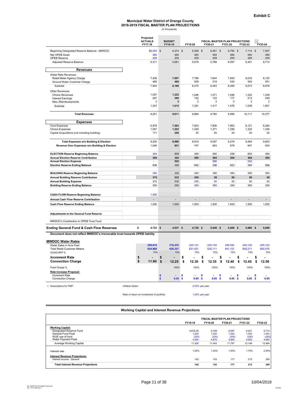## **2018-2019 FISCAL MASTER PLAN PROJECTIONS** (in thousands) **Municipal Water District of Orange County**

|                                                                                          |                                            | Projected<br><b>ACTUALS</b><br>FY17-18 | FY18-19 | <b>BUDGET</b>  |    | FY19-20        |                | FY20-21        |    | FISCAL MASTER PLAN PROJECTIONS<br>FY21-22 |     | FY22-23           | 1  | FY23-24        |
|------------------------------------------------------------------------------------------|--------------------------------------------|----------------------------------------|---------|----------------|----|----------------|----------------|----------------|----|-------------------------------------------|-----|-------------------|----|----------------|
| Beginning Designated Reserve Balance - MWDOC                                             |                                            | $$6,004$ \$                            |         | $6,374$ \$     |    | 6,369 \$       |                | $6,461$ \$     |    | 6,790 \$                                  |     | $7,114$ \$        |    | 7,407          |
| Net OPEB Asset                                                                           |                                            | 484                                    |         | 484            |    | 484            |                | 484            |    | 484                                       |     | 484               |    | 484            |
| OPEB Reserve                                                                             |                                            | 209                                    |         | 209            |    | 209            |                | 209            |    | 209                                       |     | 209               |    | 209            |
| Adjusted Reserve Balance                                                                 |                                            | 5,311                                  |         | 5,681          |    | 5,676          |                | 5,768          |    | 6,097                                     |     | 6,421             |    | 6,714          |
| <b>Revenues</b>                                                                          |                                            |                                        |         |                |    |                |                |                |    |                                           |     |                   |    |                |
| Water Rate Revenues:                                                                     |                                            |                                        |         |                |    |                |                |                |    |                                           |     |                   |    |                |
| Retail Meter Agency Charge                                                               |                                            | 7,436                                  |         | 7,697          |    | 7,766          |                | 7,844          |    | 7.950                                     |     | 8,033             |    | 8,125          |
| Ground Water Customer Charge                                                             |                                            | 469                                    |         | 499            |    | 509            |                | 519            |    | 530                                       |     | 540               |    | 551            |
| Subtotal                                                                                 |                                            | 7,904                                  |         | 8,196          |    | 8,275          |                | 8,363          |    | 8,480                                     |     | 8,573             |    | 8,676          |
| Other Revenues:                                                                          |                                            |                                        |         |                |    |                |                |                |    |                                           |     |                   |    |                |
| <b>Choice Revenues</b><br><b>Interest Earnings</b>                                       |                                            | 1,057<br>287                           |         | 1,222<br>390   |    | 1,246<br>142   |                | 1,271<br>143   |    | 1,296<br>177                              |     | 1,322<br>213      |    | 1,349<br>249   |
| Misc./Reimbursements                                                                     |                                            |                                        |         | 3              |    | 3              |                | 3              |    | 3                                         |     | 3                 |    | 3              |
| Subtotal                                                                                 |                                            | 1,347                                  |         | 1,615          |    | 1,391          |                | 1,417          |    | 1,476                                     |     | 1,538             |    | 1,601          |
| <b>Total Revenues</b>                                                                    |                                            | 9,251                                  |         | 9,811          |    | 9,666          |                | 9,780          |    | 9,956                                     |     | 10,111            |    | 10,277         |
| <b>Expenses</b>                                                                          |                                            |                                        |         |                |    |                |                |                |    |                                           |     |                   |    |                |
| <b>Core Expenses</b>                                                                     |                                            | 6,978                                  |         | 7,503          |    | 7,653          |                | 7,806          |    | 7,962                                     |     | 8,121             |    | 8,284          |
| <b>Choice Expenses</b>                                                                   |                                            | 1,057                                  |         | 1,222          |    | 1,246          |                | 1,271          |    | 1,296                                     |     | 1,322             |    | 1,349          |
| Capital Acquisitions (not including building)                                            |                                            | 171                                    |         | 256            |    | 20             |                | 20             |    | 20                                        |     | 20                |    | 20             |
| <b>Total Expenses w/o Building &amp; Election</b>                                        |                                            | 8,205                                  |         | 8,980          |    | 8,919          |                | 9,097          |    | 9,279                                     |     | 9,464             |    | 9,653          |
| Revenue Over Expenses w/o Building & Election                                            |                                            | 1,046                                  |         | 831            |    | 747            |                | 683            |    | 678                                       |     | 647               |    | 624            |
| <b>ELECTION Reserve Beginning Balance</b>                                                |                                            | 304                                    |         | 608            |    | 390            |                | 690            |    | 298                                       |     | 602               |    | 384            |
| <b>Annual Election Reserve Contribution</b>                                              |                                            | 304                                    |         | 304            |    | 300            |                | 304            |    | 304                                       |     | 304               |    | 304            |
| <b>Annual Election Expense</b><br><b>Election Reserve Ending Balance</b>                 |                                            | 608                                    |         | 522<br>390     |    | 690            |                | 696<br>298     |    | 602                                       |     | 522<br>384        |    | 688            |
|                                                                                          |                                            | 350                                    |         | 350            |    | 350            |                | 350            |    | 350                                       |     | 350               |    | 350            |
| <b>BUILDING Reserve Beginning Balance</b><br><b>Annual Building Reserve Contribution</b> |                                            | 372                                    |         | 532            |    | 355            |                | 50             |    | 50                                        |     | 50                |    | 50             |
| <b>Annual Building Expense</b>                                                           |                                            | 372                                    |         | 532            |    | 355            |                | 50             |    | 50                                        |     | 50                |    | 50             |
| <b>Building Reserve Ending Balance</b>                                                   |                                            | 350                                    |         | 350            |    | 350            |                | 350            |    | 350                                       |     | 350               |    | 350            |
|                                                                                          |                                            |                                        |         |                |    |                |                |                |    |                                           |     |                   |    |                |
| <b>CASH FLOW Reserve Beginning Balance</b>                                               |                                            | 1,500                                  |         |                |    |                |                |                |    |                                           |     |                   |    |                |
| Annual Cash Flow Reserve Contribution                                                    |                                            |                                        |         | $\overline{a}$ |    |                |                |                |    |                                           |     |                   |    |                |
| <b>Cash Flow Reserve Ending Balance</b>                                                  |                                            | 1,500                                  |         | 1,500          |    | 1,500          |                | 1,500          |    | 1,500                                     |     | 1,500             |    | 1,500          |
| <b>Adjustments to the General Fund Reserve</b>                                           |                                            |                                        |         |                |    |                |                |                |    |                                           |     |                   |    |                |
| MWDOC's Contribution to OPEB Trust Fund                                                  |                                            |                                        |         |                |    |                |                |                |    |                                           |     |                   |    |                |
| <b>Ending General Fund &amp; Cash Flow Reserves</b>                                      | \$                                         | 4,723 \$                               |         | 4,937 \$       |    | 4,728 \$       |                | 5,449 \$       |    | $5,469$ \$                                |     | 5,980 \$          |    | 5,946          |
| Document does not reflect MWDOC's irrevocable trust towards OPEB liability               |                                            |                                        |         |                |    |                |                |                |    |                                           |     |                   |    |                |
| <b>MWDOC Water Rates</b>                                                                 |                                            |                                        |         |                |    |                |                |                |    |                                           |     |                   |    |                |
| Water Sales in Acre Feet                                                                 |                                            | 259,619                                |         | 216,233        |    | 220,121        |                | 230,154        |    | 238,554                                   |     | 240,123           |    | 245,123        |
| <b>Total Retail Customer Meters</b><br>OCWD BPP %                                        |                                            | 624,860<br>75%                         |         | 628,327<br>75% |    | 631,421<br>75% |                | 635,111<br>75% |    | 641,151<br>75%                            |     | 645,211<br>75%    |    | 650,010<br>75% |
| <b>Increment Rate</b>                                                                    |                                            |                                        |         |                | \$ |                | \$             |                | \$ |                                           | \$  |                   | \$ |                |
| <b>Connection Charge</b>                                                                 | \$<br>\$                                   | 11.90                                  | \$      | 12.25          | \$ | 12.30          | \$             | 12.35          | \$ | 12.40                                     | \$  | 12.45             | \$ | 12.50          |
| Fixed Charge %                                                                           |                                            |                                        |         | 100%           |    | 100%           |                | 100%           |    | 100%                                      |     | 100%              |    | 100%           |
| Rate Increase Proposal:                                                                  |                                            |                                        |         |                |    |                |                |                |    |                                           |     |                   |    |                |
| <b>Increment Rate</b>                                                                    |                                            |                                        | S       |                | S  |                | S              |                | s  |                                           | s   |                   | S  |                |
| Connection Charge                                                                        |                                            |                                        | \$      | $0.35$ \$      |    | $0.05$ \$      |                | $0.05$ \$      |    | 0.05                                      | -\$ | 0.05 <sub>5</sub> |    | 0.05           |
| 1 Assumptions for FMP:                                                                   | Inflation factor:                          |                                        |         |                |    | 2.00% per year |                |                |    |                                           |     |                   |    |                |
|                                                                                          | Rate of return on Investment of portfolio: |                                        |         |                |    |                | 1.25% per year |                |    |                                           |     |                   |    |                |

#### **Working Capital and Interest Revenue Projections**

|                                           |          | <b>FISCAL MASTER PLAN PROJECTIONS</b> |         |         |         |
|-------------------------------------------|----------|---------------------------------------|---------|---------|---------|
|                                           | FY18-19  | FY19-20                               | FY20-21 | FY21-22 | FY22-23 |
| <b>Working Capital:</b>                   |          |                                       |         |         |         |
| Designated Reserve Fund                   | 5.676.45 | 5.768                                 | 6.097   | 6.421   | 6,714   |
| General Fund Float                        | 1.000    | 1.000                                 | 1.000   | 1.000   | 1,000   |
| WUE use of fund                           | (200)    | (200)                                 | (200)   | (200)   | (200)   |
| Water Payment Float                       | 4.850    | 4.875                                 | 4.900   | 4.925   | 4,950   |
| Average Working Capital                   | 11,326   | 11.443                                | 11,797  | 12,146  | 12,464  |
| Interest rate                             | 1.25%    | 1.25%                                 | 1.50%   | 1.75%   | 2.00%   |
| <b>Interest Revenue Projections:</b>      |          |                                       |         |         |         |
| Interest income - General                 | 142      | 143                                   | 177     | 213     | 249     |
| <b>Total Interest Revenue Projections</b> | 142      | 143                                   | 177     | 213     | 249     |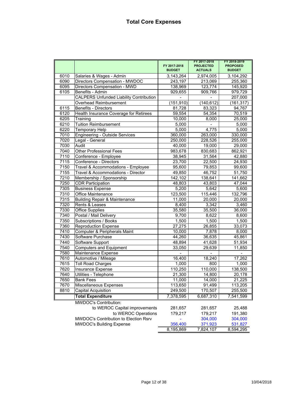|      |                                                | FY 2017-2018<br><b>BUDGET</b> | FY 2017-2018<br><b>PROJECTED</b><br><b>ACTUALS</b> | FY 2018-2019<br><b>PROPOSED</b><br><b>BUDGET</b> |
|------|------------------------------------------------|-------------------------------|----------------------------------------------------|--------------------------------------------------|
| 6010 | Salaries & Wages - Admin                       | 3,143,264                     | 2,974,005                                          | 3,104,292                                        |
| 6090 | Directors Compensation - MWDOC                 | 243,197                       | 213,069                                            | 255,360                                          |
| 6095 | Directors Compensation - MWD                   | 138,969                       | 123,774                                            | 145,920                                          |
| 6105 | Benefits - Admin                               | 929,655                       | 909,766                                            | 979,729                                          |
|      | <b>CALPERS Unfunded Liability Contribution</b> |                               |                                                    | 207,000                                          |
|      | Overhead Reimbursement                         | (151, 910)                    | (140, 612)                                         | (161, 317)                                       |
| 6115 | Benefits - Directors                           | 81,728                        | 83,323                                             | 94,767                                           |
| 6120 | Health Insurance Coverage for Retirees         | 59,554                        | 54,354                                             | 70,519                                           |
| 6205 | Training                                       | 10,000                        | 8,000                                              | 25,000                                           |
| 6210 | <b>Tuition Reimbursement</b>                   | 5,000                         |                                                    | 5,000                                            |
| 6220 | <b>Temporary Help</b>                          | 5,000                         | 4,775                                              | 5,000                                            |
| 7010 | <b>Engineering - Outside Services</b>          | 360,000                       | 263,000                                            | 330,000                                          |
| 7020 | Legal - General                                | 250,000                       | 228,526                                            | 255,000                                          |
| 7030 | Audit                                          | 40,000                        | 19,000                                             | 29,000                                           |
| 7040 | <b>Other Professional Fees</b>                 | 983,678                       | 830,683                                            | 862,921                                          |
| 7110 | Conference - Employee                          | 38,945                        | 31,564                                             | 42,880                                           |
| 7115 | Conference - Directors                         | 23,700                        | 22,500                                             | 24,930                                           |
| 7150 | Travel & Accommodations - Employee             | 95,600                        | 79,853                                             | 99,600                                           |
| 7155 | Travel & Accommodations - Director             | 49,850                        | 46,752                                             | 51,750                                           |
| 7210 | Membership / Sponsorship                       | 142,102                       | 138,641                                            | 141,662                                          |
| 7250 | <b>CDR Participation</b>                       | 48,803                        | 43,803                                             | 47,044                                           |
| 7305 | <b>Business Expense</b>                        | 5,200                         | 5,642                                              | 5,600                                            |
| 7310 | <b>Office Maintenance</b>                      | 123,500                       | 115,446                                            | 132,796                                          |
| 7315 | <b>Building Repair &amp; Maintenance</b>       | 11,000                        | 20,000                                             | 20,000                                           |
| 7320 | Rents & Leases                                 | 8,400                         | 3,342                                              | 3,460                                            |
| 7330 | <b>Office Supplies</b>                         | 35,580                        | 35,500                                             | 36,000                                           |
| 7340 | Postal / Mail Delivery                         | 9,700                         | 8,622                                              | 8,600                                            |
| 7350 | Subscriptions / Books                          | 1,500                         | 1,500                                              | 1,500                                            |
| 7360 | <b>Reproduction Expense</b>                    | 27,275                        | 26,855                                             | 33,073                                           |
| 7410 | Computer & Peripherals Maint                   | 10,000                        | 7,878                                              | 8,000                                            |
| 7430 | Software Purchase                              | 44,260                        | 36,635                                             | 45,861                                           |
| 7440 | Software Support                               | 48,894                        | 41,628                                             | 51,934                                           |
| 7540 | <b>Computers and Equipment</b>                 | 33,050                        | 29,639                                             | 11,850                                           |
| 7580 | Maintenance Expense                            |                               |                                                    |                                                  |
| 7610 | Automotive / Mileage                           | 16,400                        | 18,240                                             | 17,262                                           |
| 7615 | <b>Toll Road Charges</b>                       | 1,000                         | 800                                                | 1,000                                            |
| 7620 | <b>Insurance Expense</b>                       | 110,250                       | 110,000                                            | 138,500                                          |
| 7640 | Utilities - Telephone                          | 21,300                        | 14,800                                             | 20,178                                           |
| 7650 | <b>Bank Fees</b>                               | 11,000                        | 14,000                                             | 21,225                                           |
| 7670 | Miscellaneous Expenses                         | 113,650                       | 91,499                                             | 113,205                                          |
| 8810 | Capital Acquisition                            | 249,500                       | 170,507                                            | 255,500                                          |
|      | <b>Total Expenditure</b>                       | 7,378,595                     | 6,687,310                                          | 7,541,599                                        |
|      | <b>MWDOC's Contribution:</b>                   |                               |                                                    |                                                  |
|      | to WEROC Capital improvements                  | 281,657                       | 281,657                                            | 25,488                                           |
|      | to WEROC Operations                            | 179,217                       | 179,217                                            | 191,380                                          |
|      | MWDOC's Contribution to Election Rsrv          |                               | 304,000                                            | 304,000                                          |
|      | <b>MWDOC's Building Expense</b>                | 356,400                       | 371,923                                            | 531,827                                          |
|      |                                                | 8,195,869                     | 7,824,107                                          | 8,594,295                                        |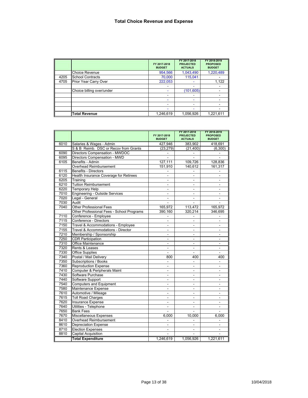|      |                           | FY 2017-2018<br><b>BUDGET</b> | FY 2017-2018<br><b>PROJECTED</b><br><b>ACTUALS</b> | FY 2018-2019<br><b>PROPOSED</b><br><b>BUDGET</b> |
|------|---------------------------|-------------------------------|----------------------------------------------------|--------------------------------------------------|
|      | <b>Choice Revenue</b>     | 954,566                       | 1,043,490                                          | 1,220,489                                        |
| 4205 | <b>School Contracts</b>   | 70,000                        | 115,041                                            |                                                  |
| 4705 | Prior Year Carry Over     | 222,053                       | ۰                                                  | 1,122                                            |
|      |                           | ۰                             | ۰                                                  |                                                  |
|      | Choice billing over/under | -                             | (101, 605)                                         |                                                  |
|      |                           |                               |                                                    |                                                  |
|      |                           |                               |                                                    |                                                  |
|      |                           |                               |                                                    |                                                  |
|      |                           |                               |                                                    |                                                  |
|      | <b>Total Revenue</b>      | 1,246,619                     | 1,056,926                                          | 1,221,611                                        |

|      |                                           | FY 2017-2018<br><b>BUDGET</b> | FY 2017-2018<br><b>PROJECTED</b><br><b>ACTUALS</b> | FY 2018-2019<br><b>PROPOSED</b><br><b>BUDGET</b> |
|------|-------------------------------------------|-------------------------------|----------------------------------------------------|--------------------------------------------------|
| 6010 | Salaries & Wages - Admin                  | 427,946                       | 383,902                                            | 418,691                                          |
|      | S & B Reimb. DSC or Recov from Grants     | (23, 279)                     | (21, 400)                                          | (6, 300)                                         |
| 6090 | Directors Compensation - MWDOC            |                               |                                                    |                                                  |
| 6095 | Directors Compensation - MWD              |                               |                                                    |                                                  |
| 6105 | Benefits - Admin                          | 127,111                       | 109,726                                            | 128,836                                          |
|      | Overhead Reimbursement                    | 151,910                       | 140,612                                            | 161,317                                          |
| 6115 | <b>Benefits - Directors</b>               |                               |                                                    |                                                  |
| 6120 | Health Insurance Coverage for Retirees    | $\overline{a}$                |                                                    |                                                  |
| 6205 | Training                                  |                               |                                                    |                                                  |
| 6210 | <b>Tuition Reimbursement</b>              | $\blacksquare$                | $\overline{\phantom{a}}$                           | ٠                                                |
| 6220 | <b>Temporary Help</b>                     | $\sim$                        | ÷                                                  | ÷.                                               |
| 7010 | <b>Engineering - Outside Services</b>     |                               |                                                    |                                                  |
| 7020 | Legal - General                           |                               | L.                                                 |                                                  |
| 7030 | Audit                                     |                               |                                                    |                                                  |
| 7040 | <b>Other Professional Fees</b>            | 165,972                       | 113,472                                            | 165,972                                          |
|      | Other Professional Fees - School Programs | 390,160                       | 320,214                                            | 346,695                                          |
| 7110 | Conference - Employee                     |                               |                                                    |                                                  |
| 7115 | Conference - Directors                    |                               |                                                    |                                                  |
| 7150 | Travel & Accommodations - Employee        |                               |                                                    |                                                  |
| 7155 | Travel & Accommodations - Director        | $\qquad \qquad \blacksquare$  | $\overline{\phantom{0}}$                           | ۰                                                |
| 7210 | Membership / Sponsorship                  |                               |                                                    |                                                  |
| 7250 | <b>CDR Participation</b>                  | $\blacksquare$                | $\blacksquare$                                     | ٠                                                |
| 7310 | <b>Office Maintenance</b>                 |                               | $\blacksquare$                                     | $\blacksquare$                                   |
| 7320 | Rents & Leases                            |                               | $\blacksquare$                                     |                                                  |
| 7330 | <b>Office Supplies</b>                    |                               | ÷.                                                 |                                                  |
| 7340 | Postal / Mail Delivery                    | 800                           | 400                                                | 400                                              |
| 7350 | Subscriptions / Books                     | L.                            | $\overline{\phantom{0}}$                           | $\overline{a}$                                   |
| 7360 | Reproduction Expense                      |                               |                                                    | ÷                                                |
| 7410 | Computer & Peripherals Maint              | ä,                            | ÷.                                                 | ÷.                                               |
| 7430 | Software Purchase                         | $\qquad \qquad \blacksquare$  | $\overline{\phantom{0}}$                           | $\overline{\phantom{0}}$                         |
| 7440 | Software Support                          |                               |                                                    |                                                  |
| 7540 | <b>Computers and Equipment</b>            | ٠                             | $\sim$                                             | $\blacksquare$                                   |
| 7580 | Maintenance Expense                       | ÷.                            | ÷.                                                 | $\blacksquare$                                   |
| 7610 | Automotive / Mileage                      |                               |                                                    |                                                  |
| 7615 | <b>Toll Road Charges</b>                  | $\blacksquare$                | $\blacksquare$                                     | $\blacksquare$                                   |
| 7620 | <b>Insurance Expense</b>                  |                               |                                                    |                                                  |
| 7640 | Utilities - Telephone                     | $\blacksquare$                | $\overline{\phantom{a}}$                           | $\overline{\phantom{a}}$                         |
| 7650 | <b>Bank Fees</b>                          | ÷                             |                                                    |                                                  |
| 7670 | Miscellaneous Expenses                    | 6,000                         | 10,000                                             | 6,000                                            |
| 8410 | Overhead Reimbursement                    |                               |                                                    |                                                  |
| 8610 | <b>Depreciation Expense</b>               |                               |                                                    |                                                  |
| 8710 | <b>Election Expenses</b>                  |                               |                                                    |                                                  |
| 8810 | <b>Capital Acquisition</b>                |                               |                                                    |                                                  |
|      | <b>Total Expenditure</b>                  | 1,246,619                     | 1,056,926                                          | 1,221,611                                        |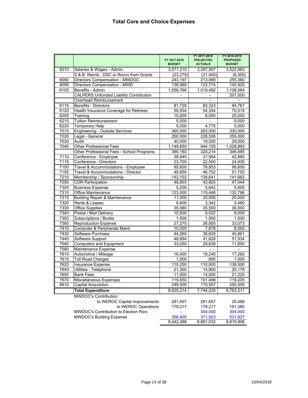|      |                                                | FY 2017 2018<br><b>BUDGET</b> | FY 2017 2018<br><b>PROJECTED</b><br><b>ACTUALS</b> | FY 2018 2019<br><b>PROPOSED</b><br><b>BUDGET</b> |
|------|------------------------------------------------|-------------------------------|----------------------------------------------------|--------------------------------------------------|
| 6010 | Salaries & Wages - Admin                       | 3,571,210                     | 3,357,907                                          | 3,522,983                                        |
|      | S & B Reimb. DSC or Recov from Grants          | (23, 279)                     | (21, 400)                                          | (6,300)                                          |
| 6090 | Directors Compensation - MWDOC                 | 243,197                       | 213,069                                            | 255,360                                          |
| 6095 | Directors Compensation - MWD                   | 138,969                       | 123,774                                            | 145,920                                          |
| 6105 | Benefits - Admin                               | 1.056.766                     | 1,019,492                                          | 1,108,564                                        |
|      | <b>CALPERS Unfunded Liability Contribution</b> |                               |                                                    | 207,000                                          |
|      | Overhead Reimbursement                         | $\mathbf{r}$                  |                                                    |                                                  |
| 6115 | <b>Benefits - Directors</b>                    | 81,728                        | 83,323                                             | 94,767                                           |
| 6120 | Health Insurance Coverage for Retirees         | 59,554                        | 54,354                                             | 70,519                                           |
| 6205 | Training                                       | 10,000                        | 8,000                                              | 25,000                                           |
| 6210 | <b>Tuition Reimbursement</b>                   | 5,000                         | ÷                                                  | 5,000                                            |
| 6220 | <b>Temporary Help</b>                          | 5,000                         | 4,775                                              | 5,000                                            |
| 7010 | <b>Engineering - Outside Services</b>          | 360,000                       | 263,000                                            | 330,000                                          |
| 7020 | Legal - General                                | 250,000                       | 228,526                                            | 255,000                                          |
| 7030 | Audit                                          | 40,000                        | 19,000                                             | 29,000                                           |
| 7040 | <b>Other Professional Fees</b>                 | 1,149,650                     | 944,155                                            | 1,028,893                                        |
|      | Other Professional Fees - School Programs      | 390,160                       | 320,214                                            | 346,695                                          |
| 7110 | Conference - Employee                          | 38,945                        | 31,564                                             | 42,880                                           |
| 7115 | Conference - Directors                         | 23,700                        | 22,500                                             | 24,930                                           |
| 7150 | Travel & Accommodations - Employee             | 95.600                        | 79,853                                             | 99,600                                           |
| 7155 | Travel & Accommodations - Director             | 49,850                        | 46,752                                             | 51,750                                           |
| 7210 | Membership / Sponsorship                       | 142,102                       | 138,641                                            | 141,662                                          |
| 7250 | <b>CDR Participation</b>                       | 48,803                        | 43,803                                             | 47,044                                           |
| 7305 | <b>Business Expense</b>                        | 5,200                         | 5,642                                              | 5,600                                            |
| 7310 | <b>Office Maintenance</b>                      | 123,500                       | 115,446                                            | 132,796                                          |
| 7315 | <b>Building Repair &amp; Maintenance</b>       | 11,000                        | 20,000                                             | 20,000                                           |
| 7320 | Rents & Leases                                 | 8,400                         | 3,342                                              | 3,460                                            |
| 7330 | Office Supplies                                | 35,580                        | 35,500                                             | 36,000                                           |
| 7340 | Postal / Mail Delivery                         | 10,500                        | 9,022                                              | 9,000                                            |
| 7350 | Subscriptions / Books                          | 1,500                         | 1,500                                              | 1,500                                            |
| 7360 | <b>Reproduction Expense</b>                    | 27,275                        | 26,855                                             | 33,073                                           |
| 7410 | Computer & Peripherals Maint                   | 10,000                        | 7,878                                              | 8,000                                            |
| 7430 | Software Purchase                              | 44,260                        | 36,635                                             | 45,861                                           |
| 7440 | Software Support                               | 48,894                        | 41,628                                             | 51,934                                           |
| 7540 | <b>Computers and Equipment</b>                 | 33,050                        | 29,639                                             | 11,850                                           |
| 7580 | Maintenance Expense                            |                               |                                                    |                                                  |
| 7610 | Automotive / Mileage                           | 16,400                        | 18,240                                             | 17,262                                           |
| 7615 | <b>Toll Road Charges</b>                       | 1,000                         | 800                                                | 1,000                                            |
| 7620 | Insurance Expense                              | 110,250                       | 110,000                                            | 138,500                                          |
| 7640 | Utilities - Telephone                          | 21,300                        | 14,800                                             | 20,178                                           |
| 7650 | <b>Bank Fees</b>                               | 11,000                        | 14,000                                             | 21,225                                           |
| 7670 | Miscellaneous Expenses                         | 119,650                       | 101,499                                            | 119,205                                          |
| 8810 | Capital Acquisition                            | 249,500                       | 170,507                                            | 255,500                                          |
|      | <b>Total Expenditure</b>                       | 8,625,214                     | 7,744,235                                          | 8,763,211                                        |
|      | <b>MWDOC's Contribution:</b>                   |                               |                                                    |                                                  |
|      | to WEROC Capital improvements                  | 281,657                       | 281,657                                            | 25,488                                           |
|      | to WEROC Operations                            | 179,217                       | 179,217                                            | 191,380                                          |
|      | MWDOC's Contribution to Election Rsrv          |                               | 304,000                                            | 304,000                                          |
|      | <b>MWDOC's Building Expense</b>                | 356,400                       | 371,923                                            | 531,827                                          |
|      |                                                | 9,442,488                     | 8,881,032                                          | 9,815,906                                        |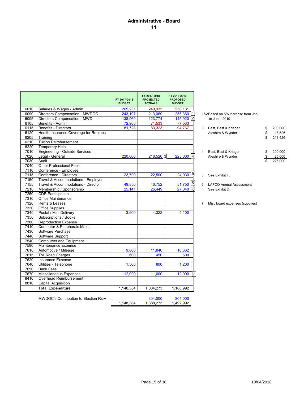## **Administrative - Board 11**

|      |                                        | FY 2017-2018<br><b>BUDGET</b> | FY 2017-2018<br><b>PROJECTED</b><br><b>ACTUALS</b> | FY 2018-2019<br><b>PROPOSED</b><br><b>BUDGET</b> |   |                                   |               |
|------|----------------------------------------|-------------------------------|----------------------------------------------------|--------------------------------------------------|---|-----------------------------------|---------------|
| 6010 | Salaries & Wages - Admin               | 265,231                       | 249,935                                            | 258,131                                          |   |                                   |               |
| 6090 | Directors Compensation - MWDOC         | 243,197                       | 213,069                                            | 255,360 1                                        |   | 1&2 Based on 5% increase from Jan |               |
| 6095 | Directors Compensation - MWD           | 138,969                       | 123,774                                            | 145,920 2                                        |   | to June 2019.                     |               |
| 6105 | Benefits - Admin                       | 72,968                        | 71,533                                             | 77,533                                           |   |                                   |               |
| 6115 | Benefits - Directors                   | 81,728                        | 83,323                                             | 94,767                                           | 3 | Best, Best & Krieger              | \$<br>200,000 |
| 6120 | Health Insurance Coverage for Retirees |                               |                                                    |                                                  |   | Aleshire & Wynder                 | \$<br>18,526  |
| 6205 | Training                               |                               |                                                    |                                                  |   |                                   | 218,526       |
| 6210 | <b>Tuition Reimbursement</b>           |                               |                                                    |                                                  |   |                                   |               |
| 6220 | <b>Temporary Help</b>                  |                               |                                                    |                                                  |   |                                   |               |
| 7010 | Engineering - Outside Services         |                               |                                                    |                                                  | 4 | Best, Best & Krieger              | 200,000       |
| 7020 | Legal - General                        | 220,000                       | $218,526$ 3                                        | 225,000                                          |   | Aleshire & Wynder                 | 25,000        |
| 7030 | Audit                                  |                               |                                                    |                                                  |   |                                   | 225,000       |
| 7040 | <b>Other Professional Fees</b>         |                               |                                                    |                                                  |   |                                   |               |
| 7110 | Conference - Employee                  |                               |                                                    |                                                  |   |                                   |               |
| 7115 | Conference - Directors                 | 23,700                        | 22,500                                             | $24,930$ [5]                                     | 5 | See Exhibit F.                    |               |
| 7150 | Travel & Accommodations - Employee     |                               |                                                    |                                                  |   |                                   |               |
| 7155 | Travel & Accommodations - Director     | 49,850                        | 46,752                                             | $51,750$ $5$                                     | 6 | <b>LAFCO Annual Assessment</b>    |               |
| 7210 | Membership / Sponsorship               | 25,141                        | 26,449                                             | $27,040$ 6                                       |   | See Exhibit D.                    |               |
| 7250 | <b>CDR Participation</b>               |                               |                                                    |                                                  |   |                                   |               |
| 7310 | Office Maintenance                     |                               |                                                    |                                                  |   |                                   |               |
| 7320 | Rents & Leases                         |                               |                                                    |                                                  | 7 | Misc board expenses (supplies)    |               |
| 7330 | <b>Office Supplies</b>                 |                               |                                                    |                                                  |   |                                   |               |
| 7340 | Postal / Mail Delivery                 | 3.900                         | 4.322                                              | 4,100                                            |   |                                   |               |
| 7350 | Subscriptions / Books                  |                               |                                                    |                                                  |   |                                   |               |
| 7360 | <b>Reproduction Expense</b>            |                               |                                                    |                                                  |   |                                   |               |
| 7410 | Computer & Peripherals Maint           |                               |                                                    |                                                  |   |                                   |               |
| 7430 | Software Purchase                      |                               |                                                    |                                                  |   |                                   |               |
| 7440 | Software Support                       |                               |                                                    |                                                  |   |                                   |               |
| 7540 | Computers and Equipment                |                               |                                                    |                                                  |   |                                   |               |
| 7580 | Maintenance Expense                    |                               |                                                    |                                                  |   |                                   |               |
| 7610 | Automotive / Mileage                   | 9,800                         | 11,840                                             | 10,662                                           |   |                                   |               |
| 7615 | <b>Toll Road Charges</b>               | 600                           | 450                                                | 600                                              |   |                                   |               |
| 7620 | Insurance Expense                      |                               |                                                    |                                                  |   |                                   |               |
| 7640 | Utilities - Telephone                  | 1.300                         | 800                                                | 1,200                                            |   |                                   |               |
| 7650 | <b>Bank Fees</b>                       |                               |                                                    |                                                  |   |                                   |               |
| 7670 | Miscellaneous Expenses                 | 12,000                        | 11,000                                             | 12,000                                           |   |                                   |               |
| 8410 | Overhead Reimbursement                 |                               |                                                    |                                                  |   |                                   |               |
| 8810 | <b>Capital Acquisition</b>             |                               |                                                    |                                                  |   |                                   |               |
|      | <b>Total Expenditure</b>               | 1,148,384                     | 1,084,273                                          | 1,188,992                                        |   |                                   |               |

| 3 | Best, Best & Krieger<br>Aleshire & Wynder | S  | 200,000<br>18,526 |
|---|-------------------------------------------|----|-------------------|
|   |                                           | \$ | 218,526           |
| 4 | Best, Best & Krieger                      | S  | 200.000           |
|   | Aleshire & Wynder                         |    | 25.000            |
|   |                                           |    | 225.000           |

MWDOC's Contribution to Election Rsrv<br>
1,148,384 1,388,273 1,492,992 1,148,384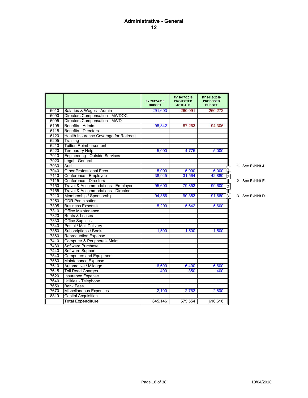## **Administrative - General 12**

|      |                                        | FY 2017-2018<br><b>BUDGET</b> | FY 2017-2018<br><b>PROJECTED</b><br><b>ACTUALS</b> | FY 2018-2019<br><b>PROPOSED</b><br><b>BUDGET</b> |                |                  |
|------|----------------------------------------|-------------------------------|----------------------------------------------------|--------------------------------------------------|----------------|------------------|
| 6010 | Salaries & Wages - Admin               | 291,603                       | 260,091                                            | 260,272                                          |                |                  |
| 6090 | Directors Compensation - MWDOC         |                               |                                                    |                                                  |                |                  |
| 6095 | Directors Compensation - MWD           |                               |                                                    |                                                  |                |                  |
| 6105 | Benefits - Admin                       | 98,842                        | 87,263                                             | 94,306                                           |                |                  |
| 6115 | <b>Benefits - Directors</b>            |                               |                                                    |                                                  |                |                  |
| 6120 | Health Insurance Coverage for Retirees |                               |                                                    |                                                  |                |                  |
| 6205 | Training                               |                               |                                                    |                                                  |                |                  |
| 6210 | <b>Tuition Reimbursement</b>           |                               |                                                    |                                                  |                |                  |
| 6220 | <b>Temporary Help</b>                  | 5.000                         | 4.775                                              | 5.000                                            |                |                  |
| 7010 | <b>Engineering - Outside Services</b>  |                               |                                                    |                                                  |                |                  |
| 7020 | Legal - General                        |                               |                                                    |                                                  |                |                  |
| 7030 | Audit                                  |                               |                                                    |                                                  |                | 1 See Exhibit J. |
| 7040 | <b>Other Professional Fees</b>         | 5,000                         | 5,000                                              | 6,000                                            |                |                  |
| 7110 | Conference - Employee                  | 38.945                        | 31.564                                             | 42.880                                           | $\overline{2}$ |                  |
| 7115 | Conference - Directors                 |                               |                                                    |                                                  |                | 2 See Exhibit E. |
| 7150 | Travel & Accommodations - Employee     | 95,600                        | 79,853                                             | 99,600                                           | $\overline{2}$ |                  |
| 7155 | Travel & Accommodations - Director     |                               |                                                    |                                                  |                |                  |
| 7210 | Membership / Sponsorship               | 94,356                        | 90,353                                             | 91,660                                           | 3              | 3 See Exhibit D. |
| 7250 | <b>CDR Participation</b>               |                               |                                                    |                                                  |                |                  |
| 7305 | <b>Business Expense</b>                | 5,200                         | 5,642                                              | 5,600                                            |                |                  |
| 7310 | <b>Office Maintenance</b>              |                               |                                                    |                                                  |                |                  |
| 7320 | Rents & Leases                         |                               |                                                    |                                                  |                |                  |
| 7330 | <b>Office Supplies</b>                 |                               |                                                    |                                                  |                |                  |
| 7340 | Postal / Mail Delivery                 |                               |                                                    |                                                  |                |                  |
| 7350 | Subscriptions / Books                  | 1.500                         | 1.500                                              | 1.500                                            |                |                  |
| 7360 | <b>Reproduction Expense</b>            |                               |                                                    |                                                  |                |                  |
| 7410 | Computer & Peripherals Maint           |                               |                                                    |                                                  |                |                  |
| 7430 | Software Purchase                      |                               |                                                    |                                                  |                |                  |
| 7440 | Software Support                       |                               |                                                    |                                                  |                |                  |
| 7540 | <b>Computers and Equipment</b>         |                               |                                                    |                                                  |                |                  |
| 7580 | Maintenance Expense                    |                               |                                                    |                                                  |                |                  |
| 7610 | Automotive / Mileage                   | 6,600                         | 6,400                                              | 6,600                                            |                |                  |
| 7615 | <b>Toll Road Charges</b>               | 400                           | 350                                                | 400                                              |                |                  |
| 7620 | Insurance Expense                      |                               |                                                    |                                                  |                |                  |
| 7640 | Utilities - Telephone                  |                               |                                                    |                                                  |                |                  |
| 7650 | <b>Bank Fees</b>                       |                               |                                                    |                                                  |                |                  |
| 7670 | Miscellaneous Expenses                 | 2,100                         | 2.763                                              | 2.800                                            |                |                  |
| 8810 | Capital Acquisition                    |                               |                                                    |                                                  |                |                  |
|      | <b>Total Expenditure</b>               | 645,146                       | 575,554                                            | 616,618                                          |                |                  |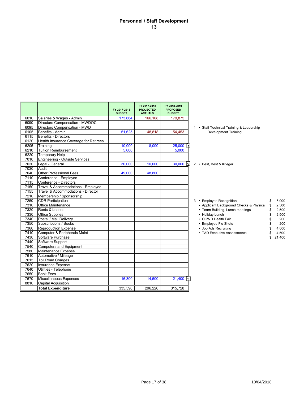## **Personnel / Staff Development 13**

|      |                                        | FY 2017-2018<br><b>BUDGET</b> | FY 2017-2018<br><b>PROJECTED</b><br><b>ACTUALS</b> | FY 2018-2019<br><b>PROPOSED</b><br><b>BUDGET</b> |                                                         |
|------|----------------------------------------|-------------------------------|----------------------------------------------------|--------------------------------------------------|---------------------------------------------------------|
| 6010 | Salaries & Wages - Admin               | 173,664                       | 166.108                                            | 179,875                                          |                                                         |
| 6090 | Directors Compensation - MWDOC         |                               |                                                    |                                                  |                                                         |
| 6095 | Directors Compensation - MWD           |                               |                                                    |                                                  | 1 • Staff Technical Training & Leadership               |
| 6105 | Benefits - Admin                       | 51,625                        | 48.818                                             | 54,453                                           | <b>Development Training</b>                             |
| 6115 | Benefits - Directors                   |                               |                                                    |                                                  |                                                         |
| 6120 | Health Insurance Coverage for Retirees |                               |                                                    |                                                  |                                                         |
| 6205 | Training                               | 10,000                        | 8,000                                              | 25,000                                           |                                                         |
| 6210 | <b>Tuition Reimbursement</b>           | 5,000                         |                                                    | 5,000                                            |                                                         |
| 6220 | <b>Temporary Help</b>                  |                               |                                                    |                                                  |                                                         |
| 7010 | Engineering - Outside Services         |                               |                                                    |                                                  |                                                         |
| 7020 | Legal - General                        | 30.000                        | 10.000                                             | 30,000<br> 2                                     | 2 • Best, Best & Krieger                                |
| 7030 | Audit                                  |                               |                                                    |                                                  |                                                         |
| 7040 | <b>Other Professional Fees</b>         | 49,000                        | 48,800                                             |                                                  |                                                         |
| 7110 | Conference - Employee                  |                               |                                                    |                                                  |                                                         |
| 7115 | Conference - Directors                 |                               |                                                    |                                                  |                                                         |
| 7150 | Travel & Accommodations - Emplovee     |                               |                                                    |                                                  |                                                         |
| 7155 | Travel & Accommodations - Director     |                               |                                                    |                                                  |                                                         |
| 7210 | Membership / Sponsorship               |                               |                                                    |                                                  |                                                         |
| 7250 | <b>CDR Participation</b>               |                               |                                                    |                                                  | 3 • Employee Recognition<br>5.000<br>\$                 |
| 7310 | <b>Office Maintenance</b>              |                               |                                                    |                                                  | • Applicant Background Checks & Physical<br>2,500<br>\$ |
| 7320 | Rents & Leases                         |                               |                                                    |                                                  | • Team Building, Lunch meetings<br>2,500<br>\$          |
| 7330 | <b>Office Supplies</b>                 |                               |                                                    |                                                  | • Holiday Lunch<br>2,500<br>\$                          |
| 7340 | Postal / Mail Delivery                 |                               |                                                    |                                                  | • OCWD Health Fair<br>200<br>\$                         |
| 7350 | Subscriptions / Books                  |                               |                                                    |                                                  | 200<br>• Employee Flu Shots<br>\$                       |
| 7360 | <b>Reproduction Expense</b>            |                               |                                                    |                                                  | 4,000<br>• Job Ads Recruiting<br>\$                     |
| 7410 | Computer & Peripherals Maint           |                               |                                                    |                                                  | • TAD Executive Assessments<br>4,500<br>\$              |
| 7430 | Software Purchase                      |                               |                                                    |                                                  | 21,400                                                  |
| 7440 | Software Support                       |                               |                                                    |                                                  |                                                         |
| 7540 | Computers and Equipment                |                               |                                                    |                                                  |                                                         |
| 7580 | Maintenance Expense                    |                               |                                                    |                                                  |                                                         |
| 7610 | Automotive / Mileage                   |                               |                                                    |                                                  |                                                         |
| 7615 | <b>Toll Road Charges</b>               |                               |                                                    |                                                  |                                                         |
| 7620 | Insurance Expense                      |                               |                                                    |                                                  |                                                         |
| 7640 | Utilities - Telephone                  |                               |                                                    |                                                  |                                                         |
| 7650 | <b>Bank Fees</b>                       |                               |                                                    |                                                  |                                                         |
| 7670 | Miscellaneous Expenses                 | 16,300                        | 14,500                                             | $21,400$ 3                                       |                                                         |
| 8810 | <b>Capital Acquisition</b>             |                               |                                                    |                                                  |                                                         |
|      | <b>Total Expenditure</b>               | 335.590                       | 296.226                                            | 315,728                                          |                                                         |
|      |                                        |                               |                                                    |                                                  |                                                         |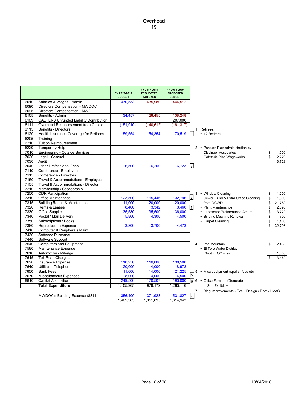|              |                                                                | FY 2017-2018<br><b>BUDGET</b> | FY 2017-2018<br><b>PROJECTED</b><br><b>ACTUALS</b> | FY 2018-2019<br><b>PROPOSED</b><br><b>BUDGET</b> |                |                                                     |          |                |
|--------------|----------------------------------------------------------------|-------------------------------|----------------------------------------------------|--------------------------------------------------|----------------|-----------------------------------------------------|----------|----------------|
| 6010         | Salaries & Wages - Admin                                       | 470,533                       | 435,980                                            | 444,512                                          |                |                                                     |          |                |
| 6090         | Directors Compensation - MWDOC                                 |                               |                                                    |                                                  |                |                                                     |          |                |
| 6095         | Directors Compensation - MWD                                   |                               |                                                    |                                                  |                |                                                     |          |                |
| 6105         | Benefits - Admin                                               | 134,457                       | 128,455                                            | 138,248                                          |                |                                                     |          |                |
| 6109         | <b>CALPERS Unfunded Liability Contribution</b>                 |                               |                                                    | 207,000                                          |                |                                                     |          |                |
| 6111         | Overhead Reimbursement from Choice                             | (151, 910)                    | (140, 612)                                         | (161, 317)                                       |                |                                                     |          |                |
| 6115         | <b>Benefits - Directors</b>                                    |                               |                                                    |                                                  |                | 1 Retirees:                                         |          |                |
| 6120         | Health Insurance Coverage for Retirees                         | 59,554                        | 54,354                                             | 70,519                                           | $\mathbf{1}$   | • 12 Retirees                                       |          |                |
| 6205         | Training                                                       |                               |                                                    |                                                  |                |                                                     |          |                |
| 6210         | <b>Tuition Reimbursement</b>                                   |                               |                                                    |                                                  |                |                                                     |          |                |
| 6220<br>7010 | <b>Temporary Help</b><br><b>Engineering - Outside Services</b> |                               |                                                    |                                                  |                | 2 • Pension Plan administration by                  |          |                |
| 7020         | Legal - General                                                |                               |                                                    |                                                  |                | <b>Dissinger Associates</b>                         | \$<br>\$ | 4,500          |
| 7030         | Audit                                                          |                               |                                                    |                                                  |                | • Cafeteria Plan Wageworks                          |          | 2,223<br>6,723 |
| 7040         | <b>Other Professional Fees</b>                                 | 6,500                         | 6,200                                              | 6,723                                            | $\overline{2}$ |                                                     |          |                |
| 7110         | Conference - Employee                                          |                               |                                                    |                                                  |                |                                                     |          |                |
| 7115         | Conference - Directors                                         |                               |                                                    |                                                  |                |                                                     |          |                |
| 7150         | Travel & Accommodations - Employee                             |                               |                                                    |                                                  |                |                                                     |          |                |
| 7155         | Travel & Accommodations - Director                             |                               |                                                    |                                                  |                |                                                     |          |                |
| 7210         | Membership / Sponsorship                                       |                               |                                                    |                                                  |                |                                                     |          |                |
| 7250         | <b>CDR Participation</b>                                       |                               |                                                    |                                                  |                | 3 • Window Cleaning                                 | \$       | 1.200          |
| 7310         | Office Maintenance                                             | 123,500                       | 115,446                                            | 132,796                                          | <u> 3</u>      | • Sewer Flush & Extra Office Cleaning               | \$       | 1,300          |
| 7315         | Building Repair & Maintenance                                  | 11,000                        | 20,000                                             | 20,000                                           |                | from OCWD                                           | \$       | 121,780        |
| 7320         | Rents & Leases                                                 | 8,400                         | 3,342                                              | 3,460                                            | 14 I           | • Plant Maintenance                                 | \$       | 2,696          |
| 7330         | <b>Office Supplies</b>                                         | 35,580                        | 35,500                                             | 36,000                                           |                | • Landscape/Maintenance Atrium                      | \$       | 3,720          |
| 7340         | Postal / Mail Delivery                                         | 5,800                         | 4,300                                              | 4,500                                            |                | • Binding Machine Renewal                           | \$       | 700            |
| 7350         | Subscriptions / Books                                          |                               |                                                    |                                                  |                | • Carpet Cleaning                                   | \$       | 1,400          |
| 7360<br>7410 | <b>Reproduction Expense</b>                                    | 3,800                         | 3,700                                              | 4,473                                            |                |                                                     |          | 132,796        |
| 7430         | Computer & Peripherals Maint<br>Software Purchase              |                               |                                                    |                                                  |                |                                                     |          |                |
| 7440         | Software Support                                               |                               |                                                    |                                                  |                |                                                     |          |                |
| 7540         | <b>Computers and Equipment</b>                                 |                               |                                                    |                                                  |                | 4 • Iron Mountain                                   | \$       | 2,460          |
| 7580         | Maintenance Expense                                            |                               |                                                    |                                                  |                | • El Toro Water District                            |          |                |
| 7610         | Automotive / Mileage                                           |                               |                                                    |                                                  |                | (South EOC site)                                    |          | 1.000          |
| 7615         | <b>Toll Road Charges</b>                                       |                               |                                                    |                                                  |                |                                                     |          | 3.460          |
| 7620         | Insurance Expense                                              | 110,250                       | 110.000                                            | 138,500                                          |                |                                                     |          |                |
| 7640         | Utilities - Telephone                                          | 20,000                        | 14,000                                             | 18,978                                           |                |                                                     |          |                |
| 7650         | <b>Bank Fees</b>                                               | 11,000                        | 14,000                                             | 21,225                                           |                | 5 • Misc equipment repairs, fees etc.               |          |                |
| 7670         | Miscellaneous Expenses                                         | 8,000                         | 4.000                                              | 4.500                                            | $\overline{5}$ |                                                     |          |                |
| 8810         | <b>Capital Acquisition</b>                                     | 249.500                       | 170,507                                            | 193,000                                          |                | $ 6 6 \cdot$ Office Furniture/Generator             |          |                |
|              | <b>Total Expenditure</b>                                       | 1,105,965                     | 979,172                                            | 1,283,116                                        |                | See Exhibit H                                       |          |                |
|              |                                                                |                               |                                                    |                                                  |                | 7 • Bldg Improvements - Eval / Design / Roof / HVAC |          |                |
|              | MWDOC's Building Expense (8811)                                | 356,400                       | 371,923                                            | 531,827                                          | $\sqrt{7}$     |                                                     |          |                |
|              |                                                                | 1,462,365                     | 1,351,095                                          | 1,814,943                                        |                |                                                     |          |                |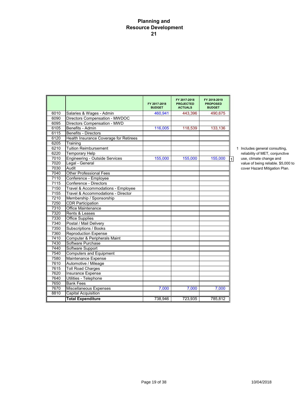## **Planning and Resource Development 21**

|      |                                        | FY 2017-2018<br><b>BUDGET</b> | FY 2017-2018<br><b>PROJECTED</b><br><b>ACTUALS</b> | FY 2018-2019<br><b>PROPOSED</b><br><b>BUDGET</b> |                                         |
|------|----------------------------------------|-------------------------------|----------------------------------------------------|--------------------------------------------------|-----------------------------------------|
| 6010 | Salaries & Wages - Admin               | 460,941                       | 443,396                                            | 490,675                                          |                                         |
| 6090 | Directors Compensation - MWDOC         |                               |                                                    |                                                  |                                         |
| 6095 | Directors Compensation - MWD           |                               |                                                    |                                                  |                                         |
| 6105 | Benefits - Admin                       | 116.005                       | 118.539                                            | 133,136                                          |                                         |
| 6115 | <b>Benefits - Directors</b>            |                               |                                                    |                                                  |                                         |
| 6120 | Health Insurance Coverage for Retirees |                               |                                                    |                                                  |                                         |
| 6205 | Training                               |                               |                                                    |                                                  |                                         |
| 6210 | <b>Tuition Reimbursement</b>           |                               |                                                    |                                                  | 1 Includes general consulting,          |
| 6220 | <b>Temporary Help</b>                  |                               |                                                    |                                                  | reliability of MET, conjunctive         |
| 7010 | <b>Engineering - Outside Services</b>  | 155,000                       | 155,000                                            | 155,000                                          | use, climate change and<br>$\mathbf{1}$ |
| 7020 | Legal - General                        |                               |                                                    |                                                  | value of being reliable. \$5,000 to     |
| 7030 | Audit                                  |                               |                                                    |                                                  | cover Hazard Mitigation Plan.           |
| 7040 | <b>Other Professional Fees</b>         |                               |                                                    |                                                  |                                         |
| 7110 | Conference - Employee                  |                               |                                                    |                                                  |                                         |
| 7115 | Conference - Directors                 |                               |                                                    |                                                  |                                         |
| 7150 | Travel & Accommodations - Employee     |                               |                                                    |                                                  |                                         |
| 7155 | Travel & Accommodations - Director     |                               |                                                    |                                                  |                                         |
| 7210 | Membership / Sponsorship               |                               |                                                    |                                                  |                                         |
| 7250 | <b>CDR Participation</b>               |                               |                                                    |                                                  |                                         |
| 7310 | <b>Office Maintenance</b>              |                               |                                                    |                                                  |                                         |
| 7320 | Rents & Leases                         |                               |                                                    |                                                  |                                         |
| 7330 | <b>Office Supplies</b>                 |                               |                                                    |                                                  |                                         |
| 7340 | Postal / Mail Delivery                 |                               |                                                    |                                                  |                                         |
| 7350 | Subscriptions / Books                  |                               |                                                    |                                                  |                                         |
| 7360 | <b>Reproduction Expense</b>            |                               |                                                    |                                                  |                                         |
| 7410 | Computer & Peripherals Maint           |                               |                                                    |                                                  |                                         |
| 7430 | Software Purchase                      |                               |                                                    |                                                  |                                         |
| 7440 | Software Support                       |                               |                                                    |                                                  |                                         |
| 7540 | <b>Computers and Equipment</b>         |                               |                                                    |                                                  |                                         |
| 7580 | Maintenance Expense                    |                               |                                                    |                                                  |                                         |
| 7610 | Automotive / Mileage                   |                               |                                                    |                                                  |                                         |
| 7615 | <b>Toll Road Charges</b>               |                               |                                                    |                                                  |                                         |
| 7620 | Insurance Expense                      |                               |                                                    |                                                  |                                         |
| 7640 | Utilities - Telephone                  |                               |                                                    |                                                  |                                         |
| 7650 | <b>Bank Fees</b>                       |                               |                                                    |                                                  |                                         |
| 7670 | <b>Miscellaneous Expenses</b>          | 7.000                         | 7,000                                              | 7.000                                            |                                         |
| 8810 | <b>Capital Acquisition</b>             |                               |                                                    |                                                  |                                         |
|      | <b>Total Expenditure</b>               | 738,946                       | 723,935                                            | 785,812                                          |                                         |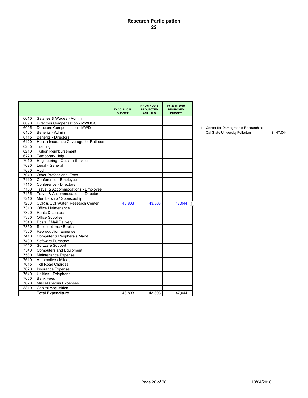## **Research Participation 22**

|      |                                        | FY 2017-2018<br><b>BUDGET</b> | FY 2017-2018<br><b>PROJECTED</b><br><b>ACTUALS</b> | FY 2018-2019<br><b>PROPOSED</b><br><b>BUDGET</b> |                                      |          |
|------|----------------------------------------|-------------------------------|----------------------------------------------------|--------------------------------------------------|--------------------------------------|----------|
| 6010 | Salaries & Wages - Admin               |                               |                                                    |                                                  |                                      |          |
| 6090 | Directors Compensation - MWDOC         |                               |                                                    |                                                  |                                      |          |
| 6095 | Directors Compensation - MWD           |                               |                                                    |                                                  | 1 Center for Demographic Research at |          |
| 6105 | Benefits - Admin                       |                               |                                                    |                                                  | Cal State University Fullerton       | \$47.044 |
| 6115 | Benefits - Directors                   |                               |                                                    |                                                  |                                      |          |
| 6120 | Health Insurance Coverage for Retirees |                               |                                                    |                                                  |                                      |          |
| 6205 | Training                               |                               |                                                    |                                                  |                                      |          |
| 6210 | Tuition Reimbursement                  |                               |                                                    |                                                  |                                      |          |
| 6220 | <b>Temporary Help</b>                  |                               |                                                    |                                                  |                                      |          |
| 7010 | <b>Engineering - Outside Services</b>  |                               |                                                    |                                                  |                                      |          |
| 7020 | Legal - General                        |                               |                                                    |                                                  |                                      |          |
| 7030 | Audit                                  |                               |                                                    |                                                  |                                      |          |
| 7040 | <b>Other Professional Fees</b>         |                               |                                                    |                                                  |                                      |          |
| 7110 | Conference - Employee                  |                               |                                                    |                                                  |                                      |          |
| 7115 | Conference - Directors                 |                               |                                                    |                                                  |                                      |          |
| 7150 | Travel & Accommodations - Employee     |                               |                                                    |                                                  |                                      |          |
| 7155 | Travel & Accommodations - Director     |                               |                                                    |                                                  |                                      |          |
| 7210 | Membership / Sponsorship               |                               |                                                    |                                                  |                                      |          |
| 7250 | CDR & UCI Water Research Center        | 48,803                        | 43,803                                             | 47,044                                           |                                      |          |
| 7310 | <b>Office Maintenance</b>              |                               |                                                    |                                                  |                                      |          |
| 7320 | Rents & Leases                         |                               |                                                    |                                                  |                                      |          |
| 7330 | <b>Office Supplies</b>                 |                               |                                                    |                                                  |                                      |          |
| 7340 | Postal / Mail Delivery                 |                               |                                                    |                                                  |                                      |          |
| 7350 | Subscriptions / Books                  |                               |                                                    |                                                  |                                      |          |
| 7360 | <b>Reproduction Expense</b>            |                               |                                                    |                                                  |                                      |          |
| 7410 | Computer & Peripherals Maint           |                               |                                                    |                                                  |                                      |          |
| 7430 | Software Purchase                      |                               |                                                    |                                                  |                                      |          |
| 7440 | Software Support                       |                               |                                                    |                                                  |                                      |          |
| 7540 | Computers and Equipment                |                               |                                                    |                                                  |                                      |          |
| 7580 | Maintenance Expense                    |                               |                                                    |                                                  |                                      |          |
| 7610 | Automotive / Mileage                   |                               |                                                    |                                                  |                                      |          |
| 7615 | <b>Toll Road Charges</b>               |                               |                                                    |                                                  |                                      |          |
| 7620 | Insurance Expense                      |                               |                                                    |                                                  |                                      |          |
| 7640 | Utilities - Telephone                  |                               |                                                    |                                                  |                                      |          |
| 7650 | <b>Bank Fees</b>                       |                               |                                                    |                                                  |                                      |          |
| 7670 | Miscellaneous Expenses                 |                               |                                                    |                                                  |                                      |          |
| 8810 | <b>Capital Acquisition</b>             |                               |                                                    |                                                  |                                      |          |
|      | <b>Total Expenditure</b>               | 48,803                        | 43,803                                             | 47,044                                           |                                      |          |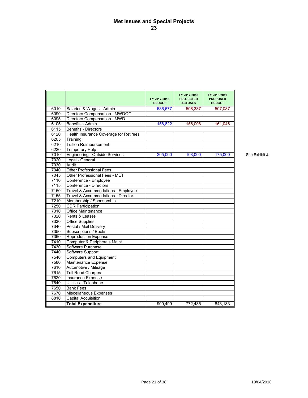## **Met Issues and Special Projects 23**

|      |                                        | FY 2017 2018<br><b>BUDGET</b> | FY 2017 2018<br><b>PROJECTED</b><br><b>ACTUALS</b> | FY 2018 2019<br><b>PROPOSED</b><br><b>BUDGET</b> |
|------|----------------------------------------|-------------------------------|----------------------------------------------------|--------------------------------------------------|
| 6010 | Salaries & Wages - Admin               | 536,677                       | 508,337                                            | 507,087                                          |
| 6090 | Directors Compensation - MWDOC         |                               |                                                    |                                                  |
| 6095 | Directors Compensation - MWD           |                               |                                                    |                                                  |
| 6105 | Benefits - Admin                       | 158,822                       | 156,098                                            | 161.046                                          |
| 6115 | Benefits - Directors                   |                               |                                                    |                                                  |
| 6120 | Health Insurance Coverage for Retirees |                               |                                                    |                                                  |
| 6205 | Training                               |                               |                                                    |                                                  |
| 6210 | <b>Tuition Reimbursement</b>           |                               |                                                    |                                                  |
| 6220 | <b>Temporary Help</b>                  |                               |                                                    |                                                  |
| 7010 | <b>Engineering - Outside Services</b>  | 205,000                       | 108,000                                            | 175,000                                          |
| 7020 | Legal - General                        |                               |                                                    |                                                  |
| 7030 | Audit                                  |                               |                                                    |                                                  |
| 7040 | <b>Other Professional Fees</b>         |                               |                                                    |                                                  |
| 7045 | Other Professional Fees - MET          |                               |                                                    |                                                  |
| 7110 | Conference - Employee                  |                               |                                                    |                                                  |
| 7115 | Conference - Directors                 |                               |                                                    |                                                  |
| 7150 | Travel & Accommodations - Employee     |                               |                                                    |                                                  |
| 7155 | Travel & Accommodations - Director     |                               |                                                    |                                                  |
| 7210 | Membership / Sponsorship               |                               |                                                    |                                                  |
| 7250 | <b>CDR Participation</b>               |                               |                                                    |                                                  |
| 7310 | Office Maintenance                     |                               |                                                    |                                                  |
| 7320 | Rents & Leases                         |                               |                                                    |                                                  |
| 7330 | <b>Office Supplies</b>                 |                               |                                                    |                                                  |
| 7340 | Postal / Mail Delivery                 |                               |                                                    |                                                  |
| 7350 | Subscriptions / Books                  |                               |                                                    |                                                  |
| 7360 | <b>Reproduction Expense</b>            |                               |                                                    |                                                  |
| 7410 | Computer & Peripherals Maint           |                               |                                                    |                                                  |
| 7430 | Software Purchase                      |                               |                                                    |                                                  |
| 7440 | Software Support                       |                               |                                                    |                                                  |
| 7540 | <b>Computers and Equipment</b>         |                               |                                                    |                                                  |
| 7580 | Maintenance Expense                    |                               |                                                    |                                                  |
| 7610 | Automotive / Mileage                   |                               |                                                    |                                                  |
| 7615 | <b>Toll Road Charges</b>               |                               |                                                    |                                                  |
| 7620 | <b>Insurance Expense</b>               |                               |                                                    |                                                  |
| 7640 | Utilities - Telephone                  |                               |                                                    |                                                  |
| 7650 | <b>Bank Fees</b>                       |                               |                                                    |                                                  |
| 7670 | Miscellaneous Expenses                 |                               |                                                    |                                                  |
| 8810 | <b>Capital Acquisition</b>             |                               |                                                    |                                                  |
|      | <b>Total Expenditure</b>               | 900,499                       | 772,435                                            | 843,133                                          |

See Exhibit J.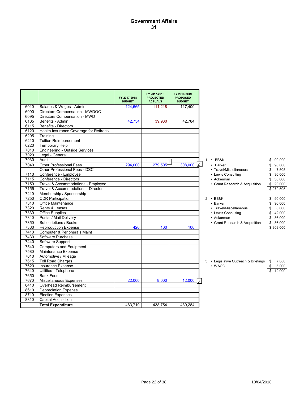## **Government Affairs 31**

|      |                                        | FY 2017-2018<br><b>BUDGET</b> | FY 2017-2018<br><b>PROJECTED</b><br><b>ACTUALS</b> | FY 2018-2019<br><b>PROPOSED</b><br><b>BUDGET</b> |                                         |              |
|------|----------------------------------------|-------------------------------|----------------------------------------------------|--------------------------------------------------|-----------------------------------------|--------------|
| 6010 | Salaries & Wages - Admin               | 124.565                       | 111.218                                            | 117.400                                          |                                         |              |
| 6090 | Directors Compensation - MWDOC         |                               |                                                    |                                                  |                                         |              |
| 6095 | Directors Compensation - MWD           |                               |                                                    |                                                  |                                         |              |
| 6105 | Benefits - Admin                       | 42,734                        | 39.930                                             | 42,784                                           |                                         |              |
| 6115 | Benefits - Directors                   |                               |                                                    |                                                  |                                         |              |
| 6120 | Health Insurance Coverage for Retirees |                               |                                                    |                                                  |                                         |              |
| 6205 | Training                               |                               |                                                    |                                                  |                                         |              |
| 6210 | <b>Tuition Reimbursement</b>           |                               |                                                    |                                                  |                                         |              |
| 6220 | Temporary Help                         |                               |                                                    |                                                  |                                         |              |
| 7010 | Engineering - Outside Services         |                               |                                                    |                                                  |                                         |              |
| 7020 | Legal - General                        |                               |                                                    |                                                  |                                         |              |
| 7030 | Audit                                  |                               |                                                    |                                                  | $1 \cdot BB8K$                          | \$<br>90.000 |
| 7040 | <b>Other Professional Fees</b>         | 294,000                       | 279,505                                            | 308,000 2                                        | • Barker                                | 96,000<br>\$ |
|      | Other Professional Fees - DSC          |                               |                                                    |                                                  | • Travel/Miscellaneous                  | 7,505<br>\$  |
| 7110 | Conference - Employee                  |                               |                                                    |                                                  | • Lewis Consulting                      | \$<br>36,000 |
| 7115 | Conference - Directors                 |                               |                                                    |                                                  | • Ackerman                              | 30,000<br>\$ |
| 7150 | Travel & Accommodations - Employee     |                               |                                                    |                                                  | • Grant Research & Acquisition          | \$<br>20,000 |
| 7155 | Travel & Accommodations - Director     |                               |                                                    |                                                  |                                         | \$279,505    |
| 7210 | Membership / Sponsorship               |                               |                                                    |                                                  |                                         |              |
| 7250 | <b>CDR Participation</b>               |                               |                                                    |                                                  | $2 \cdot BB8K$                          | \$<br>90,000 |
| 7310 | Office Maintenance                     |                               |                                                    |                                                  | • Barker                                | 96,000<br>\$ |
| 7320 | Rents & Leases                         |                               |                                                    |                                                  | • Travel/Miscellaneous                  | 8,000<br>\$  |
| 7330 | <b>Office Supplies</b>                 |                               |                                                    |                                                  | • Lewis Consulting                      | 42,000<br>\$ |
| 7340 | Postal / Mail Delivery                 |                               |                                                    |                                                  | • Ackerman                              | \$<br>36,000 |
| 7350 | Subscriptions / Books                  |                               |                                                    |                                                  | • Grant Research & Acquisition          | \$36,000     |
| 7360 | <b>Reproduction Expense</b>            | 420                           | 100                                                | 100                                              |                                         | \$308,000    |
| 7410 | Computer & Peripherals Maint           |                               |                                                    |                                                  |                                         |              |
| 7430 | Software Purchase                      |                               |                                                    |                                                  |                                         |              |
| 7440 | Software Support                       |                               |                                                    |                                                  |                                         |              |
| 7540 | Computers and Equipment                |                               |                                                    |                                                  |                                         |              |
| 7580 | Maintenance Expense                    |                               |                                                    |                                                  |                                         |              |
| 7610 | Automotive / Mileage                   |                               |                                                    |                                                  |                                         |              |
| 7615 | <b>Toll Road Charges</b>               |                               |                                                    |                                                  | 3 • Legislative Outreach & Briefings \$ | 7,000        |
| 7620 | Insurance Expense                      |                               |                                                    |                                                  | $\cdot$ WACO                            | 5,000        |
| 7640 | Utilities - Telephone                  |                               |                                                    |                                                  |                                         | 12,000       |
| 7650 | <b>Bank Fees</b>                       |                               |                                                    |                                                  |                                         |              |
| 7670 | Miscellaneous Expenses                 | 22,000                        | 8,000                                              | $\overline{12,000}$ 3                            |                                         |              |
| 8410 | Overhead Reimbursement                 |                               |                                                    |                                                  |                                         |              |
| 8610 | <b>Depreciation Expense</b>            |                               |                                                    |                                                  |                                         |              |
| 8710 | <b>Election Expenses</b>               |                               |                                                    |                                                  |                                         |              |
| 8810 | <b>Capital Acquisition</b>             |                               |                                                    |                                                  |                                         |              |
|      | <b>Total Expenditure</b>               | 483,719                       | 438.754                                            | 480.284                                          |                                         |              |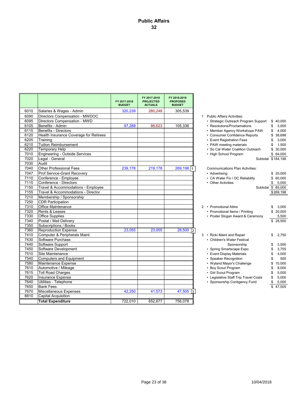|      |                                        | FY 2017-2018<br><b>BUDGET</b> | FY 2017-2018<br><b>PROJECTED</b><br><b>ACTUALS</b> | FY 2018-2019<br><b>PROPOSED</b><br><b>BUDGET</b> |                                        |                    |
|------|----------------------------------------|-------------------------------|----------------------------------------------------|--------------------------------------------------|----------------------------------------|--------------------|
| 6010 | Salaries & Wages - Admin               | 320,239                       | 280,248                                            | 305,539                                          |                                        |                    |
| 6090 | Directors Compensation - MWDOC         |                               |                                                    |                                                  | 1 Public Affairs Activities:           |                    |
| 6095 | Directors Compensation - MWD           |                               |                                                    |                                                  | • Strategic Outreach Program Support   | \$40,000           |
| 6105 | Benefits - Admin                       | 97,288                        | 88,623                                             | 105,336                                          | • Resolutions/Proclamations            | \$<br>3.000        |
| 6115 | <b>Benefits - Directors</b>            |                               |                                                    |                                                  | • Member Agency Workshops PAW          | 4.000<br>\$        |
| 6120 | Health Insurance Coverage for Retirees |                               |                                                    |                                                  | • Consumer Confidence Reports          | 38,698<br>\$       |
| 6205 | Training                               |                               |                                                    |                                                  | • Event Registration Fees              | 3,000<br>\$        |
| 6210 | <b>Tuition Reimbursement</b>           |                               |                                                    |                                                  | • PAW meeting materials                | 1,500<br>\$        |
| 6220 | <b>Temporary Help</b>                  |                               |                                                    |                                                  | • So Cal Water Coalition Outreach      | \$30,000           |
| 7010 | Engineering - Outside Services         |                               |                                                    |                                                  | • High School Program                  | \$64,000           |
| 7020 | Legal - General                        |                               |                                                    |                                                  |                                        | Subtotal \$184,198 |
| 7030 | Audit                                  |                               |                                                    |                                                  |                                        |                    |
| 7040 | <b>Other Professional Fees</b>         | 239,178                       | 219,178                                            | 269,198 1                                        | <b>Communications Plan Activities:</b> |                    |
| 7047 | Prof Service-Grant Recovery            |                               |                                                    |                                                  | • Advertising                          | \$20,000           |
| 7110 | Conference - Employee                  |                               |                                                    |                                                  | • CA Water Fix / OC Reliability        | \$60,000           |
| 7115 | Conference - Directors                 |                               |                                                    |                                                  | • Other Activities                     | 5,000<br>\$        |
| 7150 | Travel & Accommodations - Employee     |                               |                                                    |                                                  |                                        | Subtotal \$ 85,000 |
| 7155 | Travel & Accommodations - Director     |                               |                                                    |                                                  |                                        | \$269,198          |
| 7210 | Membership / Sponsorship               |                               |                                                    |                                                  |                                        |                    |
| 7250 | <b>CDR Participation</b>               |                               |                                                    |                                                  |                                        |                    |
| 7310 | Office Maintenance                     |                               |                                                    |                                                  | 2 • Promotional Attire                 | 3,000              |
| 7320 | Rents & Leases                         |                               |                                                    |                                                  | • Promotional Items / Printing         | \$20,000           |
| 7330 | <b>Office Supplies</b>                 |                               |                                                    |                                                  | • Poster Slogan Award & Ceremony       | 5,500              |
| 7340 | Postal / Mail Delivery                 |                               |                                                    |                                                  |                                        | \$ 28,500          |
| 7350 | Subscriptions / Books                  |                               |                                                    |                                                  |                                        |                    |
| 7360 | <b>Reproduction Expense</b>            | 23.055                        | 23,055                                             | 28,500<br> 2                                     |                                        |                    |
| 7410 | Computer & Peripherals Maint           |                               |                                                    |                                                  | 3 • Ricki Maint and Repair             | 2,750<br>\$        |
| 7430 | Software Purchase                      |                               |                                                    |                                                  | • Children's Water Festival            |                    |
| 7440 | Software Support                       |                               |                                                    |                                                  | Sponsorship                            | 3,500<br>\$        |
| 7450 | Software Development                   |                               |                                                    |                                                  | • Spring Smartscape Expo               | \$<br>3,755        |
| 7510 | Site Maintenance                       |                               |                                                    |                                                  | • Event Display Materials              | \$<br>4,000        |
| 7540 | Computers and Equipment                |                               |                                                    |                                                  | • Speaker Recognition                  | 500<br>\$          |
| 7580 | Maintenance Expense                    |                               |                                                    |                                                  | • Wyland Mayor's Challenge             | 10.000<br>\$       |
| 7610 | Automotive / Mileage                   |                               |                                                    |                                                  | • Boy Scout Program                    | 8,000<br>\$        |
| 7615 | <b>Toll Road Charges</b>               |                               |                                                    |                                                  | • Girl Scout Program                   | 5,000<br>\$        |
| 7620 | Insurance Expense                      |                               |                                                    |                                                  | • Legislative Staff Trip Travel Costs  | \$<br>5,000        |
| 7640 | Utilities - Telephone                  |                               |                                                    |                                                  | • Sponsorship Contigency Fund          | \$<br>5,000        |
| 7650 | <b>Bank Fees</b>                       |                               |                                                    |                                                  |                                        | 47.505<br>\$       |
| 7670 | <b>Miscellaneous Expenses</b>          | 42,250                        | 41,573                                             | 47,505<br>13.                                    |                                        |                    |
| 8810 | <b>Capital Acquisition</b>             |                               |                                                    |                                                  |                                        |                    |
|      | <b>Total Expenditure</b>               | 722.010                       | 652.677                                            | 756.078                                          |                                        |                    |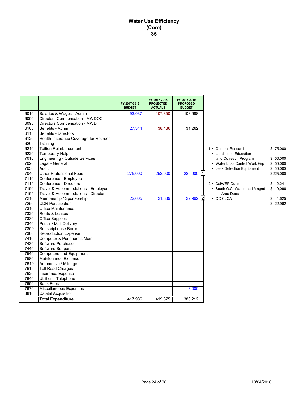## **Water Use Efficiency (Core) 35**

|      |                                        | FY 2017-2018<br><b>BUDGET</b> | FY 2017-2018<br><b>PROJECTED</b><br><b>ACTUALS</b> | FY 2018-2019<br><b>PROPOSED</b><br><b>BUDGET</b> |                               |             |
|------|----------------------------------------|-------------------------------|----------------------------------------------------|--------------------------------------------------|-------------------------------|-------------|
| 6010 | Salaries & Wages - Admin               | 93,037                        | 107,350                                            | 103.988                                          |                               |             |
| 6090 | Directors Compensation - MWDOC         |                               |                                                    |                                                  |                               |             |
| 6095 | Directors Compensation - MWD           |                               |                                                    |                                                  |                               |             |
| 6105 | Benefits - Admin                       | 27,344                        | 38,186                                             | 31,262                                           |                               |             |
| 6115 | <b>Benefits - Directors</b>            |                               |                                                    |                                                  |                               |             |
| 6120 | Health Insurance Coverage for Retirees |                               |                                                    |                                                  |                               |             |
| 6205 | Training                               |                               |                                                    |                                                  |                               |             |
| 6210 | <b>Tuition Reimbursement</b>           |                               |                                                    |                                                  | 1 • General Research          | \$75,000    |
| 6220 | Temporary Help                         |                               |                                                    |                                                  | • Landscape Education         |             |
| 7010 | Engineering - Outside Services         |                               |                                                    |                                                  | and Outreach Program          | \$50,000    |
| 7020 | Legal - General                        |                               |                                                    |                                                  | • Water Loss Control Work Grp | \$50,000    |
| 7030 | Audit                                  |                               |                                                    |                                                  | • Leak Detection Equipment    | \$50,000    |
| 7040 | <b>Other Professional Fees</b>         | 275,000                       | 252,000                                            | 225,000 1                                        |                               | \$225,000   |
| 7110 | Conference - Employee                  |                               |                                                    |                                                  |                               |             |
| 7115 | Conference - Directors                 |                               |                                                    |                                                  | 2 · CalWEP Dues               | \$12,241    |
| 7150 | Travel & Accommodations - Employee     |                               |                                                    |                                                  | • South O.C. Watershed Mngmt  | 9,096<br>\$ |
| 7155 | Travel & Accommodations - Director     |                               |                                                    |                                                  | Area Dues                     |             |
| 7210 | Membership / Sponsorship               | 22,605                        | 21,839                                             | 12<br>22,962                                     | $\cdot$ OC CLCA               | 1,625       |
| 7250 | <b>CDR Participation</b>               |                               |                                                    |                                                  |                               | 22.962      |
| 7310 | Office Maintenance                     |                               |                                                    |                                                  |                               |             |
| 7320 | Rents & Leases                         |                               |                                                    |                                                  |                               |             |
| 7330 | <b>Office Supplies</b>                 |                               |                                                    |                                                  |                               |             |
| 7340 | Postal / Mail Delivery                 |                               |                                                    |                                                  |                               |             |
| 7350 | Subscriptions / Books                  |                               |                                                    |                                                  |                               |             |
| 7360 | <b>Reproduction Expense</b>            |                               |                                                    |                                                  |                               |             |
| 7410 | Computer & Peripherals Maint           |                               |                                                    |                                                  |                               |             |
| 7430 | Software Purchase                      |                               |                                                    |                                                  |                               |             |
| 7440 | Software Support                       |                               |                                                    |                                                  |                               |             |
| 7540 | <b>Computers and Equipment</b>         |                               |                                                    |                                                  |                               |             |
| 7580 | Maintenance Expense                    |                               |                                                    |                                                  |                               |             |
| 7610 | Automotive / Mileage                   |                               |                                                    |                                                  |                               |             |
| 7615 | <b>Toll Road Charges</b>               |                               |                                                    |                                                  |                               |             |
| 7620 | <b>Insurance Expense</b>               |                               |                                                    |                                                  |                               |             |
| 7640 | Utilities - Telephone                  |                               |                                                    |                                                  |                               |             |
| 7650 | <b>Bank Fees</b>                       |                               |                                                    |                                                  |                               |             |
| 7670 | Miscellaneous Expenses                 |                               |                                                    | 3,000                                            |                               |             |
| 8810 | <b>Capital Acquisition</b>             |                               |                                                    |                                                  |                               |             |
|      | <b>Total Expenditure</b>               | 417,986                       | 419,375                                            | 386,212                                          |                               |             |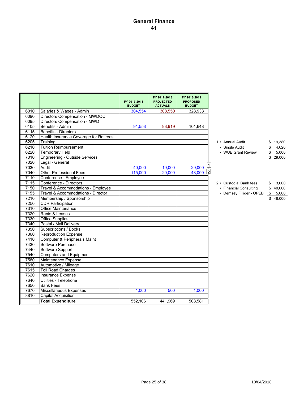## **General Finance 41**

|      |                                        |                               | FY 2017-2018                       | FY 2018-2019                     |                          |             |
|------|----------------------------------------|-------------------------------|------------------------------------|----------------------------------|--------------------------|-------------|
|      |                                        | FY 2017 2018<br><b>BUDGET</b> | <b>PROJECTED</b><br><b>ACTUALS</b> | <b>PROPOSED</b><br><b>BUDGET</b> |                          |             |
| 6010 | Salaries & Wages - Admin               | 304,554                       | 308.550                            | 328.933                          |                          |             |
| 6090 | Directors Compensation - MWDOC         |                               |                                    |                                  |                          |             |
| 6095 | Directors Compensation - MWD           |                               |                                    |                                  |                          |             |
| 6105 | Benefits - Admin                       | 91,553                        | 93,919                             | 101,648                          |                          |             |
| 6115 | <b>Benefits - Directors</b>            |                               |                                    |                                  |                          |             |
| 6120 | Health Insurance Coverage for Retirees |                               |                                    |                                  |                          |             |
| 6205 | Training                               |                               |                                    |                                  | 1 • Annual Audit         | \$19,380    |
| 6210 | <b>Tuition Reimbursement</b>           |                               |                                    |                                  | • Single Audit           | 4,620<br>\$ |
| 6220 | <b>Temporary Help</b>                  |                               |                                    |                                  | • WUE Grant Review       | 5,000<br>\$ |
| 7010 | Engineering - Outside Services         |                               |                                    |                                  |                          | 29,000      |
| 7020 | Legal - General                        |                               |                                    |                                  |                          |             |
| 7030 | Audit                                  | 40,000                        | 19,000                             | 29,000                           |                          |             |
| 7040 | <b>Other Professional Fees</b>         | 115.000                       | 20.000                             | 48,000 2                         |                          |             |
| 7110 | Conference - Employee                  |                               |                                    |                                  |                          |             |
| 7115 | Conference - Directors                 |                               |                                    |                                  | 2 • Custodial Bank fees  | 3,000<br>\$ |
| 7150 | Travel & Accommodations - Employee     |                               |                                    |                                  | • Financial Consulting   | \$40,000    |
| 7155 | Travel & Accommodations - Director     |                               |                                    |                                  | • Demsey Filliger - OPEB | \$5,000     |
| 7210 | Membership / Sponsorship               |                               |                                    |                                  |                          | \$48,000    |
| 7250 | <b>CDR Participation</b>               |                               |                                    |                                  |                          |             |
| 7310 | Office Maintenance                     |                               |                                    |                                  |                          |             |
| 7320 | Rents & Leases                         |                               |                                    |                                  |                          |             |
| 7330 | <b>Office Supplies</b>                 |                               |                                    |                                  |                          |             |
| 7340 | Postal / Mail Delivery                 |                               |                                    |                                  |                          |             |
| 7350 | Subscriptions / Books                  |                               |                                    |                                  |                          |             |
| 7360 | <b>Reproduction Expense</b>            |                               |                                    |                                  |                          |             |
| 7410 | Computer & Peripherals Maint           |                               |                                    |                                  |                          |             |
| 7430 | Software Purchase                      |                               |                                    |                                  |                          |             |
| 7440 | Software Support                       |                               |                                    |                                  |                          |             |
| 7540 | <b>Computers and Equipment</b>         |                               |                                    |                                  |                          |             |
| 7580 | Maintenance Expense                    |                               |                                    |                                  |                          |             |
| 7610 | Automotive / Mileage                   |                               |                                    |                                  |                          |             |
| 7615 | <b>Toll Road Charges</b>               |                               |                                    |                                  |                          |             |
| 7620 | Insurance Expense                      |                               |                                    |                                  |                          |             |
| 7640 | Utilities - Telephone                  |                               |                                    |                                  |                          |             |
| 7650 | <b>Bank Fees</b>                       |                               |                                    |                                  |                          |             |
| 7670 | Miscellaneous Expenses                 | 1,000                         | 500                                | 1,000                            |                          |             |
| 8810 | Capital Acquisition                    |                               |                                    |                                  |                          |             |
|      | <b>Total Expenditure</b>               | 552.106                       | 441,969                            | 508,581                          |                          |             |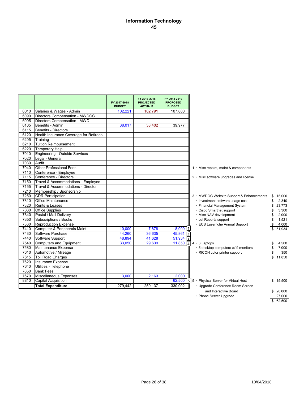## **Information Technology 45**

|      |                                        |                               | FY 2017-2018                       | FY 2018-2019                     |                                                                 |              |       |
|------|----------------------------------------|-------------------------------|------------------------------------|----------------------------------|-----------------------------------------------------------------|--------------|-------|
|      |                                        | FY 2017-2018<br><b>BUDGET</b> | <b>PROJECTED</b><br><b>ACTUALS</b> | <b>PROPOSED</b><br><b>BUDGET</b> |                                                                 |              |       |
| 6010 | Salaries & Wages - Admin               | 102.221                       | 102,791                            | 107.880                          |                                                                 |              |       |
| 6090 | Directors Compensation - MWDOC         |                               |                                    |                                  |                                                                 |              |       |
| 6095 | Directors Compensation - MWD           |                               |                                    |                                  |                                                                 |              |       |
| 6105 | Benefits - Admin                       | 38,017                        | 38,402                             | 39,977                           |                                                                 |              |       |
| 6115 | Benefits - Directors                   |                               |                                    |                                  |                                                                 |              |       |
| 6120 | Health Insurance Coverage for Retirees |                               |                                    |                                  |                                                                 |              |       |
| 6205 | Training                               |                               |                                    |                                  |                                                                 |              |       |
| 6210 | Tuition Reimbursement                  |                               |                                    |                                  |                                                                 |              |       |
| 6220 | <b>Temporary Help</b>                  |                               |                                    |                                  |                                                                 |              |       |
| 7010 | Engineering - Outside Services         |                               |                                    |                                  |                                                                 |              |       |
| 7020 | Legal - General                        |                               |                                    |                                  |                                                                 |              |       |
| 7030 | Audit                                  |                               |                                    |                                  |                                                                 |              |       |
| 7040 | <b>Other Professional Fees</b>         |                               |                                    |                                  | 1 • Misc repairs, maint & components                            |              |       |
| 7110 | Conference - Employee                  |                               |                                    |                                  |                                                                 |              |       |
| 7115 | Conference - Directors                 |                               |                                    |                                  | 2 • Misc software upgrades and license                          |              |       |
| 7150 | Travel & Accommodations - Employee     |                               |                                    |                                  |                                                                 |              |       |
| 7155 | Travel & Accommodations - Director     |                               |                                    |                                  |                                                                 |              |       |
| 7210 | Membership / Sponsorship               |                               |                                    |                                  |                                                                 |              |       |
| 7250 | <b>CDR Participation</b>               |                               |                                    |                                  | 3 • MWDOC Website Support & Enhancements                        | 15.000<br>\$ |       |
| 7310 | <b>Office Maintenance</b>              |                               |                                    |                                  | • Investment software usage cost                                | \$           | 2,340 |
| 7320 | Rents & Leases                         |                               |                                    |                                  | • Financial Management System                                   | 23,773<br>\$ |       |
| 7330 | <b>Office Supplies</b>                 |                               |                                    |                                  | • Cisco Smartnet support                                        | \$           | 3,300 |
| 7340 | Postal / Mail Delivery                 |                               |                                    |                                  | • Misc NAV development                                          | \$           | 2,000 |
| 7350 | Subscriptions / Books                  |                               |                                    |                                  | • Jet Reports support                                           | \$           | 1,521 |
| 7360 | <b>Reproduction Expense</b>            |                               |                                    |                                  | • ECS Laserfiche Annual Support                                 | \$           | 4,000 |
| 7410 | Computer & Peripherals Maint           | 10,000                        | 7,878                              | $8,000$ 1                        |                                                                 | 51,934       |       |
| 7430 | Software Purchase                      | 44,260                        | 36,635                             | $45,861$ 2                       |                                                                 |              |       |
| 7440 | Software Support                       | 48,894                        | 41,628                             | 51,934                           |                                                                 |              |       |
| 7540 | Computers and Equipment                | 33,050                        | 29,639                             | 11,850                           | $4 \cdot 3$ Laptops<br>۱4                                       | \$           | 4,500 |
| 7580 | Maintenance Expense                    |                               |                                    |                                  | • 5 desktop computers w/ 9 monitors                             | \$           | 7,000 |
| 7610 | Automotive / Mileage                   |                               |                                    |                                  | • RICOH color printer support                                   | \$           | 350   |
| 7615 | <b>Toll Road Charges</b>               |                               |                                    |                                  |                                                                 | \$<br>11.850 |       |
| 7620 | Insurance Expense                      |                               |                                    |                                  |                                                                 |              |       |
| 7640 | Utilities - Telephone                  |                               |                                    |                                  |                                                                 |              |       |
| 7650 | <b>Bank Fees</b>                       |                               |                                    |                                  |                                                                 |              |       |
| 7670 | Miscellaneous Expenses                 | 3.000                         | 2,163                              | 2,000                            |                                                                 |              |       |
| 8810 | <b>Capital Acquisition</b>             |                               |                                    |                                  | 62,500 $\left 5\right 5 \cdot$ Physical Server for Virtual Host | \$15,500     |       |
|      | <b>Total Expenditure</b>               | 279,442                       | 259.137                            | 330.002                          | • Upgrade Conference Room Screen                                |              |       |
|      |                                        |                               |                                    |                                  | and Interactive Board                                           | \$20.000     |       |

• Phone Server Upgrade  $\frac{27,000}{$62,500}$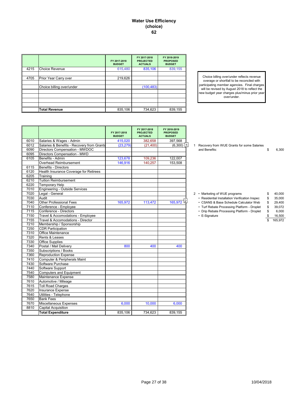#### **Water Use Efficiency (choice) 62**

|      |                           | FY 2017-2018<br><b>BUDGET</b> | FY 2017-2018<br><b>PROJECTED</b><br><b>ACTUALS</b> | FY 2018-2019<br><b>PROPOSED</b><br><b>BUDGET</b> |
|------|---------------------------|-------------------------------|----------------------------------------------------|--------------------------------------------------|
| 4215 | <b>Choice Revenue</b>     | 615,480                       | 835,106                                            | 839,155                                          |
|      |                           |                               |                                                    |                                                  |
| 4705 | Prior Year Carry over     | 219,626                       |                                                    |                                                  |
|      |                           |                               |                                                    |                                                  |
|      | Choice billing over/under |                               | (100, 483)                                         |                                                  |
|      |                           |                               |                                                    |                                                  |
|      |                           |                               |                                                    |                                                  |
|      |                           |                               |                                                    |                                                  |
|      |                           |                               |                                                    |                                                  |
|      | <b>Total Revenue</b>      | 835,106                       | 734,623                                            | 839,155                                          |

Choice billing over/under reflects revenue overage or shortfall to be reconciled with participating member agencies. Final charges will be revised by August 2018 to reflect the new budget year charges plus/minus prior year over/under.

|      |                                            | FY 2017-2018<br><b>BUDGET</b> | FY 2017-2018<br><b>PROJECTED</b><br><b>ACTUALS</b> | FY 2018-2019<br><b>PROPOSED</b><br><b>BUDGET</b> |  |                                                |              |
|------|--------------------------------------------|-------------------------------|----------------------------------------------------|--------------------------------------------------|--|------------------------------------------------|--------------|
| 6010 | Salaries & Wages - Admin                   | 415,020                       | 382.658                                            | 397,568                                          |  |                                                |              |
| 6012 | Salaries & Benefits - Recovery from Grants | (23, 279)                     | (21, 400)                                          | $(6,300)$   1                                    |  | 1 Recovery from WUE Grants for some Salaries   |              |
| 6090 | Directors Compensation - MWDOC             |                               |                                                    |                                                  |  | and Benefits:                                  | \$<br>6,300  |
| 6095 | Directors Compensation - MWD               |                               |                                                    |                                                  |  |                                                |              |
| 6105 | Benefits - Admin                           | 123,678                       | 109,236                                            | 122,007                                          |  |                                                |              |
|      | Overhead Reimbursement                     | 146,916                       | 140,257                                            | 153,508                                          |  |                                                |              |
| 6115 | <b>Benefits - Directors</b>                |                               |                                                    |                                                  |  |                                                |              |
| 6120 | Health Insurance Coverage for Retirees     |                               |                                                    |                                                  |  |                                                |              |
| 6205 | Training                                   |                               |                                                    |                                                  |  |                                                |              |
| 6210 | <b>Tuition Reimbursement</b>               |                               |                                                    |                                                  |  |                                                |              |
| 6220 | <b>Temporary Help</b>                      |                               |                                                    |                                                  |  |                                                |              |
| 7010 | Engineering - Outside Services             |                               |                                                    |                                                  |  |                                                |              |
| 7020 | Legal - General                            |                               |                                                    |                                                  |  | 2 • Marketing of WUE programs                  | \$<br>40,000 |
| 7030 | Audit                                      |                               |                                                    |                                                  |  | • Residential Installation Verification Inspec | \$<br>35,000 |
| 7040 | <b>Other Professional Fees</b>             | 165,972                       | 113,472                                            | 165,972                                          |  | • CSANS & Base Schedule Calculator Web         | \$<br>29,400 |
| 7110 | Conference - Employee                      |                               |                                                    |                                                  |  | • Turf Rebate Processing Platform - Droplet    | \$<br>39,072 |
| 7115 | Conference - Directors                     |                               |                                                    |                                                  |  | • Drip Rebate Processing Platform - Droplet    | \$<br>6.000  |
| 7150 | Travel & Accomodations - Employee          |                               |                                                    |                                                  |  | • E-Signature                                  | \$<br>16,500 |
| 7155 | Travel & Accomodations - Director          |                               |                                                    |                                                  |  |                                                | 165,972      |
| 7210 | Membership / Sponsorship                   |                               |                                                    |                                                  |  |                                                |              |
| 7250 | <b>CDR Participation</b>                   |                               |                                                    |                                                  |  |                                                |              |
| 7310 | Office Maintenance                         |                               |                                                    |                                                  |  |                                                |              |
| 7320 | Rents & Leases                             |                               |                                                    |                                                  |  |                                                |              |
| 7330 | <b>Office Supplies</b>                     |                               |                                                    |                                                  |  |                                                |              |
| 7340 | Postal / Mail Delivery                     | 800                           | 400                                                | 400                                              |  |                                                |              |
| 7350 | Subscriptions / Books                      |                               |                                                    |                                                  |  |                                                |              |
| 7360 | <b>Reproduction Expense</b>                |                               |                                                    |                                                  |  |                                                |              |
| 7410 | Computer & Peripherals Maint               |                               |                                                    |                                                  |  |                                                |              |
| 7430 | Software Purchase                          |                               |                                                    |                                                  |  |                                                |              |
| 7440 | Software Support                           |                               |                                                    |                                                  |  |                                                |              |
| 7540 | <b>Computers and Equipment</b>             |                               |                                                    |                                                  |  |                                                |              |
| 7580 | Maintenance Expense                        |                               |                                                    |                                                  |  |                                                |              |
| 7610 | Automotive / Mileage                       |                               |                                                    |                                                  |  |                                                |              |
| 7615 | <b>Toll Road Charges</b>                   |                               |                                                    |                                                  |  |                                                |              |
| 7620 | Insurance Expense                          |                               |                                                    |                                                  |  |                                                |              |
| 7640 | Utilities - Telephone                      |                               |                                                    |                                                  |  |                                                |              |
| 7650 | <b>Bank Fees</b>                           |                               |                                                    |                                                  |  |                                                |              |
| 7670 | Miscellaneous Expenses                     | 6,000                         | 10,000                                             | 6,000                                            |  |                                                |              |
| 8810 | <b>Capital Acquisition</b>                 |                               |                                                    |                                                  |  |                                                |              |
|      | <b>Total Expenditure</b>                   | 835,106                       | 734,623                                            | 839,155                                          |  |                                                |              |

- -

| • Marketing of WUE programs                    | £.  | 40.000 |
|------------------------------------------------|-----|--------|
| • Residential Installation Verification Inspec | \$  | 35,000 |
| • CSANS & Base Schedule Calculator Web         | \$  | 29.400 |
| • Turf Rebate Processing Platform - Droplet    | \$. | 39.072 |
| • Drip Rebate Processing Platform - Droplet    | \$  | 6.000  |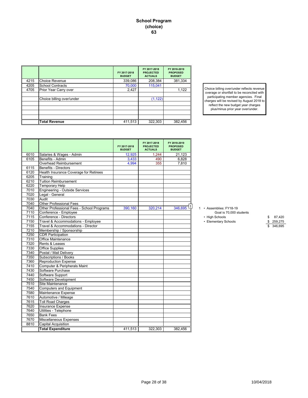|      |                           | FY 2017-2018<br><b>BUDGET</b> | FY 2017-2018<br><b>PROJECTED</b><br><b>ACTUALS</b> | FY 2018-2019<br><b>PROPOSED</b><br><b>BUDGET</b> |
|------|---------------------------|-------------------------------|----------------------------------------------------|--------------------------------------------------|
| 4215 | <b>Choice Revenue</b>     | 339,086                       | 208,384                                            | 381,334                                          |
| 4205 | <b>School Contracts</b>   | 70,000                        | 115,041                                            |                                                  |
| 4705 | Prior Year Carry over     | 2,427                         |                                                    | 1,122                                            |
|      |                           |                               |                                                    |                                                  |
|      | Choice billing over/under |                               | (1, 122)                                           |                                                  |
|      |                           |                               |                                                    |                                                  |
|      |                           |                               |                                                    |                                                  |
|      |                           |                               |                                                    |                                                  |
|      |                           |                               |                                                    |                                                  |
|      | <b>Total Revenue</b>      | 411,513                       | 322,303                                            | 382,456                                          |

Choice billing over/under reflects revenue overage or shortfall to be reconciled with participating member agencies. Final charges will be revised by August 2018 to reflect the new budget year charges plus/minus prior year over/under.

|      |                                           | FY 2017-2018<br><b>BUDGET</b> | FY 2017-2018<br><b>PROJECTED</b><br><b>ACTUALS</b> | FY 2018-2019<br><b>PROPOSED</b><br><b>BUDGET</b> |                         |              |
|------|-------------------------------------------|-------------------------------|----------------------------------------------------|--------------------------------------------------|-------------------------|--------------|
| 6010 | Salaries & Wages - Admin                  | 12,925                        | 1,244                                              | 21,123                                           |                         |              |
| 6105 | Benefits - Admin                          | 3,433                         | 490                                                | 6,828                                            |                         |              |
|      | <b>Overhead Reimbursement</b>             | 4,994                         | 355                                                | 7.810                                            |                         |              |
| 6115 | <b>Benefits - Directors</b>               |                               |                                                    |                                                  |                         |              |
| 6120 | Health Insurance Coverage for Retirees    |                               |                                                    |                                                  |                         |              |
| 6205 | Training                                  |                               |                                                    |                                                  |                         |              |
| 6210 | <b>Tuition Reimbursement</b>              |                               |                                                    |                                                  |                         |              |
| 6220 | Temporary Help                            |                               |                                                    |                                                  |                         |              |
| 7010 | Engineering - Outside Services            |                               |                                                    |                                                  |                         |              |
| 7020 | Legal - General                           |                               |                                                    |                                                  |                         |              |
| 7030 | Audit                                     |                               |                                                    |                                                  |                         |              |
| 7040 | <b>Other Professional Fees</b>            |                               |                                                    |                                                  |                         |              |
| 7040 | Other Professional Fees - School Programs | 390,160                       | 320,214                                            | 346,695                                          | 1 · Assemblies: FY18-19 |              |
| 7110 | Conference - Employee                     |                               |                                                    |                                                  | Goal is 70,000 students |              |
| 7115 | Conference - Directors                    |                               |                                                    |                                                  | • High Schools          | 87,420<br>\$ |
| 7150 | Travel & Accommodations - Employee        |                               |                                                    |                                                  | • Elementary Schools    | \$ 259,275   |
| 7155 | Travel & Accommodations - Director        |                               |                                                    |                                                  |                         | 346.695      |
| 7210 | Membership / Sponsorship                  |                               |                                                    |                                                  |                         |              |
| 7250 | <b>CDR Participation</b>                  |                               |                                                    |                                                  |                         |              |
| 7310 | <b>Office Maintenance</b>                 |                               |                                                    |                                                  |                         |              |
| 7320 | Rents & Leases                            |                               |                                                    |                                                  |                         |              |
| 7330 | <b>Office Supplies</b>                    |                               |                                                    |                                                  |                         |              |
| 7340 | Postal / Mail Delivery                    |                               |                                                    |                                                  |                         |              |
| 7350 | <b>Subscriptions / Books</b>              |                               |                                                    |                                                  |                         |              |
| 7360 | <b>Reproduction Expense</b>               |                               |                                                    |                                                  |                         |              |
| 7410 | Computer & Peripherals Maint              |                               |                                                    |                                                  |                         |              |
| 7430 | Software Purchase                         |                               |                                                    |                                                  |                         |              |
| 7440 | Software Support                          |                               |                                                    |                                                  |                         |              |
| 7450 | Software Development                      |                               |                                                    |                                                  |                         |              |
| 7510 | Site Maintenance                          |                               |                                                    |                                                  |                         |              |
| 7540 | Computers and Equipment                   |                               |                                                    |                                                  |                         |              |
| 7580 | Maintenance Expense                       |                               |                                                    |                                                  |                         |              |
| 7610 | Automotive / Mileage                      |                               |                                                    |                                                  |                         |              |
| 7615 | <b>Toll Road Charges</b>                  |                               |                                                    |                                                  |                         |              |
| 7620 | Insurance Expense                         |                               |                                                    |                                                  |                         |              |
| 7640 | Utilities - Telephone                     |                               |                                                    |                                                  |                         |              |
| 7650 | <b>Bank Fees</b>                          |                               |                                                    |                                                  |                         |              |
| 7670 | Miscellaneous Expenses                    |                               |                                                    |                                                  |                         |              |
| 8810 | <b>Capital Acquisition</b>                |                               |                                                    |                                                  |                         |              |
|      | <b>Total Expenditure</b>                  | 411,513                       | 322,303                                            | 382.456                                          |                         |              |

#### 1 • Assemblies: FY18-19

- 70,000 students<br>• High Schools
	-
- 
- 7150 Travel & Accommodations Employee Elementary Schools \$ 259,275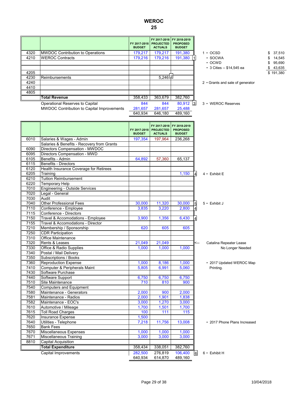# **WEROC**

**25**

|      |                                                   | <b>BUDGET</b> | FY 2017-2018   PROJECTED<br><b>ACTUALS</b> | FY 2017-2018 FY 2018-2019<br><b>PROPOSED</b><br><b>BUDGET</b> |                                  |           |
|------|---------------------------------------------------|---------------|--------------------------------------------|---------------------------------------------------------------|----------------------------------|-----------|
| 4320 | <b>MWDOC Contribution to Operations</b>           | 179,217       | 179,217                                    | 191,380                                                       | $1 \cdot$ OCSD                   | 37,510    |
| 4210 | <b>WEROC Contracts</b>                            | 179,216       | 179,216                                    | 191,380                                                       | · SOCWA                          | 14,545    |
|      |                                                   |               |                                            |                                                               | $\cdot$ OCWD                     | 95,690    |
|      |                                                   |               |                                            |                                                               | • 3 Cities -- \$14,545 ea        | 43,635    |
| 4205 |                                                   |               |                                            |                                                               |                                  | \$191,380 |
| 4230 | Reimbursements                                    |               | 5,246[2]                                   |                                                               |                                  |           |
| 4240 |                                                   |               |                                            |                                                               | 2 • Grants and sale of generator |           |
| 4410 |                                                   |               |                                            |                                                               |                                  |           |
| 4805 |                                                   |               |                                            |                                                               |                                  |           |
|      | <b>Total Revenue</b>                              | 358,433       | 363,679                                    | 382,760                                                       |                                  |           |
|      | Operational Reserves to Capital                   | 844           | 844                                        | $80,912$ 3                                                    | 3 • WEROC Reserves               |           |
|      | <b>MWDOC Contribution to Capital Improvements</b> | 281,657       | 281,657                                    | 25,488                                                        |                                  |           |
|      |                                                   | 640.934       | 646,180                                    | 489,160                                                       |                                  |           |
|      |                                                   |               |                                            |                                                               |                                  |           |
|      |                                                   |               | FY 2017-2018                               | FY 2018-2019                                                  |                                  |           |
|      |                                                   |               | FY 2017-2018   PROJECTED                   | <b>PROPOSED</b>                                               |                                  |           |
|      |                                                   | <b>BUDGET</b> | <b>ACTUALS</b>                             | <b>BUDGET</b>                                                 |                                  |           |
| 6010 | Salaries & Wages - Admin                          | 197,354       | 197,964                                    | 236,268                                                       |                                  |           |
|      | Salaries & Benefits - Recovery from Grants        |               |                                            |                                                               |                                  |           |
| 6090 | Directors Compensation - MWDOC                    |               |                                            |                                                               |                                  |           |
| 6095 | Directors Compensation - MWD                      |               |                                            |                                                               |                                  |           |
| 6105 | Benefits - Admin                                  | 64,892        | 57,360                                     | 65,137                                                        |                                  |           |
| 6115 | <b>Benefits - Directors</b>                       |               |                                            |                                                               |                                  |           |
| 6120 | Health Insurance Coverage for Retirees            |               |                                            |                                                               |                                  |           |
| 6205 | Training                                          |               |                                            | 1.150                                                         | $4 \cdot$ Exhibit E              |           |
| 6210 | <b>Tuition Reimbursement</b>                      |               |                                            |                                                               |                                  |           |
| 6220 | <b>Temporary Help</b>                             |               |                                            |                                                               |                                  |           |
| 7010 | <b>Engineering - Outside Services</b>             |               |                                            |                                                               |                                  |           |
| 7020 | Legal - General                                   |               |                                            |                                                               |                                  |           |
| 7030 | Audit                                             |               |                                            |                                                               |                                  |           |

5

4 4

 $21,049$   $21,049$   $\leq$  Catalina Repeater Lease 7330 Office & Radio Supplies 1,000 1,000 1,000 1,000 No Longer Needed

7360 Reproduction Expense 8,186 1,000 1,000 • 2017 Updated WEROC Map 7410 Computer & Peripherals Maint  $\begin{array}{|c|c|c|c|c|c|c|c|c|} \hline \text{5,805} & \text{6,991} & \text{5,060} & \text{Printing.} \end{array}$ 

Capital Improvements 282,500 276,819 106,400 6 6 • Exhibit H<br>640,934 614,870 489,160

6

| 7440 | Software Support               | 6,750 | 6,750  | 6,750  |                              |
|------|--------------------------------|-------|--------|--------|------------------------------|
| 7510 | Site Maintenance               | 710   | 810    | 900    |                              |
| 7540 | <b>Computers and Equipment</b> |       |        |        |                              |
| 7580 | Maintenance - Generators       | 2,000 | 900    | 2,000  |                              |
| 7581 | Maintenance - Radios           | 2,000 | 1.901  | 1,838  |                              |
| 7582 | Maintenance - EOC's            | 3,000 | 1,270  | 3,000  |                              |
| 7610 | Automotive / Mileage           | 1,700 | 1,501  | 1,700  |                              |
| 7615 | <b>Toll Road Charges</b>       | 100   | 111    | 115    |                              |
| 7620 | Insurance Expense              | 1,500 |        |        |                              |
| 7640 | Utilities - Telephone          | 7.218 | 11.756 | 13,008 | • 2017 Phone Plans Increased |
| 7650 | <b>Bank Fees</b>               |       |        |        |                              |
| 7670 | Miscellaneous Expenses         | 1,000 | 1,000  | 1,000  |                              |
| 7671 | Miscellaneous Training         | 3,000 | 3.000  | 3,000  |                              |

**Total Expenditure** 358,434 338,051 382,760

7040 Other Professional Fees 20,000 30,000 5 11,320 30,000 7110 Conference - Employee 3,835 3,220 2,800

7210 Membership / Sponsorship 620 605 605

Travel & Accomodations - Employee 3,900 1,356 6,430

7115 Conference - Directors<br>7150 Travel & Accomodation

7250 CDR Participation<br>7310 Office Maintenanc 7310 Office Maintenance<br>7320 Rents & Leases

7340 Postal / Mail Delivery 7350 Subscriptions / Books

7430 Software Purchase<br>7440 Software Support

8810 Capital Acquisition

7155 | Travel & Accomodations - Director

Page 29 of 38 10/04/2018

614,870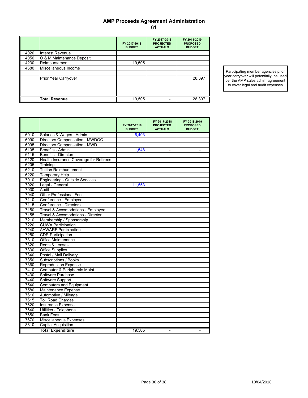## **AMP Proceeds Agreement Administration 61**

|      |                             | FY 2017-2018<br><b>BUDGET</b> | FY 2017-2018<br><b>PROJECTED</b><br><b>ACTUALS</b> | FY 2018-2019<br><b>PROPOSED</b><br><b>BUDGET</b> |
|------|-----------------------------|-------------------------------|----------------------------------------------------|--------------------------------------------------|
| 4020 | Interest Revenue            |                               |                                                    |                                                  |
| 4050 | O & M Maintenance Deposit   |                               |                                                    |                                                  |
| 4230 | Reimbursement               | 19,505                        |                                                    |                                                  |
| 4680 | Miscellaneous Income        |                               |                                                    |                                                  |
|      |                             |                               |                                                    |                                                  |
|      | <b>Prior Year Carryover</b> |                               |                                                    | 28,397                                           |
|      |                             |                               |                                                    |                                                  |
|      |                             |                               |                                                    |                                                  |
|      |                             |                               |                                                    |                                                  |
|      | <b>Total Revenue</b>        | 19,505                        |                                                    | 28,397                                           |

Participating member agencies prior year carryover will potentially be used per the AMP sales admin agreement to cover legal and audit expenses

|      |                                        | FY 2017-2018<br><b>BUDGET</b> | FY 2017 2018<br><b>PROJECTED</b><br><b>ACTUALS</b> | FY 2018-2019<br><b>PROPOSED</b><br><b>BUDGET</b> |
|------|----------------------------------------|-------------------------------|----------------------------------------------------|--------------------------------------------------|
| 6010 | Salaries & Wages - Admin               | 6,403                         | ÷                                                  | $\overline{\phantom{a}}$                         |
| 6090 | Directors Compensation - MWDOC         |                               |                                                    |                                                  |
| 6095 | Directors Compensation - MWD           |                               |                                                    |                                                  |
| 6105 | Benefits - Admin                       | 1,548                         | ÷                                                  |                                                  |
| 6115 | <b>Benefits - Directors</b>            |                               |                                                    |                                                  |
| 6120 | Health Insurance Coverage for Retirees |                               |                                                    |                                                  |
| 6205 | Training                               |                               |                                                    |                                                  |
| 6210 | <b>Tuition Reimbursement</b>           |                               |                                                    |                                                  |
| 6220 | <b>Temporary Help</b>                  |                               |                                                    |                                                  |
| 7010 | <b>Engineering - Outside Services</b>  |                               |                                                    |                                                  |
| 7020 | Legal - General                        | 11.553                        |                                                    |                                                  |
| 7030 | Audit                                  |                               |                                                    |                                                  |
| 7040 | <b>Other Professional Fees</b>         |                               |                                                    |                                                  |
| 7110 | Conference - Employee                  |                               |                                                    |                                                  |
| 7115 | Conference - Directors                 |                               |                                                    |                                                  |
| 7150 | Travel & Accomodations - Employee      |                               |                                                    |                                                  |
| 7155 | Travel & Accomodations - Director      |                               |                                                    |                                                  |
| 7210 | Membership / Sponsorship               |                               |                                                    |                                                  |
| 7220 | <b>CUWA Participation</b>              |                               |                                                    |                                                  |
| 7240 | <b>AAWARF Participation</b>            |                               |                                                    |                                                  |
| 7250 | <b>CDR Participation</b>               |                               |                                                    |                                                  |
| 7310 | Office Maintenance                     |                               |                                                    |                                                  |
| 7320 | Rents & Leases                         |                               |                                                    |                                                  |
| 7330 | <b>Office Supplies</b>                 |                               |                                                    |                                                  |
| 7340 | Postal / Mail Delivery                 |                               |                                                    |                                                  |
| 7350 | Subscriptions / Books                  |                               |                                                    |                                                  |
| 7360 | <b>Reproduction Expense</b>            |                               |                                                    |                                                  |
| 7410 | Computer & Peripherals Maint           |                               |                                                    |                                                  |
| 7430 | Software Purchase                      |                               |                                                    |                                                  |
| 7440 | Software Support                       |                               |                                                    |                                                  |
| 7540 | <b>Computers and Equipment</b>         |                               |                                                    |                                                  |
| 7580 | Maintenance Expense                    |                               |                                                    |                                                  |
| 7610 | Automotive / Mileage                   |                               |                                                    |                                                  |
| 7615 | <b>Toll Road Charges</b>               |                               |                                                    |                                                  |
| 7620 | Insurance Expense                      |                               |                                                    |                                                  |
| 7640 | Utilities - Telephone                  |                               |                                                    |                                                  |
| 7650 | <b>Bank Fees</b>                       |                               |                                                    |                                                  |
| 7670 | Miscellaneous Expenses                 |                               |                                                    |                                                  |
| 8810 | <b>Capital Acquisition</b>             |                               |                                                    |                                                  |
|      | <b>Total Expenditure</b>               | 19,505                        | $\overline{a}$                                     | $\overline{\phantom{0}}$                         |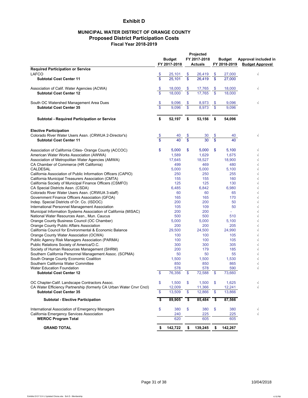## **Exhibit D**

## **MUNICIPAL WATER DISTRICT OF ORANGE COUNTY Proposed District Participation Costs Fiscal Year 2018-2019**

|                                                                     |                         | <b>Budget</b><br>FY 2017-2018 |          | Projected<br>FY 2017-2018<br>Actuals |                         | <b>Budget</b><br>FY 2018-2019 | Approval included in<br><b>Budget Approval</b> |
|---------------------------------------------------------------------|-------------------------|-------------------------------|----------|--------------------------------------|-------------------------|-------------------------------|------------------------------------------------|
| <b>Required Participation or Service</b>                            |                         |                               |          |                                      |                         |                               |                                                |
| LAFCO                                                               |                         | 25,101                        | \$<br>\$ | 26,419                               |                         | 27,000                        | $\sqrt{}$                                      |
| <b>Subtotal Cost Center 11</b>                                      |                         | 25.101                        |          | 26.419                               | \$                      | 27,000                        |                                                |
| Association of Calif. Water Agencies (ACWA)                         | \$                      | 18,000                        | \$       | 17,765                               | \$                      | 18,000                        | $\sqrt{}$                                      |
| <b>Subtotal Cost Center 12</b>                                      | $\mathfrak{L}$          | 18,000                        | \$       | 17.765                               | \$                      | 18,000                        |                                                |
| South OC Watershed Management Area Dues                             | \$                      | 9,096                         | \$       | 8,973                                | \$                      | 9,096                         | $\sqrt{}$                                      |
| <b>Subtotal Cost Center 35</b>                                      | $\mathfrak{L}$          | 9.096                         | \$       | 8.973                                | \$                      | 9,096                         |                                                |
| Subtotal - Required Participation or Service                        | \$                      | 52,197                        | \$       | 53,156                               | \$                      | 54,096                        |                                                |
| <b>Elective Participation</b>                                       |                         |                               |          |                                      |                         |                               |                                                |
| Colorado River Water Users Assn. (CRWUA 2-Director's)               | \$                      | 40                            |          | 30                                   | \$                      | 40                            | $\sqrt{}$                                      |
| <b>Subtotal Cost Center 11</b>                                      | $\overline{\mathbf{s}}$ | 40                            | \$<br>\$ | 30                                   | $\overline{\mathbf{s}}$ | 40                            |                                                |
| Association of California Cities- Orange County (ACCOC)             | \$                      | 5,000                         | \$       | 5,000                                | \$                      | 5,100                         | $\sqrt{}$                                      |
| American Water Works Association (AWWA)                             |                         | 1,589                         |          | 1,629                                |                         | 1,675                         | $\sqrt{}$                                      |
| Association of Metropolitan Water Agencies (AMWA)                   |                         | 17,645                        |          | 18,527                               |                         | 18,900                        | $\sqrt{}$                                      |
| CA Chamber of Commerce (HR California)                              |                         | 499                           |          | 469                                  |                         | 480                           | $\sqrt{}$                                      |
| CALDESAL                                                            |                         | 5,000                         |          | 5,000                                |                         | 5,100                         | $\sqrt{}$                                      |
| California Association of Public Information Officers (CAPIO)       |                         | 250                           |          | 250                                  |                         | 255                           | $\sqrt{}$                                      |
| California Municipal Treasurers Association (CMTA)                  |                         | 155                           |          | 155                                  |                         | 160                           | $\sqrt{}$                                      |
| California Society of Municipal Finance Officers (CSMFO)            |                         | 125                           |          | 125                                  |                         | 130                           | $\sqrt{}$                                      |
| CA Special Districts Assn. (CSDA)                                   |                         | 6,485                         |          | 6,842                                |                         | 6,980                         | $\sqrt{}$                                      |
| Colorado River Water Users Assn. (CRWUA 3-staff)                    |                         | 60                            |          | 60                                   |                         | 65                            | $\sqrt{}$                                      |
| Government Finance Officers Association (GFOA)                      |                         | 165                           |          | 165                                  |                         | 170                           | $\sqrt{ }$                                     |
| Indep. Special Districts of Or. Co. (ISDOC)                         |                         | 200                           |          | 200                                  |                         | 50                            | $\sqrt{}$                                      |
| International Personnel Management Association                      |                         | 105                           |          | 109                                  |                         | 50                            | $\sqrt{}$                                      |
| Municipal Information Systems Association of California (MISAC)     |                         | 200                           |          | 200                                  |                         | ä,                            | $\sqrt{}$                                      |
| National Water Resources Assn., Mun. Caucus                         |                         | 500                           |          | 500                                  |                         | 510                           | $\sqrt{}$                                      |
| Orange County Business Council (OC Chamber)                         |                         | 5,000                         |          | 5,000                                |                         | 5,100                         | $\sqrt{}$                                      |
| Orange County Public Affairs Association                            |                         | 200                           |          | 200                                  |                         | 205                           | $\sqrt{}$                                      |
| California Council for Environmental & Economic Balance             |                         | 29,500                        |          | 24,500                               |                         | 24,990                        | $\sqrt{}$                                      |
| Orange County Water Association (OCWA)                              |                         | 100                           |          | 100                                  |                         | 105                           | $\sqrt{}$                                      |
| Public Agency Risk Managers Association (PARMA)                     |                         | 100                           |          | 100                                  |                         | 105                           | $\sqrt{}$                                      |
| Public Relations Society of America/O.C.                            |                         | 300                           |          | 300                                  |                         | 305                           | $\sqrt{}$                                      |
| Society of Human Resources Management (SHRM)                        |                         | 200                           |          | 179                                  |                         | 185                           | $\sqrt{}$                                      |
| Southern California Personnel Management Assoc. (SCPMA)             |                         | 50                            |          | 50                                   |                         | 55                            | $\sqrt{}$                                      |
| South Orange County Economic Coalition                              |                         | 1,500                         |          | 1,500                                |                         | 1,530                         | $\sqrt{}$                                      |
| Southern California Water Committee                                 |                         | 850                           |          | 850                                  |                         | 865                           | $\sqrt{}$<br>$\sqrt{}$                         |
| <b>Water Education Foundation</b><br><b>Subtotal Cost Center 12</b> | \$                      | 578<br>76,356                 | \$       | 578<br>72,588                        | \$                      | 590<br>73,660                 |                                                |
| OC Chapter-Calif. Landscape Contractors Assoc.                      | \$                      | 1,500                         | \$       | 1,500                                | \$                      | 1,625                         |                                                |
| CA Water Efficiency Partnership (formerly CA Urban Water Cnvr Cncl) |                         | 12.009                        |          | 11,366                               |                         | 12,241                        | $\sqrt{ }$                                     |
| <b>Subtotal Cost Center 35</b>                                      | \$                      | 13,509                        | \$       | 12,866                               | \$                      | 13,866                        |                                                |
| <b>Subtotal - Elective Participation</b>                            |                         | 89,905                        | \$       | 85,484                               | \$                      | 87,566                        |                                                |
| International Association of Emergency Managers                     | \$                      | 380                           | \$       | 380                                  | \$                      | 380                           | $\sqrt{}$                                      |
| California Emergency Services Association                           |                         | 240                           |          | 225                                  |                         | 225                           | $\sqrt{}$                                      |
| <b>WEROC Program Total</b>                                          |                         | 620                           |          | 605                                  |                         | 605                           |                                                |
| <b>GRAND TOTAL</b>                                                  | \$                      | 142,722                       | \$       | 139,245                              | \$                      | 142,267                       |                                                |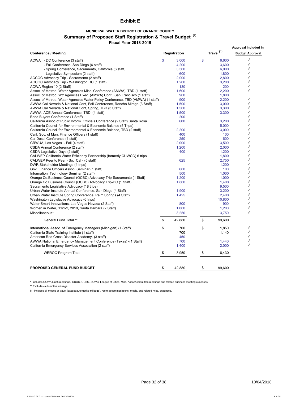## **Exhibit E**

## **MUNICIPAL WATER DISTRICT OF ORANGE COUNTY Summary of Proposed Staff Registration & Travel Budget (1) Fiscal Year 2018-2019**

|                                                                                |    |              |                       |        | Approval included in    |
|--------------------------------------------------------------------------------|----|--------------|-----------------------|--------|-------------------------|
| <b>Conference / Meeting</b>                                                    |    | Registration | Travel <sup>(1)</sup> |        | <b>Budget Approval</b>  |
| ACWA - DC Conference (3 staff)                                                 | \$ | 3,000        | \$                    | 6,600  | $\sqrt{}$               |
| - Fall Conference, San Diego (6 staff)                                         |    | 4,200        |                       | 3,600  | $\sqrt{}$               |
| - Spring Conference, Sacramento, California (6 staff)                          |    | 3,500        |                       | 6.000  | $\sqrt{}$               |
| - Legislative Symposium (2 staff)                                              |    | 600          |                       | 1,800  | $\sqrt{}$               |
| ACCOC Advocacy Trip - Sacramento (2 staff)                                     |    | 2,000        |                       | 2,800  | $\sqrt{ }$              |
| ACCOC Advocacy Trip - Washington DC (1 staff)                                  |    | 1,200        |                       | 3,200  | $\sqrt{}$               |
| ACWA Region 10 (2 Staff)                                                       |    | 130          |                       | 200    |                         |
| Assoc. of Metrop. Water Agencies Misc. Conference (AMWA), TBD (1 staff)        |    | 1,600        |                       | 2,200  | $\sqrt{}$               |
| Assoc. of Metrop. Wtr Agencies Exec. (AMWA) Conf., San Francisco (1 staff)     |    | 900          |                       | 1,800  |                         |
| Assoc. of Metrop. Water Agencies Water Policy Conference, TBD (AMWA) (1 staff) |    | 900          |                       | 2,200  | $\sqrt{}$               |
| AWWA Cal Nevada & National Conf, Fall Conference, Rancho Mirage (3 Staff)      |    | 1,500        |                       | 3,000  | $\sqrt{}$               |
| AWWA Cal Nevada & National Conf, Spring, TBD (3 Staff)                         |    | 1,500        |                       | 3,300  | $\sqrt{}$               |
| AWWA ACE Annual Conference, TBD (4 staff)                                      |    | 1,500        |                       | 3,300  | $\sqrt{\phantom{a}}$    |
| Bond Buyers Conference (1 Staff)                                               |    | 200          |                       |        |                         |
| California Assoc.of Public Inform. Officials Conference (2 Staff) Santa Rosa   |    | 600          |                       | 3,200  | $\sqrt{ }$              |
| California Council for Environmental & Economic Balance (5 Trips)              |    |              |                       | 5,000  | $\sqrt{}$               |
| California Council for Environmental & Economic Balance, TBD (2 staff)         |    | 2,200        |                       | 3,000  | $\sqrt{ }$              |
| Calif. Soc. of Mun. Finance Officers (1 staff)                                 |    | 400          |                       | 100    | $\sqrt{\phantom{a}}$    |
|                                                                                |    | 250          |                       |        | $\sqrt{}$               |
| Cal Desal Conference (1 staff)                                                 |    |              |                       | 600    | $\sqrt{ }$              |
| CRWUA, Las Vegas - Fall (4 staff)                                              |    | 2.000        |                       | 3,500  | $\sqrt{\phantom{a}}$    |
| CSDA Annual Conference (2 staff)                                               |    | 1,200        |                       | 2,000  | $\sqrt{ }$              |
| CSDA Legislative Days (2 staff)                                                |    | 400          |                       | 1,200  | $\sqrt{}$               |
| CALWEP California Water Efficiency Partnership (formerly CUWCC) 6 trips        |    |              |                       | 1,800  |                         |
| CALWEP Peer to Peer - So. Cal - (5 staff)                                      |    | 625          |                       | 2,750  | $\sqrt{}$<br>$\sqrt{ }$ |
| DWR Stakeholder Meetings (4 trips)                                             |    |              |                       | 1,200  |                         |
| Gov. Finance Officers Assoc. Seminar (1 staff)                                 |    | 600          |                       | 100    | $\sqrt{ }$              |
| Information Technology Seminar (2 staff)                                       |    | 500          |                       | 1,000  | $\sqrt{}$               |
| Orange Co.Business Council (OCBC) Advocacy Trip-Sacramento (1 Staff)           |    | 1,200        |                       | 1,000  | $\sqrt{\phantom{a}}$    |
| Orange Co.Business Council (OCBC) Advocacy Trip-DC (1 Staff)                   |    | 1,800        |                       | 1,400  | $\sqrt{\phantom{a}}$    |
| Sacramento Legislative Advocacy (18 trips)                                     |    |              |                       | 9,500  | $\sqrt{\phantom{a}}$    |
| Urban Water Institute Annual Conference, San Diego (4 Staff)                   |    | 1,900        |                       | 3,200  | $\sqrt{}$               |
| Urban Water Institute Spring Conference, Palm Springs (4 Staff)                |    | 1,425        |                       | 2,400  | $\sqrt{ }$              |
| Washington Legislative Advocacy (6 trips)                                      |    |              |                       | 10,800 | $\sqrt{\phantom{a}}$    |
| Water Smart Innovations, Las Vegas Nevada (2 Staff)                            |    | 800          |                       | 900    | $\sqrt{}$               |
| Women in Water, 11/1-2, 2018, Santa Barbara (2 Staff)                          |    | 1,000        |                       | 1,200  | $\sqrt{}$               |
| Miscellaneous*                                                                 |    | 3,250        |                       | 3,750  | $\sqrt{}$               |
| General Fund Total **                                                          | \$ | 42,880       | \$                    | 99,600 |                         |
| International Assoc. of Emergency Managers (Michigan) (1 Staff)                | \$ | 700          | \$                    | 1,850  | $\sqrt{}$               |
| California State Training Institute (1 staff)                                  |    | 700          |                       | 1,140  | $\sqrt{\phantom{a}}$    |
| American Red Cross Disaster Academy- (3 staff)                                 |    | 450          |                       |        | $\sqrt{}$               |
| AWWA National Emergency Management Conference (Texas) -(1 Staff)               |    | 700          |                       | 1,440  | $\sqrt{}$               |
| California Emergency Services Association (2 staff)                            |    | 1,400        |                       | 2,000  | $\sqrt{}$               |
| <b>WEROC Program Total</b>                                                     | \$ | 3,950        | \$                    | 6,430  |                         |
|                                                                                |    |              |                       |        |                         |
| <b>PROPOSED GENERAL FUND BUDGET</b>                                            | \$ | 42,880       | \$                    | 99,600 |                         |
|                                                                                |    |              |                       |        |                         |

\* Includes OCWA lunch meetings, ISDOC, OCBC, SCWC, League of Cities, Misc. Assoc/Committee meetings and related business meeting expenses.

\*\* Excludes automotive mileage.

(1) Includes all modes of travel (except automotive mileage), room accommodations, meals, and related misc. expenses.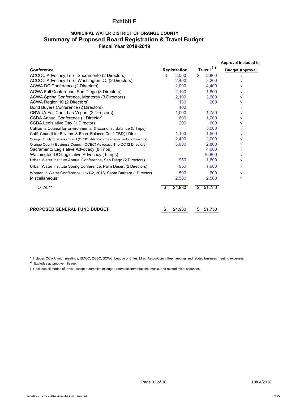## **Exhibit F**

## **MUNICIPAL WATER DISTRICT OF ORANGE COUNTY Summary of Proposed Board Registration & Travel Budget Fiscal Year 2018-2019**

|                                                                              |    |              |                       | Approval included in   |
|------------------------------------------------------------------------------|----|--------------|-----------------------|------------------------|
| Conference                                                                   |    | Registration | Travel <sup>(1)</sup> | <b>Budget Approval</b> |
| ACCOC Advocacy Trip - Sacramento (2 Directors)                               | S  | 2.000        | \$<br>2,800           |                        |
| ACCOC Advocacy Trip - Washington DC (2 Directors)                            |    | 2,400        | 3,200                 |                        |
| ACWA DC Conference (2 Directors)                                             |    | 2,000        | 4,400                 |                        |
| ACWA Fall Conference, San Diego (3 Directors)                                |    | 2,100        | 1,800                 |                        |
| ACWA Spring Conference, Monterey (3 Directors)                               |    | 2,100        | 3,600                 |                        |
| ACWA Region 10 (2 Directors)                                                 |    | 130          | 200                   |                        |
| <b>Bond Buyers Conference (2 Directors)</b>                                  |    | 400          |                       |                        |
| CRWUA Fall Conf, Las Vegas (2 Directors)                                     |    | 1.000        | 1.750                 |                        |
| CSDA Annual Conference (1 Director)                                          |    | 600          | 1,000                 |                        |
| CSDA Legislative Day (1 Director)                                            |    | 200          | 600                   |                        |
| California Council for Environmental & Economic Balance (5 Trips)            |    |              | 5.000                 |                        |
| Calif. Council for Environ. & Econ. Balance Conf. TBD(1 Dir.)                |    | 1.100        | 1,500                 |                        |
| Orange County Business Council (OCBC) Advocacy Trip-Sacramento (2 Directors) |    | 2,400        | 2,000                 |                        |
| Orange County Business Council (OCBC) Advocacy Trip-DC (2 Directors)         |    | 3,600        | 2,800                 |                        |
| Sacramento Legislative Advocacy (8 Trips)                                    |    |              | 4.000                 |                        |
| Washington DC Legislative Advocacy (6 trips)                                 |    |              | 10,800                |                        |
| Urban Water Institute Annual Conference, San Diego (2 Directors)             |    | 950          | 1,600                 |                        |
| Urban Water Institute Spring Conference, Palm Desert (2 Directors)           |    | 950          | 1,600                 |                        |
| Women in Water Conference, 11/1-2, 2018, Santa Barbara (1Director)           |    | 500          | 600                   |                        |
| Miscellaneous*                                                               |    | 2,500        | 2,500                 | V                      |
| TOTAL**                                                                      | \$ | 24,930       | \$<br>51,750          |                        |
| <b>PROPOSED GENERAL FUND BUDGET</b>                                          |    | 24,930       | \$<br>51,750          |                        |

\* Includes OCWA lunch meetings, ISDOC, OCBC, SCWC, League of Cities, Misc. Assoc/Committee meetings and related business meeting expenses.

\*\* Excludes automotive mileage.

(1) Includes all modes of travel (except automotive mileage), room accommodations, meals, and related misc. expenses.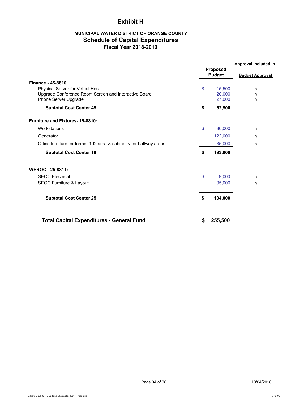## **Exhibit H**

## **MUNICIPAL WATER DISTRICT OF ORANGE COUNTY Schedule of Capital Expenditures Fiscal Year 2018-2019**

|                                                                                                                  | <b>Proposed</b><br><b>Budget</b> | Approval included in<br><b>Budget Approval</b> |  |
|------------------------------------------------------------------------------------------------------------------|----------------------------------|------------------------------------------------|--|
| Finance - 45-8810:                                                                                               |                                  |                                                |  |
| Physical Server for Virtual Host<br>Upgrade Conference Room Screen and Interactive Board<br>Phone Server Upgrade | \$<br>15,500<br>20,000<br>27,000 | V<br>$\sqrt{}$<br>$\sqrt{ }$                   |  |
| <b>Subtotal Cost Center 45</b>                                                                                   | \$<br>62,500                     |                                                |  |
| <b>Furniture and Fixtures-19-8810:</b>                                                                           |                                  |                                                |  |
| Workstations                                                                                                     | \$<br>36,000                     | $\sqrt{}$                                      |  |
| Generator                                                                                                        | 122,000                          | $\sqrt{}$                                      |  |
| Office furniture for former 102 area & cabinetry for hallway areas                                               | 35,000                           | $\sqrt{}$                                      |  |
| <b>Subtotal Cost Center 19</b>                                                                                   | \$<br>193,000                    |                                                |  |
| <b>WEROC - 25-8811:</b>                                                                                          |                                  |                                                |  |
| <b>SEOC Electrical</b>                                                                                           | \$<br>9.000                      | $\sqrt{}$                                      |  |
| <b>SEOC Furniture &amp; Layout</b>                                                                               | 95,000                           | $\sqrt{}$                                      |  |
| <b>Subtotal Cost Center 25</b>                                                                                   | \$<br>104,000                    |                                                |  |
| <b>Total Capital Expenditures - General Fund</b>                                                                 | \$<br>255,500                    |                                                |  |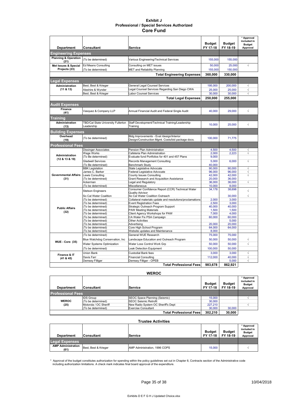#### **Exhibit J Professional / Special Services Authorized Core Fund**

|                                         |                                                  |                                                                                                           | <b>Budget</b>                                                             | <b>Budget</b>  | * Approval<br>included in<br><b>Budget</b> |
|-----------------------------------------|--------------------------------------------------|-----------------------------------------------------------------------------------------------------------|---------------------------------------------------------------------------|----------------|--------------------------------------------|
| <b>Department</b>                       | Consultant                                       | Service                                                                                                   | FY 17-18                                                                  | FY 18-19       | Approval                                   |
| <b>Engineering Expenses</b>             |                                                  |                                                                                                           |                                                                           |                |                                            |
| <b>Planning &amp; Operation</b><br>(21) | (To be determined)                               | Various Engineering/Technical Services                                                                    | 155,000                                                                   | 155.000        |                                            |
| Met Issues & Special                    | Ed Means Consulting                              | Consulting on MET issues                                                                                  | 50,000                                                                    | 25,000         | $\sqrt{}$                                  |
| Projects (23)                           | (To be determined)                               | <b>MET and Reliability Planning</b>                                                                       | 155,000                                                                   | 150,000        |                                            |
|                                         |                                                  | <b>Total Engineering Expenses</b>                                                                         | 360,000                                                                   | 330,000        |                                            |
| <b>Legal Expenses</b>                   |                                                  |                                                                                                           |                                                                           |                |                                            |
| <b>Administration</b>                   | Best, Best & Krieger                             | General Legal Counsel Services                                                                            | 195,000                                                                   | 200,000        | $\sqrt{ }$                                 |
| (11 & 813)                              | Aleshire & Wynder                                | Legal Counsel Services Regarding San Diego CWA                                                            | 25,000                                                                    | 25,000         | $\sqrt{}$                                  |
|                                         | Best, Best & Krieger                             | Labor Counsel Services                                                                                    | 30,000                                                                    | 30,000         | $\sqrt{ }$                                 |
|                                         |                                                  | <b>Total Legal Expenses</b>                                                                               | 250.000                                                                   | 255.000        |                                            |
| <b>Audit Expenses</b>                   |                                                  |                                                                                                           |                                                                           |                |                                            |
| Finance                                 | Vasquez & Company LLP                            | Annual Financial Audit and Federal Single Audit                                                           | 40.000                                                                    | 29,000         | $\sqrt{}$                                  |
| (41)                                    |                                                  |                                                                                                           |                                                                           |                |                                            |
| Training<br><b>Administration</b>       |                                                  |                                                                                                           |                                                                           |                |                                            |
| (13)                                    | TBD/Cal State University Fullerton<br>Leadership | Staff Development/Technical Training/Leadership<br>Training                                               | 10,000                                                                    | 25,000         | $\sqrt{}$                                  |
| <b>Building Expenses</b>                |                                                  |                                                                                                           |                                                                           |                |                                            |
| Overhead<br>(19)                        | (To be determined)                               | Bldg Improvements - Eval /design/Interior<br>Design/Construction Mgmt. Costs/bid package docs.            | 100.000                                                                   | 71.775         |                                            |
| <b>Professional Fees</b>                |                                                  |                                                                                                           |                                                                           |                |                                            |
|                                         | <b>Dissinger Associates</b>                      | Pension Plan Administration                                                                               | 4,500                                                                     | 4.500          | √                                          |
| Administration                          | Wage Works                                       | Cafeteria Plan Administration                                                                             | 2.000                                                                     | 2.223          | √                                          |
| (12 & 13 & 19)                          | (To Be determined)                               |                                                                                                           |                                                                           |                |                                            |
|                                         | <b>Gladwell Services</b>                         | Evaluate fund Portfolios for 401 and 457 Plans<br>Records Management Consulting<br><b>Benchmark Study</b> |                                                                           |                | $\sqrt{}$                                  |
|                                         | (To Be determined)                               | State Legislative Advocate                                                                                | 9,000<br>5,000<br>6,000<br>40,000<br>90.000<br>90.000<br>96.000<br>96,000 |                | $\sqrt{}$                                  |
|                                         | <b>BBK Legislation</b><br>James C. Barker        | Federal Legislative Advocate                                                                              |                                                                           |                | √                                          |
| <b>Governmental Affairs</b>             | Lewis Consulting                                 | County Issues Consulting                                                                                  | 42.000                                                                    | 42,000         | $\sqrt{}$                                  |
| (31)                                    | (To be determined)                               | Grant Research and Acquisition Assistance                                                                 | 20,000                                                                    | 36,000         |                                            |
|                                         | Ackerman                                         | Legal and Regulatory                                                                                      | 36,000                                                                    | 36,000         | $\overline{\sqrt{ }}$                      |
|                                         | (To be determined)                               | Miscellaneous                                                                                             | 10,000                                                                    | 8,000          |                                            |
|                                         | <b>Stetson Engineers</b>                         | Consumer Confidence Report (CCR) Technical Water<br><b>Quality Advisor</b>                                | 34,178                                                                    | 38,698         | $\sqrt{2}$                                 |
|                                         | So Cal Water Coalition                           | So Cal Water Coalition Outreach                                                                           |                                                                           | 30,000         | $\sqrt{}$                                  |
|                                         | (To be determined)                               | Collateral materials update and resolutions/proclamations                                                 | 2.000                                                                     | 3.000          |                                            |
|                                         | (To be determined)                               | <b>Event Registration Fees</b>                                                                            | 2,500                                                                     | 3,000          |                                            |
| <b>Public Affairs</b>                   | (To be determined)                               | Strategic Outreach Program Support                                                                        | 40,000                                                                    | 40,000         |                                            |
| (32)                                    | (To be determined)<br>(To be determined)         | <b>PAW Meeting Materials</b>                                                                              | 1,500<br>7,000                                                            | 1,500<br>4,000 |                                            |
|                                         | (To be determined)                               | Client Agency Workshops for PAW<br>CA Water Fix PSA Campaign                                              | 60,000                                                                    | 60,000         |                                            |
|                                         | (To be determined)                               | <b>Other Activities</b>                                                                                   |                                                                           | 5,000          |                                            |
|                                         | (To be determined)                               | Advertisina                                                                                               | 20.000                                                                    | 20.000         |                                            |
|                                         | (To be determined)                               | Core High School Program                                                                                  | 64,000                                                                    | 64,000         |                                            |
|                                         | (To be determined)                               | Website updates and Maintenance                                                                           | 8,000                                                                     |                |                                            |
|                                         | (To be determined)                               | General WUE Research                                                                                      | 75,000                                                                    | 75,000         |                                            |
| <b>WUE - Core (35)</b>                  | Blue Watchdog Conservation, Inc                  | Landscape Education and Outreach Program                                                                  | 50.000                                                                    | 50.000         | $\sqrt{ }$                                 |
|                                         | Water Systems Optimization                       | Water Loss Control Work Grp                                                                               | 50,000                                                                    | 50,000         | $\sqrt{2}$                                 |
|                                         | (To be determined)                               | <b>Leak Detection Equipment</b>                                                                           | 100,000                                                                   | 50,000         |                                            |
| Finance & IT                            | Union Bank                                       | Custodial Bank fees                                                                                       | 3,000                                                                     | 3,000          | $\sqrt{ }$                                 |
| (41 & 45)                               | Davis Farr                                       | <b>Financial Consulting</b>                                                                               | 112,000                                                                   | 40,000         | $\overline{\sqrt{ }}$                      |
|                                         | Demsey Filliger                                  | Demsey Filliger - OPEB                                                                                    |                                                                           | 5,000          | $\sqrt{}$                                  |
|                                         |                                                  | <b>Total Professional Fees</b>                                                                            | 983.678                                                                   | 862,921        |                                            |

#### **WEROC**

| <b>Department</b>        | <b>Consultant</b>     | Service                            | <b>Budget</b><br>FY 17-18 | <b>Budget</b><br>FY 18-19 | * Approval<br>included in<br><b>Budget</b><br>Approval |
|--------------------------|-----------------------|------------------------------------|---------------------------|---------------------------|--------------------------------------------------------|
| <b>Professional Fees</b> |                       |                                    |                           |                           |                                                        |
|                          | <b>IDS Group</b>      | SEOC Space Planning (Seismic)      | 15,000                    |                           |                                                        |
| <b>WEROC</b>             | (To be determined)    | SEOC Seismic Retrofit              | 30,000                    |                           |                                                        |
| (25)                     | Motorola / OC Sheriff | New Radio System OC Sheriff's Dept | 227,210                   |                           |                                                        |
|                          | (To be determined)    | Exercise Consultant                | 30,000                    | 30,000                    |                                                        |
|                          |                       | <b>Total Professional Fees</b>     | 302.210                   | 30.000                    |                                                        |

#### **Trustee Activities Department** Consultant Service  **Budget FY 17-18 Budget FY 18-19 \* Approval included in Budget Approval Legal Expenses AMP Administration (61)** Best, Best & Krieger AMP Administration, 1996 COPS 15,000 <sup>√</sup>

\* Approval of the budget constitutes authorization for spending within the policy guidelines set out in Chapter 8, Contracts section of the Administrative code<br>including authorization limitations. A check mark indicates fi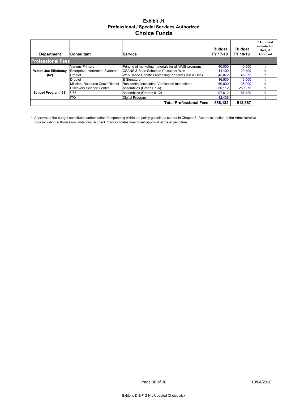## **Exhibit J1 Professional / Special Services Authorized Choice Funds**

| <b>Department</b>           | <b>Consultant</b>                     | Service                                                  | <b>Budget</b><br>FY 17-18 | <b>Budget</b><br>FY 18-19 | * Approval<br>included in<br><b>Budget</b><br>Approval |
|-----------------------------|---------------------------------------|----------------------------------------------------------|---------------------------|---------------------------|--------------------------------------------------------|
| <b>Professional Fees</b>    |                                       |                                                          |                           |                           |                                                        |
|                             | <b>Various Printers</b>               | Printing of marketing materials for all WUE programs     | 40,000                    | 40,000                    |                                                        |
| <b>Water Use Efficiency</b> | <b>Enterprise Information Systems</b> | <b>CSANS &amp; Base Schedule Calculator Web</b>          | 14.400                    | 29,400                    |                                                        |
| (62)                        | <b>Droplet</b>                        | Web Based Rebate Processing Platform (Turf & Drip)       | 45,072                    | 45,072                    |                                                        |
|                             | Droplet                               | E-Signature                                              | 16.500                    | 16.500                    |                                                        |
|                             | Mission Resource Cnsvr District       | <b>Residential Installation Verification Inspections</b> | 50,000                    | 35,000                    |                                                        |
|                             | Discovery Science Center              | Assemblies (Grades 1-6)                                  | 250.112                   | 259.275                   |                                                        |
| School Program (63)         | <b>ITO</b>                            | Assemblies (Grades 9-12)                                 | 97.612                    | 87.420                    |                                                        |
|                             | <b>ITO</b>                            | Digital Program                                          | 42.436                    | $\overline{\phantom{a}}$  |                                                        |
|                             |                                       | <b>Total Professional Fees</b>                           | 556,132                   | 512,667                   |                                                        |

\* Approval of the budget constitutes authorization for spending within the policy guidelines set out in Chapter 8, Contracts section of the Administrative code including authorization limitations. A check mark indicates final board approval of the expenditure.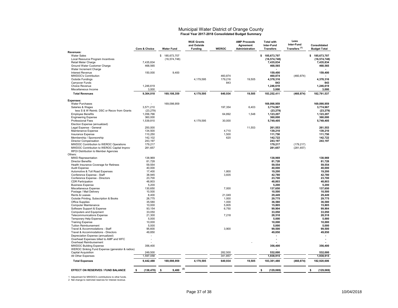# Municipal Water District of Orange County **Fiscal Year 2017-2018 Consolidated Budget Summary**

|                                                 | Core & Choice    | <b>Water Fund</b> | <b>WUE Grants</b><br>and Outside<br><b>Funding</b> | <b>WEROC</b> | <b>AMP Proceeds</b><br>Agreement<br>Administration | <b>Total with</b><br>Inter-Fund<br><b>Transfers</b> | Less<br>Inter-Fund<br>Transfers <sup>(1)</sup> | Consolidated<br><b>Budget Total</b> |
|-------------------------------------------------|------------------|-------------------|----------------------------------------------------|--------------|----------------------------------------------------|-----------------------------------------------------|------------------------------------------------|-------------------------------------|
| Revenues:                                       |                  |                   |                                                    |              |                                                    |                                                     |                                                |                                     |
| <b>Water Sales</b>                              |                  | \$ 185,673,707    |                                                    |              |                                                    | \$185,673,707                                       |                                                | \$185,673,707                       |
| Local Resource Program Incentives               |                  | (16, 574, 748)    |                                                    |              |                                                    | (16, 574, 748)                                      |                                                | (16, 574, 748)                      |
| Retail Meter Charge                             | 7,435,834        |                   |                                                    |              |                                                    | 7,435,834                                           |                                                | 7,435,834                           |
| Ground Water Customer Charge                    | 468,565          |                   |                                                    |              |                                                    | 468,565                                             |                                                | 468,565                             |
| Water Increment Charge                          |                  |                   |                                                    |              |                                                    |                                                     |                                                |                                     |
| <b>Interest Revenue</b>                         | 150,000          | 9,400             |                                                    |              |                                                    | 159,400                                             |                                                | 159,400                             |
| <b>MWDOC's Contribution</b>                     |                  |                   |                                                    | 460,874      |                                                    | 460,874                                             | (460, 874)                                     |                                     |
| <b>Outside Fundings</b>                         |                  |                   | 4,179,595                                          | 179,216      | 19,505                                             | 4,378,316                                           |                                                | 4,378,316                           |
| Carryover Funds                                 |                  |                   |                                                    | 843          |                                                    | 843                                                 |                                                | 843                                 |
| <b>Choice Revenue</b>                           | 1,246,619        |                   |                                                    |              |                                                    | 1,246,619                                           |                                                | 1,246,619                           |
| Miscellaneous Income                            | 3,000            |                   |                                                    |              |                                                    | 3,000                                               |                                                | 3,000                               |
| <b>Total Revenues</b>                           | 9,304,018        | 169,108,359       | 4,179,595                                          | 640,934      | 19,505                                             | 183,252,411                                         | (460, 874)                                     | 182,791,537                         |
| <b>Expenses:</b>                                |                  |                   |                                                    |              |                                                    |                                                     |                                                |                                     |
| <b>Water Purchases</b>                          |                  | 169,098,959       |                                                    |              |                                                    | 169,098,959                                         |                                                | 169.098.959                         |
| Salaries & Wages                                | 3,571,210        |                   |                                                    | 197,354      | 6,403                                              | 3,774,967                                           |                                                | 3,774,967                           |
| less S & W Reimb. DSC or Recov from Grants      | (23, 279)        |                   |                                                    |              |                                                    | (23, 279)                                           |                                                | (23, 279)                           |
| <b>Employee Benefits</b>                        | 1,056,766        |                   |                                                    | 64,892       | 1,548                                              | 1,123,207                                           |                                                | 1,123,207                           |
| <b>Engineering Expense</b>                      | 360,000          |                   |                                                    |              |                                                    | 360,000                                             |                                                | 360,000                             |
| <b>Professional Fees</b>                        | 1,539,810        |                   | 4,179,595                                          | 30,000       |                                                    | 5,749,405                                           |                                                | 5,749,405                           |
| Election Expense (annualized)                   |                  |                   |                                                    |              |                                                    |                                                     |                                                |                                     |
| Legal Expense - General                         | 250,000          |                   |                                                    |              | 11,553                                             | 261,553                                             |                                                | 261,553                             |
| Maintenance Expense                             | 134,500          |                   |                                                    | 4,710        |                                                    | 139,210                                             |                                                | 139,210                             |
| Insurance Expense                               | 110,250          |                   |                                                    | 1,500        |                                                    | 111,750                                             |                                                | 111,750                             |
| Membership / Sponsorship                        | 142,102          |                   |                                                    | 620          |                                                    | 142,722                                             |                                                | 142,722                             |
| <b>Director Compensation</b>                    | 243,197          |                   |                                                    |              |                                                    | 243,197                                             |                                                | 243,197                             |
| MWDOC Contribution to WEROC Operations          | 179,217          |                   |                                                    |              |                                                    | 179,217                                             | (179, 217)                                     |                                     |
| MWDOC Contribution to WEROC Capital Improv      | 281,657          |                   |                                                    |              |                                                    | 281,657                                             | (281, 657)                                     |                                     |
| RPOI Distribution to Member Agencies            |                  |                   |                                                    |              |                                                    |                                                     |                                                |                                     |
| Others:                                         |                  |                   |                                                    |              |                                                    |                                                     |                                                |                                     |
| <b>MWD Representation</b>                       | 138.969          |                   |                                                    |              |                                                    | 138.969                                             |                                                | 138.969                             |
| <b>Director Benefits</b>                        | 81,728           |                   |                                                    |              |                                                    | 81,728                                              |                                                | 81,728                              |
|                                                 |                  |                   |                                                    |              |                                                    |                                                     |                                                |                                     |
| Health Insurance Coverage for Retirees          | 59,554           |                   |                                                    |              |                                                    | 59,554                                              |                                                | 59,554                              |
| <b>Audit Expense</b>                            | 40.000           |                   |                                                    |              |                                                    | 40.000                                              |                                                | 40.000                              |
| Automotive & Toll Road Expenses                 | 17,400           |                   |                                                    | 1,800        |                                                    | 19,200                                              |                                                | 19,200                              |
| Conference Expense - Staff                      | 38,945           |                   |                                                    | 3,835        |                                                    | 42,780                                              |                                                | 42,780                              |
| Conference Expense - Directors                  | 23,700           |                   |                                                    |              |                                                    | 23,700                                              |                                                | 23,700                              |
| <b>CDR Participation</b>                        | 48,803           |                   |                                                    |              |                                                    | 48.803                                              |                                                | 48.803                              |
| <b>Business Expense</b>                         | 5,200            |                   |                                                    |              |                                                    | 5,200                                               |                                                | 5,200                               |
| Miscellaneous Expense                           | 130,650          |                   |                                                    | 7,000        |                                                    | 137,650                                             |                                                | 137,650                             |
| Postage / Mail Delivery                         | 10,500           |                   |                                                    |              |                                                    | 10.500                                              |                                                | 10,500                              |
| Rents & Leases                                  | 8,400            |                   |                                                    | 21,049       |                                                    | 29,449                                              |                                                | 29,449                              |
| Outside Printing, Subscription & Books          | 28,775           |                   |                                                    | 1,000        |                                                    | 29,775                                              |                                                | 29,775                              |
| Office Supplies                                 | 35,580           |                   |                                                    | 1,000        |                                                    | 36,580                                              |                                                | 36,580                              |
| <b>Computer Maintenance</b>                     | 10,000           |                   |                                                    | 5.805        |                                                    | 15,805                                              |                                                | 15,805                              |
| Software Support & Expense                      | 93,154           |                   |                                                    | 6,750        |                                                    | 99,904                                              |                                                | 99,904                              |
| <b>Computers and Equipment</b>                  | 33,050           |                   |                                                    |              |                                                    | 33,050                                              |                                                | 33,050                              |
| <b>Telecommunications Expense</b>               | 21,300           |                   |                                                    | 7,218        |                                                    | 28,518                                              |                                                | 28.518                              |
| Temporary Help Expense                          | 5,000            |                   |                                                    |              |                                                    | 5,000                                               |                                                | 5,000                               |
| <b>Training Expense</b>                         | 10,000           |                   |                                                    |              |                                                    | 10,000                                              |                                                | 10,000                              |
| <b>Tuition Reimbursement</b>                    | 5,000            |                   |                                                    |              |                                                    | 5,000                                               |                                                | 5,000                               |
| Travel & Accommodations - Staff                 | 95,600           |                   |                                                    | 3,900        |                                                    | 99,500                                              |                                                | 99,500                              |
| Travel & Accommodations - Directors             | 49,850           |                   |                                                    |              |                                                    | 49,850                                              |                                                | 49,850                              |
| Depreciation Expense (annualized)               |                  |                   |                                                    |              |                                                    |                                                     |                                                |                                     |
| Overhead Expenses billed to AMP and WFC         |                  |                   |                                                    |              |                                                    |                                                     |                                                | $\overline{a}$                      |
| Overhead Reimbursement                          |                  |                   |                                                    |              |                                                    |                                                     |                                                |                                     |
| <b>MWDOC Building Expense</b>                   | 356,400          |                   |                                                    |              |                                                    | 356,400                                             |                                                | 356,400                             |
| WEROC Sinking Fund Expense (generator & radios) |                  |                   |                                                    |              |                                                    |                                                     |                                                |                                     |
| <b>Capital Acquisition</b>                      | 249,500          |                   |                                                    | 282,500      |                                                    | 532,000                                             |                                                | 532,000                             |
| All Other Expenses                              | 1,597,058        |                   |                                                    | 341,857      |                                                    | 1,938,915                                           |                                                | 1,938,915                           |
| <b>Total Expenses</b>                           | 9,442,488        | 169,098,959       | 4,179,595                                          | 640,934      | 19,505                                             | 183,381,480                                         | (460, 874)                                     | 182,920,606                         |
|                                                 |                  | (2)               |                                                    |              |                                                    |                                                     |                                                |                                     |
| <b>EFFECT ON RESERVES / FUND BALANCE</b>        | \$<br>(138, 470) | 9.400<br>\$       |                                                    |              |                                                    | (129, 069)<br>Ŝ                                     |                                                | (129, 069)<br>S                     |

1 Adjustment for MWDOC's contributions to other funds. 2 Net change to restricted reserves for Interest revenue.